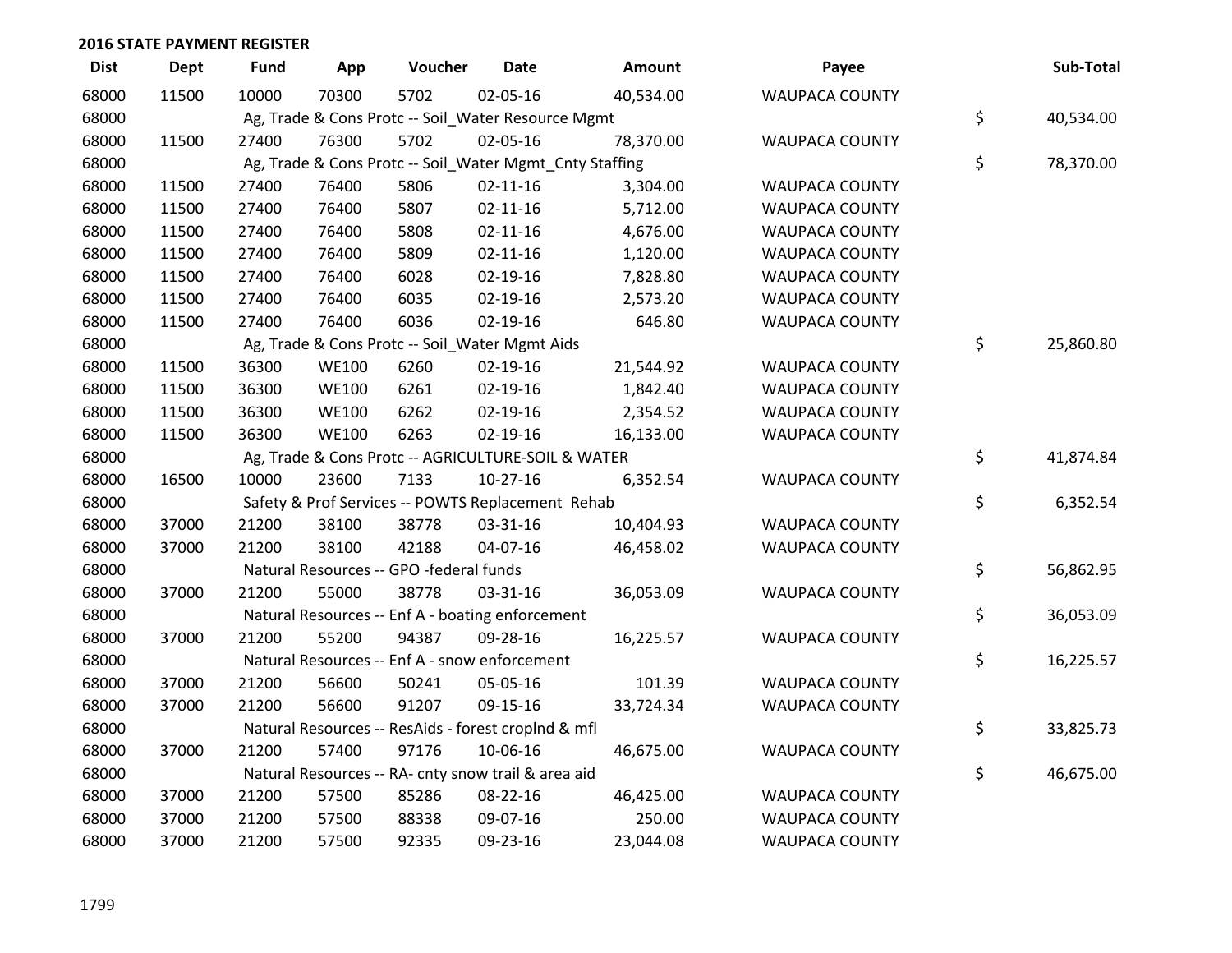| <b>Dist</b> | <b>Dept</b> | <b>Fund</b> | App          | Voucher                                                 | <b>Date</b>    | Amount    | Payee                 | Sub-Total       |
|-------------|-------------|-------------|--------------|---------------------------------------------------------|----------------|-----------|-----------------------|-----------------|
| 68000       | 11500       | 10000       | 70300        | 5702                                                    | 02-05-16       | 40,534.00 | <b>WAUPACA COUNTY</b> |                 |
| 68000       |             |             |              | Ag, Trade & Cons Protc -- Soil_Water Resource Mgmt      |                |           |                       | \$<br>40,534.00 |
| 68000       | 11500       | 27400       | 76300        | 5702                                                    | 02-05-16       | 78,370.00 | <b>WAUPACA COUNTY</b> |                 |
| 68000       |             |             |              | Ag, Trade & Cons Protc -- Soil_Water Mgmt_Cnty Staffing |                |           |                       | \$<br>78,370.00 |
| 68000       | 11500       | 27400       | 76400        | 5806                                                    | $02 - 11 - 16$ | 3,304.00  | <b>WAUPACA COUNTY</b> |                 |
| 68000       | 11500       | 27400       | 76400        | 5807                                                    | $02 - 11 - 16$ | 5,712.00  | <b>WAUPACA COUNTY</b> |                 |
| 68000       | 11500       | 27400       | 76400        | 5808                                                    | $02 - 11 - 16$ | 4,676.00  | <b>WAUPACA COUNTY</b> |                 |
| 68000       | 11500       | 27400       | 76400        | 5809                                                    | $02 - 11 - 16$ | 1,120.00  | <b>WAUPACA COUNTY</b> |                 |
| 68000       | 11500       | 27400       | 76400        | 6028                                                    | 02-19-16       | 7,828.80  | <b>WAUPACA COUNTY</b> |                 |
| 68000       | 11500       | 27400       | 76400        | 6035                                                    | 02-19-16       | 2,573.20  | <b>WAUPACA COUNTY</b> |                 |
| 68000       | 11500       | 27400       | 76400        | 6036                                                    | 02-19-16       | 646.80    | WAUPACA COUNTY        |                 |
| 68000       |             |             |              | Ag, Trade & Cons Protc -- Soil_Water Mgmt Aids          |                |           |                       | \$<br>25,860.80 |
| 68000       | 11500       | 36300       | <b>WE100</b> | 6260                                                    | 02-19-16       | 21,544.92 | <b>WAUPACA COUNTY</b> |                 |
| 68000       | 11500       | 36300       | <b>WE100</b> | 6261                                                    | $02 - 19 - 16$ | 1,842.40  | <b>WAUPACA COUNTY</b> |                 |
| 68000       | 11500       | 36300       | <b>WE100</b> | 6262                                                    | $02 - 19 - 16$ | 2,354.52  | <b>WAUPACA COUNTY</b> |                 |
| 68000       | 11500       | 36300       | <b>WE100</b> | 6263                                                    | 02-19-16       | 16,133.00 | <b>WAUPACA COUNTY</b> |                 |
| 68000       |             |             |              | Ag, Trade & Cons Protc -- AGRICULTURE-SOIL & WATER      |                |           |                       | \$<br>41,874.84 |
| 68000       | 16500       | 10000       | 23600        | 7133                                                    | $10-27-16$     | 6,352.54  | WAUPACA COUNTY        |                 |
| 68000       |             |             |              | Safety & Prof Services -- POWTS Replacement Rehab       |                |           |                       | \$<br>6,352.54  |
| 68000       | 37000       | 21200       | 38100        | 38778                                                   | 03-31-16       | 10,404.93 | <b>WAUPACA COUNTY</b> |                 |
| 68000       | 37000       | 21200       | 38100        | 42188                                                   | 04-07-16       | 46,458.02 | <b>WAUPACA COUNTY</b> |                 |
| 68000       |             |             |              | Natural Resources -- GPO -federal funds                 |                |           |                       | \$<br>56,862.95 |
| 68000       | 37000       | 21200       | 55000        | 38778                                                   | 03-31-16       | 36,053.09 | <b>WAUPACA COUNTY</b> |                 |
| 68000       |             |             |              | Natural Resources -- Enf A - boating enforcement        |                |           |                       | \$<br>36,053.09 |
| 68000       | 37000       | 21200       | 55200        | 94387                                                   | 09-28-16       | 16,225.57 | WAUPACA COUNTY        |                 |
| 68000       |             |             |              | Natural Resources -- Enf A - snow enforcement           |                |           |                       | \$<br>16,225.57 |
| 68000       | 37000       | 21200       | 56600        | 50241                                                   | 05-05-16       | 101.39    | <b>WAUPACA COUNTY</b> |                 |
| 68000       | 37000       | 21200       | 56600        | 91207                                                   | 09-15-16       | 33,724.34 | <b>WAUPACA COUNTY</b> |                 |
| 68000       |             |             |              | Natural Resources -- ResAids - forest croplnd & mfl     |                |           |                       | \$<br>33,825.73 |
| 68000       | 37000       | 21200       | 57400        | 97176                                                   | 10-06-16       | 46,675.00 | <b>WAUPACA COUNTY</b> |                 |
| 68000       |             |             |              | Natural Resources -- RA- cnty snow trail & area aid     |                |           |                       | \$<br>46,675.00 |
| 68000       | 37000       | 21200       | 57500        | 85286                                                   | 08-22-16       | 46,425.00 | <b>WAUPACA COUNTY</b> |                 |
| 68000       | 37000       | 21200       | 57500        | 88338                                                   | 09-07-16       | 250.00    | <b>WAUPACA COUNTY</b> |                 |
| 68000       | 37000       | 21200       | 57500        | 92335                                                   | 09-23-16       | 23,044.08 | <b>WAUPACA COUNTY</b> |                 |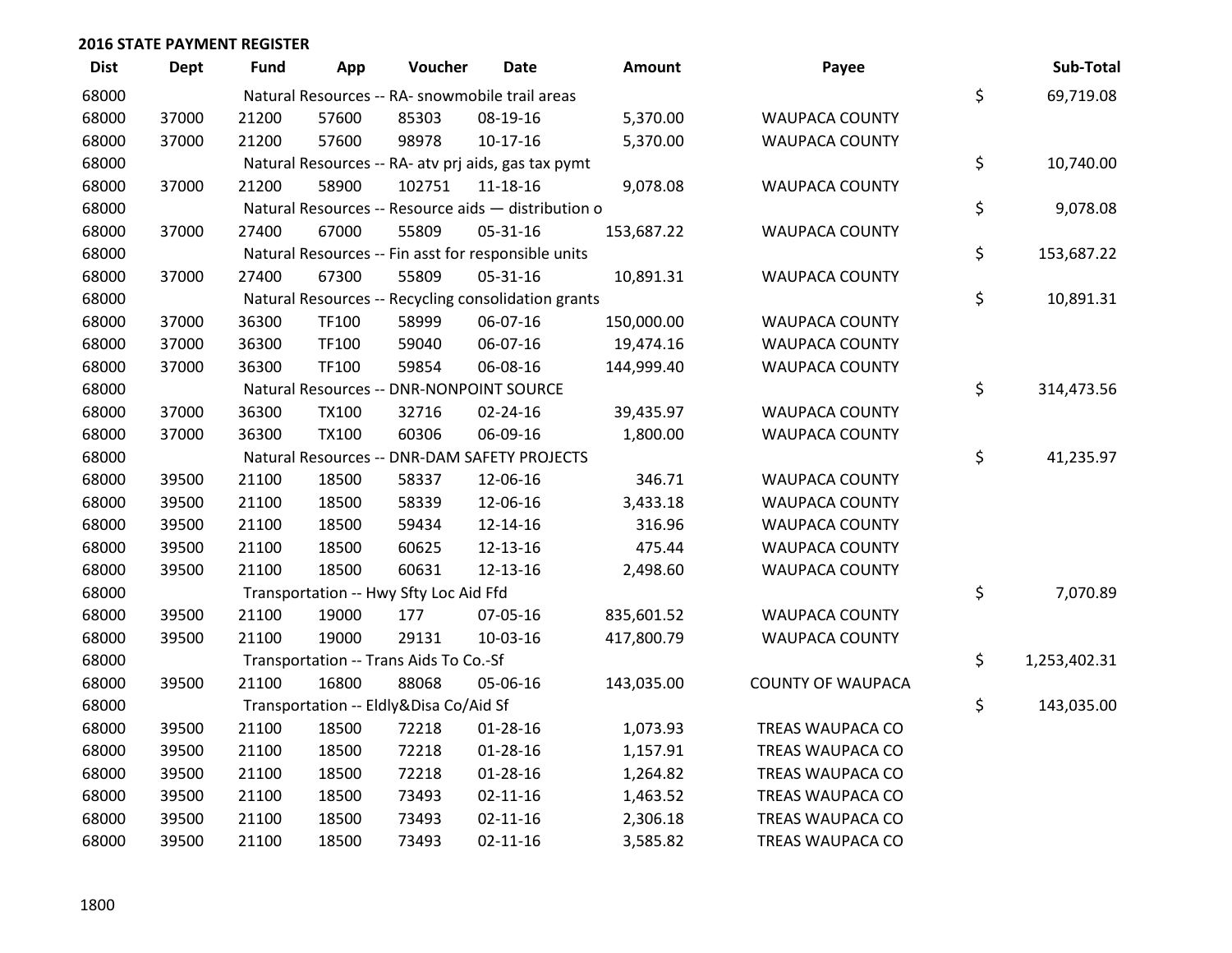| <b>Dist</b> | <b>Dept</b> | <b>Fund</b> | App          | Voucher                                | Date                                                | Amount     | Payee                    | Sub-Total          |
|-------------|-------------|-------------|--------------|----------------------------------------|-----------------------------------------------------|------------|--------------------------|--------------------|
| 68000       |             |             |              |                                        | Natural Resources -- RA- snowmobile trail areas     |            |                          | \$<br>69,719.08    |
| 68000       | 37000       | 21200       | 57600        | 85303                                  | 08-19-16                                            | 5,370.00   | <b>WAUPACA COUNTY</b>    |                    |
| 68000       | 37000       | 21200       | 57600        | 98978                                  | $10-17-16$                                          | 5,370.00   | <b>WAUPACA COUNTY</b>    |                    |
| 68000       |             |             |              |                                        | Natural Resources -- RA- atv prj aids, gas tax pymt |            |                          | \$<br>10,740.00    |
| 68000       | 37000       | 21200       | 58900        | 102751                                 | 11-18-16                                            | 9,078.08   | <b>WAUPACA COUNTY</b>    |                    |
| 68000       |             |             |              |                                        | Natural Resources -- Resource aids - distribution o |            |                          | \$<br>9,078.08     |
| 68000       | 37000       | 27400       | 67000        | 55809                                  | 05-31-16                                            | 153,687.22 | <b>WAUPACA COUNTY</b>    |                    |
| 68000       |             |             |              |                                        | Natural Resources -- Fin asst for responsible units |            |                          | \$<br>153,687.22   |
| 68000       | 37000       | 27400       | 67300        | 55809                                  | 05-31-16                                            | 10,891.31  | <b>WAUPACA COUNTY</b>    |                    |
| 68000       |             |             |              |                                        | Natural Resources -- Recycling consolidation grants |            |                          | \$<br>10,891.31    |
| 68000       | 37000       | 36300       | TF100        | 58999                                  | 06-07-16                                            | 150,000.00 | <b>WAUPACA COUNTY</b>    |                    |
| 68000       | 37000       | 36300       | TF100        | 59040                                  | 06-07-16                                            | 19,474.16  | <b>WAUPACA COUNTY</b>    |                    |
| 68000       | 37000       | 36300       | TF100        | 59854                                  | 06-08-16                                            | 144,999.40 | <b>WAUPACA COUNTY</b>    |                    |
| 68000       |             |             |              |                                        | Natural Resources -- DNR-NONPOINT SOURCE            |            |                          | \$<br>314,473.56   |
| 68000       | 37000       | 36300       | <b>TX100</b> | 32716                                  | 02-24-16                                            | 39,435.97  | <b>WAUPACA COUNTY</b>    |                    |
| 68000       | 37000       | 36300       | <b>TX100</b> | 60306                                  | 06-09-16                                            | 1,800.00   | WAUPACA COUNTY           |                    |
| 68000       |             |             |              |                                        | Natural Resources -- DNR-DAM SAFETY PROJECTS        |            |                          | \$<br>41,235.97    |
| 68000       | 39500       | 21100       | 18500        | 58337                                  | 12-06-16                                            | 346.71     | <b>WAUPACA COUNTY</b>    |                    |
| 68000       | 39500       | 21100       | 18500        | 58339                                  | 12-06-16                                            | 3,433.18   | <b>WAUPACA COUNTY</b>    |                    |
| 68000       | 39500       | 21100       | 18500        | 59434                                  | 12-14-16                                            | 316.96     | <b>WAUPACA COUNTY</b>    |                    |
| 68000       | 39500       | 21100       | 18500        | 60625                                  | 12-13-16                                            | 475.44     | <b>WAUPACA COUNTY</b>    |                    |
| 68000       | 39500       | 21100       | 18500        | 60631                                  | 12-13-16                                            | 2,498.60   | <b>WAUPACA COUNTY</b>    |                    |
| 68000       |             |             |              | Transportation -- Hwy Sfty Loc Aid Ffd |                                                     |            |                          | \$<br>7,070.89     |
| 68000       | 39500       | 21100       | 19000        | 177                                    | 07-05-16                                            | 835,601.52 | <b>WAUPACA COUNTY</b>    |                    |
| 68000       | 39500       | 21100       | 19000        | 29131                                  | 10-03-16                                            | 417,800.79 | <b>WAUPACA COUNTY</b>    |                    |
| 68000       |             |             |              | Transportation -- Trans Aids To Co.-Sf |                                                     |            |                          | \$<br>1,253,402.31 |
| 68000       | 39500       | 21100       | 16800        | 88068                                  | 05-06-16                                            | 143,035.00 | <b>COUNTY OF WAUPACA</b> |                    |
| 68000       |             |             |              | Transportation -- Eldly&Disa Co/Aid Sf |                                                     |            |                          | \$<br>143,035.00   |
| 68000       | 39500       | 21100       | 18500        | 72218                                  | 01-28-16                                            | 1,073.93   | TREAS WAUPACA CO         |                    |
| 68000       | 39500       | 21100       | 18500        | 72218                                  | $01 - 28 - 16$                                      | 1,157.91   | TREAS WAUPACA CO         |                    |
| 68000       | 39500       | 21100       | 18500        | 72218                                  | $01 - 28 - 16$                                      | 1,264.82   | TREAS WAUPACA CO         |                    |
| 68000       | 39500       | 21100       | 18500        | 73493                                  | $02 - 11 - 16$                                      | 1,463.52   | TREAS WAUPACA CO         |                    |
| 68000       | 39500       | 21100       | 18500        | 73493                                  | $02 - 11 - 16$                                      | 2,306.18   | TREAS WAUPACA CO         |                    |
| 68000       | 39500       | 21100       | 18500        | 73493                                  | $02 - 11 - 16$                                      | 3,585.82   | TREAS WAUPACA CO         |                    |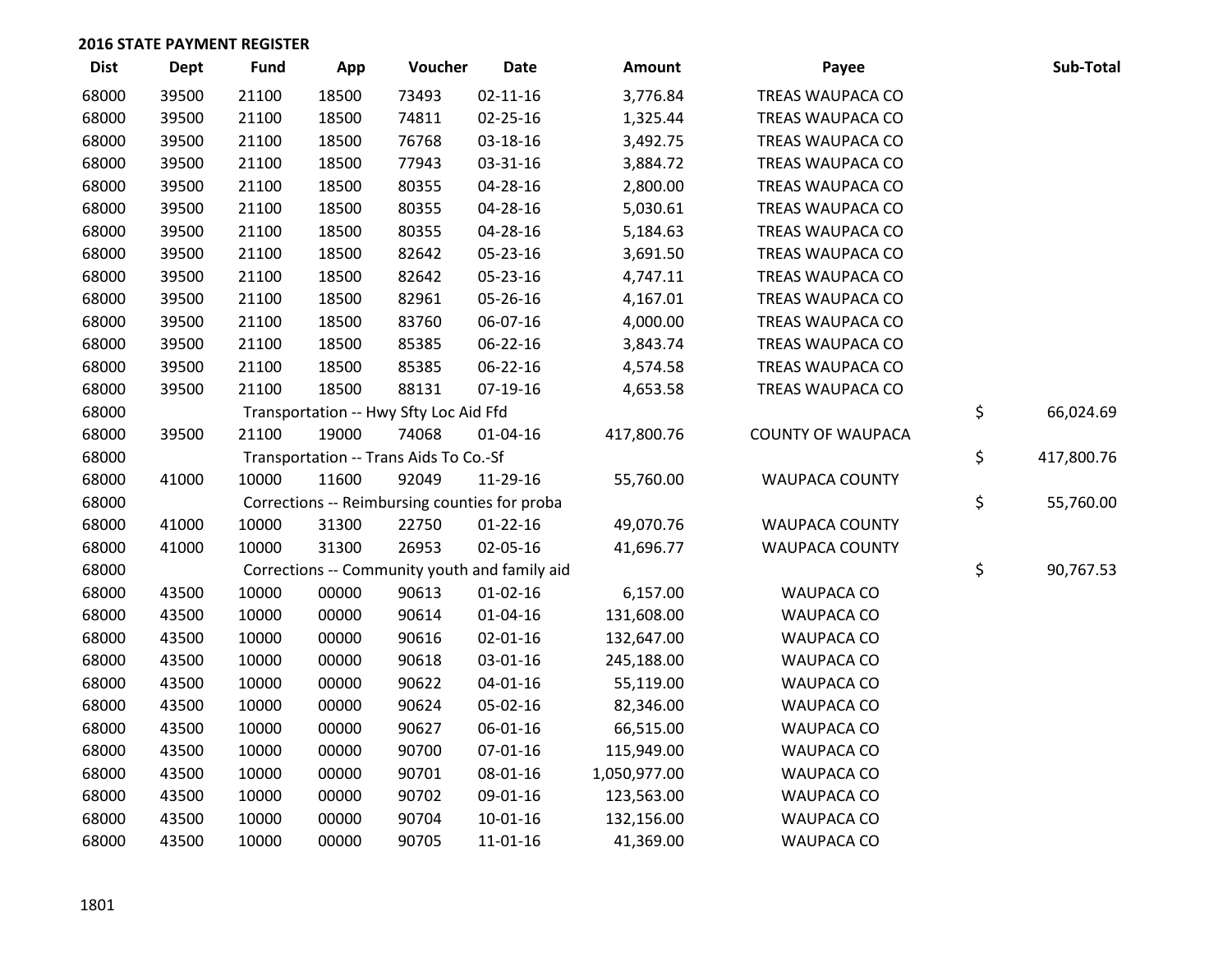| <b>Dist</b> | <b>Dept</b> | <b>Fund</b> | App   | Voucher                                       | <b>Date</b>    | Amount       | Payee                    | Sub-Total        |
|-------------|-------------|-------------|-------|-----------------------------------------------|----------------|--------------|--------------------------|------------------|
| 68000       | 39500       | 21100       | 18500 | 73493                                         | $02 - 11 - 16$ | 3,776.84     | TREAS WAUPACA CO         |                  |
| 68000       | 39500       | 21100       | 18500 | 74811                                         | 02-25-16       | 1,325.44     | TREAS WAUPACA CO         |                  |
| 68000       | 39500       | 21100       | 18500 | 76768                                         | 03-18-16       | 3,492.75     | TREAS WAUPACA CO         |                  |
| 68000       | 39500       | 21100       | 18500 | 77943                                         | 03-31-16       | 3,884.72     | TREAS WAUPACA CO         |                  |
| 68000       | 39500       | 21100       | 18500 | 80355                                         | 04-28-16       | 2,800.00     | TREAS WAUPACA CO         |                  |
| 68000       | 39500       | 21100       | 18500 | 80355                                         | 04-28-16       | 5,030.61     | TREAS WAUPACA CO         |                  |
| 68000       | 39500       | 21100       | 18500 | 80355                                         | 04-28-16       | 5,184.63     | TREAS WAUPACA CO         |                  |
| 68000       | 39500       | 21100       | 18500 | 82642                                         | 05-23-16       | 3,691.50     | TREAS WAUPACA CO         |                  |
| 68000       | 39500       | 21100       | 18500 | 82642                                         | 05-23-16       | 4,747.11     | TREAS WAUPACA CO         |                  |
| 68000       | 39500       | 21100       | 18500 | 82961                                         | 05-26-16       | 4,167.01     | TREAS WAUPACA CO         |                  |
| 68000       | 39500       | 21100       | 18500 | 83760                                         | 06-07-16       | 4,000.00     | TREAS WAUPACA CO         |                  |
| 68000       | 39500       | 21100       | 18500 | 85385                                         | 06-22-16       | 3,843.74     | TREAS WAUPACA CO         |                  |
| 68000       | 39500       | 21100       | 18500 | 85385                                         | 06-22-16       | 4,574.58     | TREAS WAUPACA CO         |                  |
| 68000       | 39500       | 21100       | 18500 | 88131                                         | 07-19-16       | 4,653.58     | TREAS WAUPACA CO         |                  |
| 68000       |             |             |       | Transportation -- Hwy Sfty Loc Aid Ffd        |                |              |                          | \$<br>66,024.69  |
| 68000       | 39500       | 21100       | 19000 | 74068                                         | $01 - 04 - 16$ | 417,800.76   | <b>COUNTY OF WAUPACA</b> |                  |
| 68000       |             |             |       | Transportation -- Trans Aids To Co.-Sf        |                |              |                          | \$<br>417,800.76 |
| 68000       | 41000       | 10000       | 11600 | 92049                                         | 11-29-16       | 55,760.00    | WAUPACA COUNTY           |                  |
| 68000       |             |             |       | Corrections -- Reimbursing counties for proba |                |              |                          | \$<br>55,760.00  |
| 68000       | 41000       | 10000       | 31300 | 22750                                         | $01 - 22 - 16$ | 49,070.76    | WAUPACA COUNTY           |                  |
| 68000       | 41000       | 10000       | 31300 | 26953                                         | 02-05-16       | 41,696.77    | <b>WAUPACA COUNTY</b>    |                  |
| 68000       |             |             |       | Corrections -- Community youth and family aid |                |              |                          | \$<br>90,767.53  |
| 68000       | 43500       | 10000       | 00000 | 90613                                         | $01 - 02 - 16$ | 6,157.00     | WAUPACA CO               |                  |
| 68000       | 43500       | 10000       | 00000 | 90614                                         | $01 - 04 - 16$ | 131,608.00   | <b>WAUPACA CO</b>        |                  |
| 68000       | 43500       | 10000       | 00000 | 90616                                         | $02 - 01 - 16$ | 132,647.00   | WAUPACA CO               |                  |
| 68000       | 43500       | 10000       | 00000 | 90618                                         | 03-01-16       | 245,188.00   | <b>WAUPACA CO</b>        |                  |
| 68000       | 43500       | 10000       | 00000 | 90622                                         | $04 - 01 - 16$ | 55,119.00    | WAUPACA CO               |                  |
| 68000       | 43500       | 10000       | 00000 | 90624                                         | 05-02-16       | 82,346.00    | WAUPACA CO               |                  |
| 68000       | 43500       | 10000       | 00000 | 90627                                         | 06-01-16       | 66,515.00    | WAUPACA CO               |                  |
| 68000       | 43500       | 10000       | 00000 | 90700                                         | 07-01-16       | 115,949.00   | <b>WAUPACA CO</b>        |                  |
| 68000       | 43500       | 10000       | 00000 | 90701                                         | 08-01-16       | 1,050,977.00 | WAUPACA CO               |                  |
| 68000       | 43500       | 10000       | 00000 | 90702                                         | 09-01-16       | 123,563.00   | <b>WAUPACA CO</b>        |                  |
| 68000       | 43500       | 10000       | 00000 | 90704                                         | $10 - 01 - 16$ | 132,156.00   | WAUPACA CO               |                  |
| 68000       | 43500       | 10000       | 00000 | 90705                                         | 11-01-16       | 41,369.00    | <b>WAUPACA CO</b>        |                  |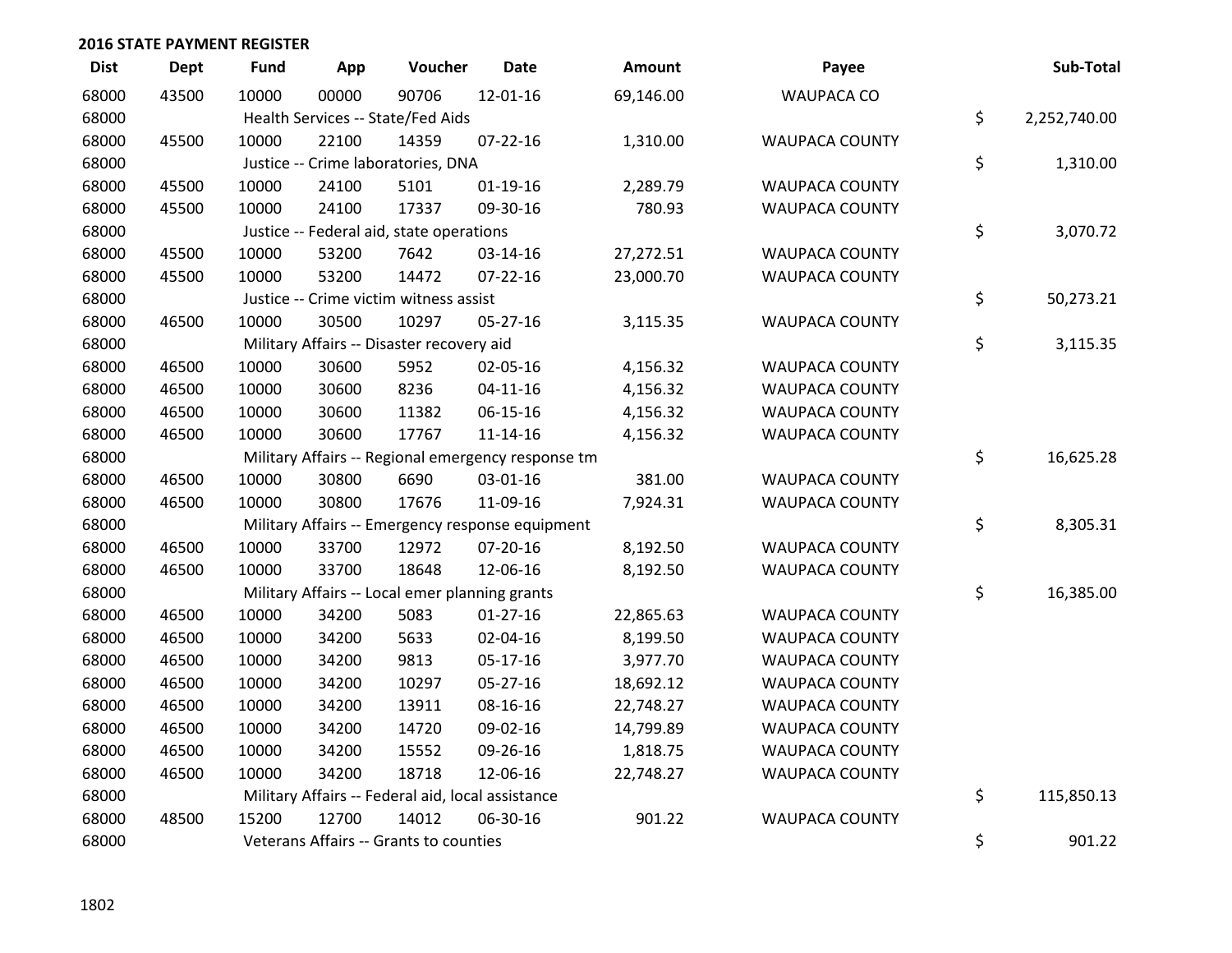| <b>Dist</b> | <b>Dept</b> | <b>Fund</b> | App   | Voucher                                           | <b>Date</b>                                        | Amount    | Payee                 | Sub-Total          |
|-------------|-------------|-------------|-------|---------------------------------------------------|----------------------------------------------------|-----------|-----------------------|--------------------|
| 68000       | 43500       | 10000       | 00000 | 90706                                             | 12-01-16                                           | 69,146.00 | <b>WAUPACA CO</b>     |                    |
| 68000       |             |             |       | Health Services -- State/Fed Aids                 |                                                    |           |                       | \$<br>2,252,740.00 |
| 68000       | 45500       | 10000       | 22100 | 14359                                             | $07 - 22 - 16$                                     | 1,310.00  | <b>WAUPACA COUNTY</b> |                    |
| 68000       |             |             |       | Justice -- Crime laboratories, DNA                |                                                    |           |                       | \$<br>1,310.00     |
| 68000       | 45500       | 10000       | 24100 | 5101                                              | $01 - 19 - 16$                                     | 2,289.79  | WAUPACA COUNTY        |                    |
| 68000       | 45500       | 10000       | 24100 | 17337                                             | 09-30-16                                           | 780.93    | <b>WAUPACA COUNTY</b> |                    |
| 68000       |             |             |       | Justice -- Federal aid, state operations          |                                                    |           |                       | \$<br>3,070.72     |
| 68000       | 45500       | 10000       | 53200 | 7642                                              | 03-14-16                                           | 27,272.51 | <b>WAUPACA COUNTY</b> |                    |
| 68000       | 45500       | 10000       | 53200 | 14472                                             | 07-22-16                                           | 23,000.70 | WAUPACA COUNTY        |                    |
| 68000       |             |             |       | Justice -- Crime victim witness assist            |                                                    |           |                       | \$<br>50,273.21    |
| 68000       | 46500       | 10000       | 30500 | 10297                                             | 05-27-16                                           | 3,115.35  | <b>WAUPACA COUNTY</b> |                    |
| 68000       |             |             |       | Military Affairs -- Disaster recovery aid         |                                                    |           |                       | \$<br>3,115.35     |
| 68000       | 46500       | 10000       | 30600 | 5952                                              | 02-05-16                                           | 4,156.32  | <b>WAUPACA COUNTY</b> |                    |
| 68000       | 46500       | 10000       | 30600 | 8236                                              | $04 - 11 - 16$                                     | 4,156.32  | <b>WAUPACA COUNTY</b> |                    |
| 68000       | 46500       | 10000       | 30600 | 11382                                             | 06-15-16                                           | 4,156.32  | <b>WAUPACA COUNTY</b> |                    |
| 68000       | 46500       | 10000       | 30600 | 17767                                             | $11 - 14 - 16$                                     | 4,156.32  | <b>WAUPACA COUNTY</b> |                    |
| 68000       |             |             |       |                                                   | Military Affairs -- Regional emergency response tm |           |                       | \$<br>16,625.28    |
| 68000       | 46500       | 10000       | 30800 | 6690                                              | 03-01-16                                           | 381.00    | <b>WAUPACA COUNTY</b> |                    |
| 68000       | 46500       | 10000       | 30800 | 17676                                             | 11-09-16                                           | 7,924.31  | WAUPACA COUNTY        |                    |
| 68000       |             |             |       |                                                   | Military Affairs -- Emergency response equipment   |           |                       | \$<br>8,305.31     |
| 68000       | 46500       | 10000       | 33700 | 12972                                             | 07-20-16                                           | 8,192.50  | <b>WAUPACA COUNTY</b> |                    |
| 68000       | 46500       | 10000       | 33700 | 18648                                             | 12-06-16                                           | 8,192.50  | WAUPACA COUNTY        |                    |
| 68000       |             |             |       | Military Affairs -- Local emer planning grants    |                                                    |           |                       | \$<br>16,385.00    |
| 68000       | 46500       | 10000       | 34200 | 5083                                              | $01-27-16$                                         | 22,865.63 | <b>WAUPACA COUNTY</b> |                    |
| 68000       | 46500       | 10000       | 34200 | 5633                                              | 02-04-16                                           | 8,199.50  | <b>WAUPACA COUNTY</b> |                    |
| 68000       | 46500       | 10000       | 34200 | 9813                                              | 05-17-16                                           | 3,977.70  | <b>WAUPACA COUNTY</b> |                    |
| 68000       | 46500       | 10000       | 34200 | 10297                                             | 05-27-16                                           | 18,692.12 | <b>WAUPACA COUNTY</b> |                    |
| 68000       | 46500       | 10000       | 34200 | 13911                                             | 08-16-16                                           | 22,748.27 | <b>WAUPACA COUNTY</b> |                    |
| 68000       | 46500       | 10000       | 34200 | 14720                                             | 09-02-16                                           | 14,799.89 | <b>WAUPACA COUNTY</b> |                    |
| 68000       | 46500       | 10000       | 34200 | 15552                                             | 09-26-16                                           | 1,818.75  | <b>WAUPACA COUNTY</b> |                    |
| 68000       | 46500       | 10000       | 34200 | 18718                                             | 12-06-16                                           | 22,748.27 | <b>WAUPACA COUNTY</b> |                    |
| 68000       |             |             |       | Military Affairs -- Federal aid, local assistance |                                                    |           |                       | \$<br>115,850.13   |
| 68000       | 48500       | 15200       | 12700 | 14012                                             | 06-30-16                                           | 901.22    | <b>WAUPACA COUNTY</b> |                    |
| 68000       |             |             |       | Veterans Affairs -- Grants to counties            |                                                    |           |                       | \$<br>901.22       |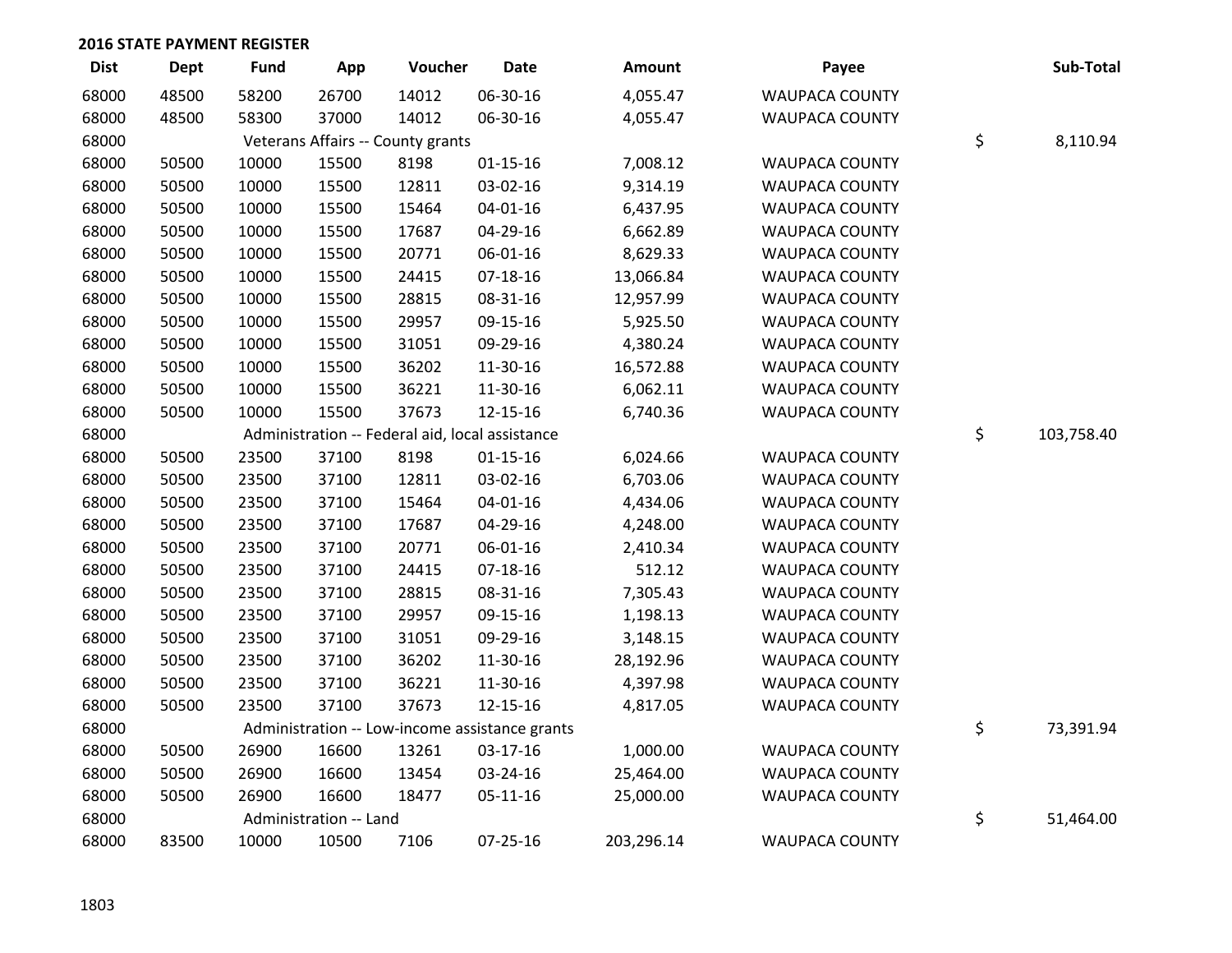| <b>Dist</b> | Dept  | <b>Fund</b> | App                    | Voucher                                         | Date                                           | Amount     | Payee                 | Sub-Total        |
|-------------|-------|-------------|------------------------|-------------------------------------------------|------------------------------------------------|------------|-----------------------|------------------|
| 68000       | 48500 | 58200       | 26700                  | 14012                                           | 06-30-16                                       | 4,055.47   | <b>WAUPACA COUNTY</b> |                  |
| 68000       | 48500 | 58300       | 37000                  | 14012                                           | 06-30-16                                       | 4,055.47   | <b>WAUPACA COUNTY</b> |                  |
| 68000       |       |             |                        | Veterans Affairs -- County grants               |                                                |            |                       | \$<br>8,110.94   |
| 68000       | 50500 | 10000       | 15500                  | 8198                                            | $01 - 15 - 16$                                 | 7,008.12   | <b>WAUPACA COUNTY</b> |                  |
| 68000       | 50500 | 10000       | 15500                  | 12811                                           | 03-02-16                                       | 9,314.19   | <b>WAUPACA COUNTY</b> |                  |
| 68000       | 50500 | 10000       | 15500                  | 15464                                           | $04 - 01 - 16$                                 | 6,437.95   | <b>WAUPACA COUNTY</b> |                  |
| 68000       | 50500 | 10000       | 15500                  | 17687                                           | 04-29-16                                       | 6,662.89   | <b>WAUPACA COUNTY</b> |                  |
| 68000       | 50500 | 10000       | 15500                  | 20771                                           | 06-01-16                                       | 8,629.33   | <b>WAUPACA COUNTY</b> |                  |
| 68000       | 50500 | 10000       | 15500                  | 24415                                           | $07-18-16$                                     | 13,066.84  | <b>WAUPACA COUNTY</b> |                  |
| 68000       | 50500 | 10000       | 15500                  | 28815                                           | 08-31-16                                       | 12,957.99  | <b>WAUPACA COUNTY</b> |                  |
| 68000       | 50500 | 10000       | 15500                  | 29957                                           | 09-15-16                                       | 5,925.50   | <b>WAUPACA COUNTY</b> |                  |
| 68000       | 50500 | 10000       | 15500                  | 31051                                           | 09-29-16                                       | 4,380.24   | <b>WAUPACA COUNTY</b> |                  |
| 68000       | 50500 | 10000       | 15500                  | 36202                                           | 11-30-16                                       | 16,572.88  | <b>WAUPACA COUNTY</b> |                  |
| 68000       | 50500 | 10000       | 15500                  | 36221                                           | 11-30-16                                       | 6,062.11   | <b>WAUPACA COUNTY</b> |                  |
| 68000       | 50500 | 10000       | 15500                  | 37673                                           | 12-15-16                                       | 6,740.36   | <b>WAUPACA COUNTY</b> |                  |
| 68000       |       |             |                        | Administration -- Federal aid, local assistance |                                                |            |                       | \$<br>103,758.40 |
| 68000       | 50500 | 23500       | 37100                  | 8198                                            | $01-15-16$                                     | 6,024.66   | WAUPACA COUNTY        |                  |
| 68000       | 50500 | 23500       | 37100                  | 12811                                           | 03-02-16                                       | 6,703.06   | <b>WAUPACA COUNTY</b> |                  |
| 68000       | 50500 | 23500       | 37100                  | 15464                                           | $04 - 01 - 16$                                 | 4,434.06   | <b>WAUPACA COUNTY</b> |                  |
| 68000       | 50500 | 23500       | 37100                  | 17687                                           | 04-29-16                                       | 4,248.00   | <b>WAUPACA COUNTY</b> |                  |
| 68000       | 50500 | 23500       | 37100                  | 20771                                           | 06-01-16                                       | 2,410.34   | <b>WAUPACA COUNTY</b> |                  |
| 68000       | 50500 | 23500       | 37100                  | 24415                                           | $07-18-16$                                     | 512.12     | <b>WAUPACA COUNTY</b> |                  |
| 68000       | 50500 | 23500       | 37100                  | 28815                                           | 08-31-16                                       | 7,305.43   | <b>WAUPACA COUNTY</b> |                  |
| 68000       | 50500 | 23500       | 37100                  | 29957                                           | 09-15-16                                       | 1,198.13   | <b>WAUPACA COUNTY</b> |                  |
| 68000       | 50500 | 23500       | 37100                  | 31051                                           | 09-29-16                                       | 3,148.15   | <b>WAUPACA COUNTY</b> |                  |
| 68000       | 50500 | 23500       | 37100                  | 36202                                           | 11-30-16                                       | 28,192.96  | <b>WAUPACA COUNTY</b> |                  |
| 68000       | 50500 | 23500       | 37100                  | 36221                                           | 11-30-16                                       | 4,397.98   | <b>WAUPACA COUNTY</b> |                  |
| 68000       | 50500 | 23500       | 37100                  | 37673                                           | 12-15-16                                       | 4,817.05   | <b>WAUPACA COUNTY</b> |                  |
| 68000       |       |             |                        |                                                 | Administration -- Low-income assistance grants |            |                       | \$<br>73,391.94  |
| 68000       | 50500 | 26900       | 16600                  | 13261                                           | 03-17-16                                       | 1,000.00   | <b>WAUPACA COUNTY</b> |                  |
| 68000       | 50500 | 26900       | 16600                  | 13454                                           | 03-24-16                                       | 25,464.00  | <b>WAUPACA COUNTY</b> |                  |
| 68000       | 50500 | 26900       | 16600                  | 18477                                           | $05-11-16$                                     | 25,000.00  | <b>WAUPACA COUNTY</b> |                  |
| 68000       |       |             | Administration -- Land |                                                 |                                                |            |                       | \$<br>51,464.00  |
| 68000       | 83500 | 10000       | 10500                  | 7106                                            | $07 - 25 - 16$                                 | 203,296.14 | <b>WAUPACA COUNTY</b> |                  |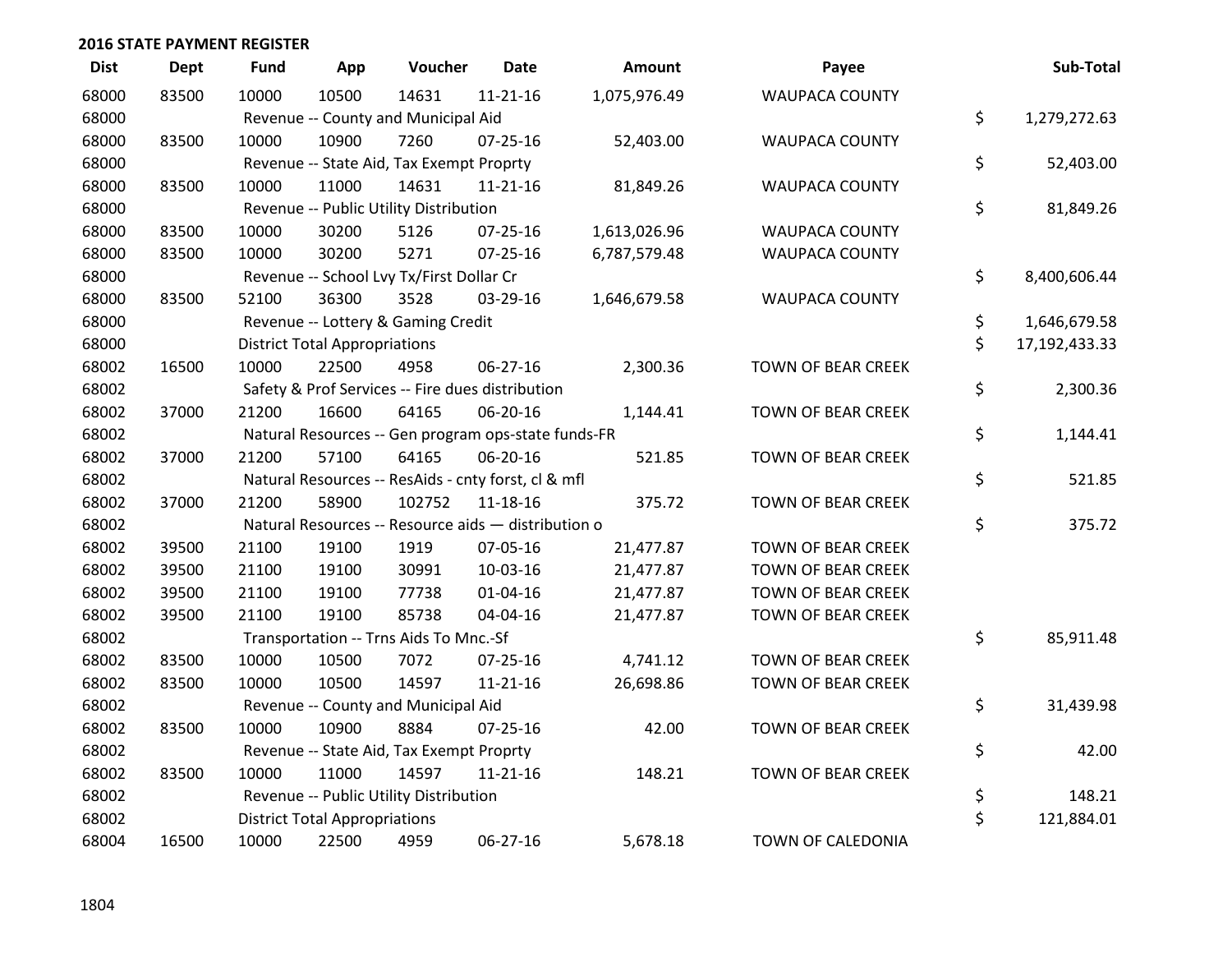| <b>Dist</b> | <b>Dept</b> | <b>Fund</b> | App                                  | Voucher                                             | <b>Date</b>    | <b>Amount</b> | Payee                     | Sub-Total           |
|-------------|-------------|-------------|--------------------------------------|-----------------------------------------------------|----------------|---------------|---------------------------|---------------------|
| 68000       | 83500       | 10000       | 10500                                | 14631                                               | $11 - 21 - 16$ | 1,075,976.49  | <b>WAUPACA COUNTY</b>     |                     |
| 68000       |             |             |                                      | Revenue -- County and Municipal Aid                 |                |               |                           | \$<br>1,279,272.63  |
| 68000       | 83500       | 10000       | 10900                                | 7260                                                | $07 - 25 - 16$ | 52,403.00     | <b>WAUPACA COUNTY</b>     |                     |
| 68000       |             |             |                                      | Revenue -- State Aid, Tax Exempt Proprty            |                |               |                           | \$<br>52,403.00     |
| 68000       | 83500       | 10000       | 11000                                | 14631                                               | $11 - 21 - 16$ | 81,849.26     | <b>WAUPACA COUNTY</b>     |                     |
| 68000       |             |             |                                      | Revenue -- Public Utility Distribution              |                |               |                           | \$<br>81,849.26     |
| 68000       | 83500       | 10000       | 30200                                | 5126                                                | 07-25-16       | 1,613,026.96  | <b>WAUPACA COUNTY</b>     |                     |
| 68000       | 83500       | 10000       | 30200                                | 5271                                                | $07 - 25 - 16$ | 6,787,579.48  | <b>WAUPACA COUNTY</b>     |                     |
| 68000       |             |             |                                      | Revenue -- School Lvy Tx/First Dollar Cr            |                |               |                           | \$<br>8,400,606.44  |
| 68000       | 83500       | 52100       | 36300                                | 3528                                                | 03-29-16       | 1,646,679.58  | <b>WAUPACA COUNTY</b>     |                     |
| 68000       |             |             |                                      | Revenue -- Lottery & Gaming Credit                  |                |               |                           | \$<br>1,646,679.58  |
| 68000       |             |             | <b>District Total Appropriations</b> |                                                     |                |               |                           | \$<br>17,192,433.33 |
| 68002       | 16500       | 10000       | 22500                                | 4958                                                | 06-27-16       | 2,300.36      | TOWN OF BEAR CREEK        |                     |
| 68002       |             |             |                                      | Safety & Prof Services -- Fire dues distribution    |                |               |                           | \$<br>2,300.36      |
| 68002       | 37000       | 21200       | 16600                                | 64165                                               | 06-20-16       | 1,144.41      | TOWN OF BEAR CREEK        |                     |
| 68002       |             |             |                                      | Natural Resources -- Gen program ops-state funds-FR |                |               |                           | \$<br>1,144.41      |
| 68002       | 37000       | 21200       | 57100                                | 64165                                               | 06-20-16       | 521.85        | <b>TOWN OF BEAR CREEK</b> |                     |
| 68002       |             |             |                                      | Natural Resources -- ResAids - cnty forst, cl & mfl |                |               |                           | \$<br>521.85        |
| 68002       | 37000       | 21200       | 58900                                | 102752                                              | 11-18-16       | 375.72        | TOWN OF BEAR CREEK        |                     |
| 68002       |             |             |                                      | Natural Resources -- Resource aids - distribution o |                |               |                           | \$<br>375.72        |
| 68002       | 39500       | 21100       | 19100                                | 1919                                                | 07-05-16       | 21,477.87     | <b>TOWN OF BEAR CREEK</b> |                     |
| 68002       | 39500       | 21100       | 19100                                | 30991                                               | 10-03-16       | 21,477.87     | TOWN OF BEAR CREEK        |                     |
| 68002       | 39500       | 21100       | 19100                                | 77738                                               | $01 - 04 - 16$ | 21,477.87     | TOWN OF BEAR CREEK        |                     |
| 68002       | 39500       | 21100       | 19100                                | 85738                                               | 04-04-16       | 21,477.87     | TOWN OF BEAR CREEK        |                     |
| 68002       |             |             |                                      | Transportation -- Trns Aids To Mnc.-Sf              |                |               |                           | \$<br>85,911.48     |
| 68002       | 83500       | 10000       | 10500                                | 7072                                                | $07 - 25 - 16$ | 4,741.12      | TOWN OF BEAR CREEK        |                     |
| 68002       | 83500       | 10000       | 10500                                | 14597                                               | $11 - 21 - 16$ | 26,698.86     | TOWN OF BEAR CREEK        |                     |
| 68002       |             |             |                                      | Revenue -- County and Municipal Aid                 |                |               |                           | \$<br>31,439.98     |
| 68002       | 83500       | 10000       | 10900                                | 8884                                                | 07-25-16       | 42.00         | TOWN OF BEAR CREEK        |                     |
| 68002       |             |             |                                      | Revenue -- State Aid, Tax Exempt Proprty            |                |               |                           | \$<br>42.00         |
| 68002       | 83500       | 10000       | 11000                                | 14597                                               | $11 - 21 - 16$ | 148.21        | TOWN OF BEAR CREEK        |                     |
| 68002       |             |             |                                      | Revenue -- Public Utility Distribution              |                |               |                           | \$<br>148.21        |
| 68002       |             |             | <b>District Total Appropriations</b> |                                                     |                |               |                           | \$<br>121,884.01    |
| 68004       | 16500       | 10000       | 22500                                | 4959                                                | 06-27-16       | 5,678.18      | TOWN OF CALEDONIA         |                     |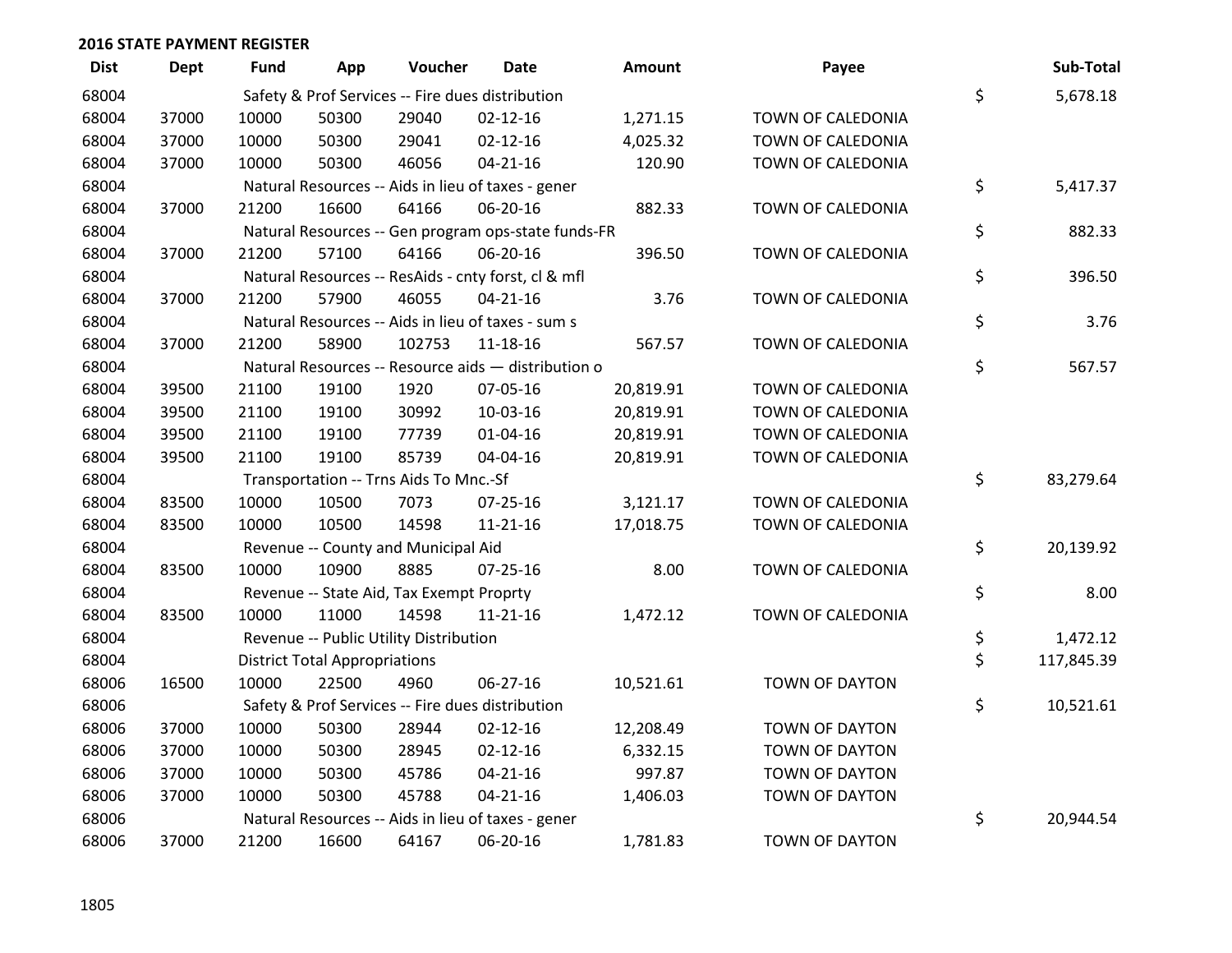| <b>Dist</b> | Dept  | Fund  | App                                  | Voucher                                  | <b>Date</b>                                         | <b>Amount</b> | Payee                 | Sub-Total        |
|-------------|-------|-------|--------------------------------------|------------------------------------------|-----------------------------------------------------|---------------|-----------------------|------------------|
| 68004       |       |       |                                      |                                          | Safety & Prof Services -- Fire dues distribution    |               |                       | \$<br>5,678.18   |
| 68004       | 37000 | 10000 | 50300                                | 29040                                    | $02 - 12 - 16$                                      | 1,271.15      | TOWN OF CALEDONIA     |                  |
| 68004       | 37000 | 10000 | 50300                                | 29041                                    | $02 - 12 - 16$                                      | 4,025.32      | TOWN OF CALEDONIA     |                  |
| 68004       | 37000 | 10000 | 50300                                | 46056                                    | $04 - 21 - 16$                                      | 120.90        | TOWN OF CALEDONIA     |                  |
| 68004       |       |       |                                      |                                          | Natural Resources -- Aids in lieu of taxes - gener  |               |                       | \$<br>5,417.37   |
| 68004       | 37000 | 21200 | 16600                                | 64166                                    | 06-20-16                                            | 882.33        | TOWN OF CALEDONIA     |                  |
| 68004       |       |       |                                      |                                          | Natural Resources -- Gen program ops-state funds-FR |               |                       | \$<br>882.33     |
| 68004       | 37000 | 21200 | 57100                                | 64166                                    | 06-20-16                                            | 396.50        | TOWN OF CALEDONIA     |                  |
| 68004       |       |       |                                      |                                          | Natural Resources -- ResAids - cnty forst, cl & mfl |               |                       | \$<br>396.50     |
| 68004       | 37000 | 21200 | 57900                                | 46055                                    | $04 - 21 - 16$                                      | 3.76          | TOWN OF CALEDONIA     |                  |
| 68004       |       |       |                                      |                                          | Natural Resources -- Aids in lieu of taxes - sum s  |               |                       | \$<br>3.76       |
| 68004       | 37000 | 21200 | 58900                                | 102753                                   | $11 - 18 - 16$                                      | 567.57        | TOWN OF CALEDONIA     |                  |
| 68004       |       |       |                                      |                                          | Natural Resources -- Resource aids - distribution o |               |                       | \$<br>567.57     |
| 68004       | 39500 | 21100 | 19100                                | 1920                                     | 07-05-16                                            | 20,819.91     | TOWN OF CALEDONIA     |                  |
| 68004       | 39500 | 21100 | 19100                                | 30992                                    | 10-03-16                                            | 20,819.91     | TOWN OF CALEDONIA     |                  |
| 68004       | 39500 | 21100 | 19100                                | 77739                                    | $01 - 04 - 16$                                      | 20,819.91     | TOWN OF CALEDONIA     |                  |
| 68004       | 39500 | 21100 | 19100                                | 85739                                    | 04-04-16                                            | 20,819.91     | TOWN OF CALEDONIA     |                  |
| 68004       |       |       |                                      | Transportation -- Trns Aids To Mnc.-Sf   |                                                     |               |                       | \$<br>83,279.64  |
| 68004       | 83500 | 10000 | 10500                                | 7073                                     | $07 - 25 - 16$                                      | 3,121.17      | TOWN OF CALEDONIA     |                  |
| 68004       | 83500 | 10000 | 10500                                | 14598                                    | $11 - 21 - 16$                                      | 17,018.75     | TOWN OF CALEDONIA     |                  |
| 68004       |       |       |                                      | Revenue -- County and Municipal Aid      |                                                     |               |                       | \$<br>20,139.92  |
| 68004       | 83500 | 10000 | 10900                                | 8885                                     | 07-25-16                                            | 8.00          | TOWN OF CALEDONIA     |                  |
| 68004       |       |       |                                      | Revenue -- State Aid, Tax Exempt Proprty |                                                     |               |                       | \$<br>8.00       |
| 68004       | 83500 | 10000 | 11000                                | 14598                                    | 11-21-16                                            | 1,472.12      | TOWN OF CALEDONIA     |                  |
| 68004       |       |       |                                      | Revenue -- Public Utility Distribution   |                                                     |               |                       | \$<br>1,472.12   |
| 68004       |       |       | <b>District Total Appropriations</b> |                                          |                                                     |               |                       | \$<br>117,845.39 |
| 68006       | 16500 | 10000 | 22500                                | 4960                                     | $06 - 27 - 16$                                      | 10,521.61     | TOWN OF DAYTON        |                  |
| 68006       |       |       |                                      |                                          | Safety & Prof Services -- Fire dues distribution    |               |                       | \$<br>10,521.61  |
| 68006       | 37000 | 10000 | 50300                                | 28944                                    | $02 - 12 - 16$                                      | 12,208.49     | <b>TOWN OF DAYTON</b> |                  |
| 68006       | 37000 | 10000 | 50300                                | 28945                                    | $02 - 12 - 16$                                      | 6,332.15      | TOWN OF DAYTON        |                  |
| 68006       | 37000 | 10000 | 50300                                | 45786                                    | $04 - 21 - 16$                                      | 997.87        | TOWN OF DAYTON        |                  |
| 68006       | 37000 | 10000 | 50300                                | 45788                                    | $04 - 21 - 16$                                      | 1,406.03      | <b>TOWN OF DAYTON</b> |                  |
| 68006       |       |       |                                      |                                          | Natural Resources -- Aids in lieu of taxes - gener  |               |                       | \$<br>20,944.54  |
| 68006       | 37000 | 21200 | 16600                                | 64167                                    | 06-20-16                                            | 1,781.83      | <b>TOWN OF DAYTON</b> |                  |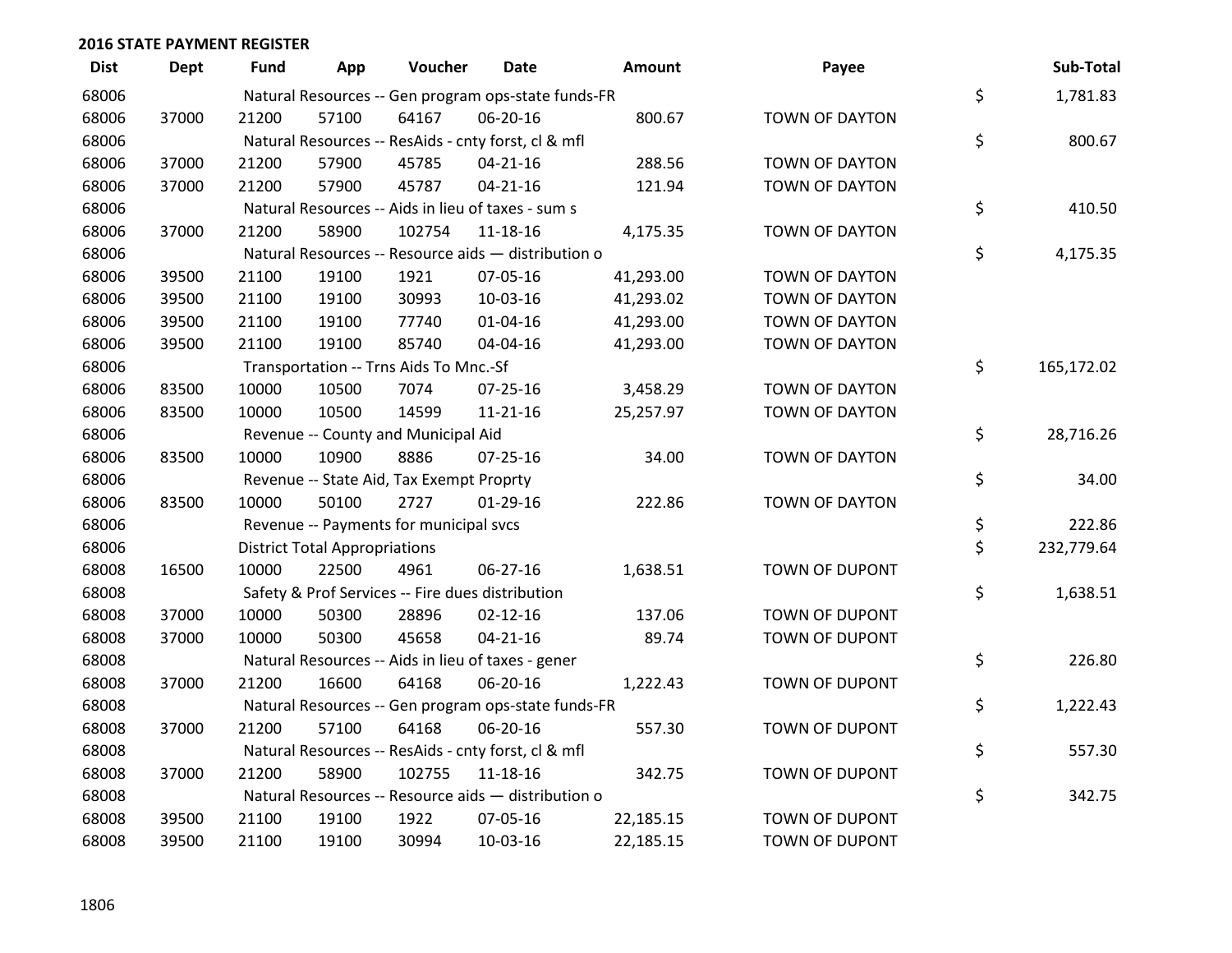| <b>Dist</b> | Dept  | Fund  | App                                  | Voucher                                          | <b>Date</b>                                         | Amount    | Payee                 | Sub-Total        |
|-------------|-------|-------|--------------------------------------|--------------------------------------------------|-----------------------------------------------------|-----------|-----------------------|------------------|
| 68006       |       |       |                                      |                                                  | Natural Resources -- Gen program ops-state funds-FR |           |                       | \$<br>1,781.83   |
| 68006       | 37000 | 21200 | 57100                                | 64167                                            | 06-20-16                                            | 800.67    | TOWN OF DAYTON        |                  |
| 68006       |       |       |                                      |                                                  | Natural Resources -- ResAids - cnty forst, cl & mfl |           |                       | \$<br>800.67     |
| 68006       | 37000 | 21200 | 57900                                | 45785                                            | $04 - 21 - 16$                                      | 288.56    | <b>TOWN OF DAYTON</b> |                  |
| 68006       | 37000 | 21200 | 57900                                | 45787                                            | $04 - 21 - 16$                                      | 121.94    | <b>TOWN OF DAYTON</b> |                  |
| 68006       |       |       |                                      |                                                  | Natural Resources -- Aids in lieu of taxes - sum s  |           |                       | \$<br>410.50     |
| 68006       | 37000 | 21200 | 58900                                | 102754                                           | 11-18-16                                            | 4,175.35  | TOWN OF DAYTON        |                  |
| 68006       |       |       |                                      |                                                  | Natural Resources -- Resource aids - distribution o |           |                       | \$<br>4,175.35   |
| 68006       | 39500 | 21100 | 19100                                | 1921                                             | 07-05-16                                            | 41,293.00 | <b>TOWN OF DAYTON</b> |                  |
| 68006       | 39500 | 21100 | 19100                                | 30993                                            | 10-03-16                                            | 41,293.02 | TOWN OF DAYTON        |                  |
| 68006       | 39500 | 21100 | 19100                                | 77740                                            | $01 - 04 - 16$                                      | 41,293.00 | TOWN OF DAYTON        |                  |
| 68006       | 39500 | 21100 | 19100                                | 85740                                            | 04-04-16                                            | 41,293.00 | <b>TOWN OF DAYTON</b> |                  |
| 68006       |       |       |                                      | Transportation -- Trns Aids To Mnc.-Sf           |                                                     |           |                       | \$<br>165,172.02 |
| 68006       | 83500 | 10000 | 10500                                | 7074                                             | $07 - 25 - 16$                                      | 3,458.29  | <b>TOWN OF DAYTON</b> |                  |
| 68006       | 83500 | 10000 | 10500                                | 14599                                            | $11 - 21 - 16$                                      | 25,257.97 | TOWN OF DAYTON        |                  |
| 68006       |       |       |                                      | Revenue -- County and Municipal Aid              |                                                     |           |                       | \$<br>28,716.26  |
| 68006       | 83500 | 10000 | 10900                                | 8886                                             | $07 - 25 - 16$                                      | 34.00     | <b>TOWN OF DAYTON</b> |                  |
| 68006       |       |       |                                      | Revenue -- State Aid, Tax Exempt Proprty         |                                                     |           |                       | \$<br>34.00      |
| 68006       | 83500 | 10000 | 50100                                | 2727                                             | 01-29-16                                            | 222.86    | <b>TOWN OF DAYTON</b> |                  |
| 68006       |       |       |                                      | Revenue -- Payments for municipal svcs           |                                                     |           |                       | \$<br>222.86     |
| 68006       |       |       | <b>District Total Appropriations</b> |                                                  |                                                     |           |                       | \$<br>232,779.64 |
| 68008       | 16500 | 10000 | 22500                                | 4961                                             | 06-27-16                                            | 1,638.51  | TOWN OF DUPONT        |                  |
| 68008       |       |       |                                      | Safety & Prof Services -- Fire dues distribution |                                                     |           |                       | \$<br>1,638.51   |
| 68008       | 37000 | 10000 | 50300                                | 28896                                            | $02 - 12 - 16$                                      | 137.06    | TOWN OF DUPONT        |                  |
| 68008       | 37000 | 10000 | 50300                                | 45658                                            | $04 - 21 - 16$                                      | 89.74     | TOWN OF DUPONT        |                  |
| 68008       |       |       |                                      |                                                  | Natural Resources -- Aids in lieu of taxes - gener  |           |                       | \$<br>226.80     |
| 68008       | 37000 | 21200 | 16600                                | 64168                                            | 06-20-16                                            | 1,222.43  | TOWN OF DUPONT        |                  |
| 68008       |       |       |                                      |                                                  | Natural Resources -- Gen program ops-state funds-FR |           |                       | \$<br>1,222.43   |
| 68008       | 37000 | 21200 | 57100                                | 64168                                            | 06-20-16                                            | 557.30    | TOWN OF DUPONT        |                  |
| 68008       |       |       |                                      |                                                  | Natural Resources -- ResAids - cnty forst, cl & mfl |           |                       | \$<br>557.30     |
| 68008       | 37000 | 21200 | 58900                                | 102755                                           | 11-18-16                                            | 342.75    | TOWN OF DUPONT        |                  |
| 68008       |       |       |                                      |                                                  | Natural Resources -- Resource aids - distribution o |           |                       | \$<br>342.75     |
| 68008       | 39500 | 21100 | 19100                                | 1922                                             | 07-05-16                                            | 22,185.15 | TOWN OF DUPONT        |                  |
| 68008       | 39500 | 21100 | 19100                                | 30994                                            | 10-03-16                                            | 22,185.15 | TOWN OF DUPONT        |                  |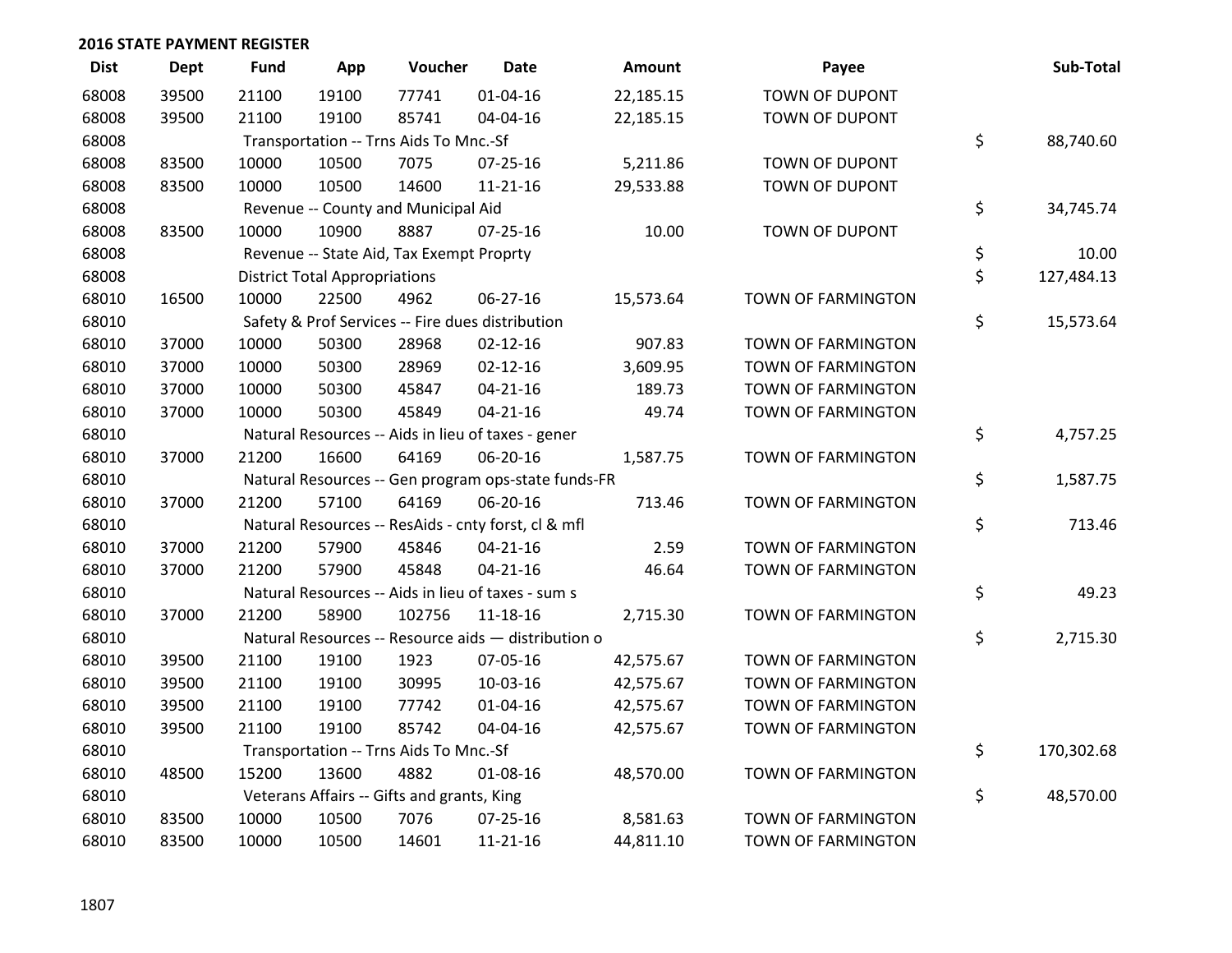| <b>Dist</b> | <b>Dept</b> | <b>Fund</b> | App                                  | Voucher                                             | <b>Date</b>    | <b>Amount</b> | Payee                     | Sub-Total        |
|-------------|-------------|-------------|--------------------------------------|-----------------------------------------------------|----------------|---------------|---------------------------|------------------|
| 68008       | 39500       | 21100       | 19100                                | 77741                                               | $01 - 04 - 16$ | 22,185.15     | TOWN OF DUPONT            |                  |
| 68008       | 39500       | 21100       | 19100                                | 85741                                               | 04-04-16       | 22,185.15     | <b>TOWN OF DUPONT</b>     |                  |
| 68008       |             |             |                                      | Transportation -- Trns Aids To Mnc.-Sf              |                |               |                           | \$<br>88,740.60  |
| 68008       | 83500       | 10000       | 10500                                | 7075                                                | $07 - 25 - 16$ | 5,211.86      | TOWN OF DUPONT            |                  |
| 68008       | 83500       | 10000       | 10500                                | 14600                                               | $11 - 21 - 16$ | 29,533.88     | TOWN OF DUPONT            |                  |
| 68008       |             |             |                                      | Revenue -- County and Municipal Aid                 |                |               |                           | \$<br>34,745.74  |
| 68008       | 83500       | 10000       | 10900                                | 8887                                                | $07 - 25 - 16$ | 10.00         | <b>TOWN OF DUPONT</b>     |                  |
| 68008       |             |             |                                      | Revenue -- State Aid, Tax Exempt Proprty            |                |               |                           | \$<br>10.00      |
| 68008       |             |             | <b>District Total Appropriations</b> |                                                     |                |               |                           | \$<br>127,484.13 |
| 68010       | 16500       | 10000       | 22500                                | 4962                                                | 06-27-16       | 15,573.64     | TOWN OF FARMINGTON        |                  |
| 68010       |             |             |                                      | Safety & Prof Services -- Fire dues distribution    |                |               |                           | \$<br>15,573.64  |
| 68010       | 37000       | 10000       | 50300                                | 28968                                               | $02 - 12 - 16$ | 907.83        | TOWN OF FARMINGTON        |                  |
| 68010       | 37000       | 10000       | 50300                                | 28969                                               | $02 - 12 - 16$ | 3,609.95      | TOWN OF FARMINGTON        |                  |
| 68010       | 37000       | 10000       | 50300                                | 45847                                               | $04 - 21 - 16$ | 189.73        | TOWN OF FARMINGTON        |                  |
| 68010       | 37000       | 10000       | 50300                                | 45849                                               | $04 - 21 - 16$ | 49.74         | TOWN OF FARMINGTON        |                  |
| 68010       |             |             |                                      | Natural Resources -- Aids in lieu of taxes - gener  |                |               |                           | \$<br>4,757.25   |
| 68010       | 37000       | 21200       | 16600                                | 64169                                               | 06-20-16       | 1,587.75      | TOWN OF FARMINGTON        |                  |
| 68010       |             |             |                                      | Natural Resources -- Gen program ops-state funds-FR |                |               |                           | \$<br>1,587.75   |
| 68010       | 37000       | 21200       | 57100                                | 64169                                               | 06-20-16       | 713.46        | <b>TOWN OF FARMINGTON</b> |                  |
| 68010       |             |             |                                      | Natural Resources -- ResAids - cnty forst, cl & mfl |                |               |                           | \$<br>713.46     |
| 68010       | 37000       | 21200       | 57900                                | 45846                                               | $04 - 21 - 16$ | 2.59          | TOWN OF FARMINGTON        |                  |
| 68010       | 37000       | 21200       | 57900                                | 45848                                               | $04 - 21 - 16$ | 46.64         | TOWN OF FARMINGTON        |                  |
| 68010       |             |             |                                      | Natural Resources -- Aids in lieu of taxes - sum s  |                |               |                           | \$<br>49.23      |
| 68010       | 37000       | 21200       | 58900                                | 102756                                              | $11 - 18 - 16$ | 2,715.30      | TOWN OF FARMINGTON        |                  |
| 68010       |             |             |                                      | Natural Resources -- Resource aids - distribution o |                |               |                           | \$<br>2,715.30   |
| 68010       | 39500       | 21100       | 19100                                | 1923                                                | 07-05-16       | 42,575.67     | TOWN OF FARMINGTON        |                  |
| 68010       | 39500       | 21100       | 19100                                | 30995                                               | 10-03-16       | 42,575.67     | TOWN OF FARMINGTON        |                  |
| 68010       | 39500       | 21100       | 19100                                | 77742                                               | $01 - 04 - 16$ | 42,575.67     | TOWN OF FARMINGTON        |                  |
| 68010       | 39500       | 21100       | 19100                                | 85742                                               | 04-04-16       | 42,575.67     | TOWN OF FARMINGTON        |                  |
| 68010       |             |             |                                      | Transportation -- Trns Aids To Mnc.-Sf              |                |               |                           | \$<br>170,302.68 |
| 68010       | 48500       | 15200       | 13600                                | 4882                                                | 01-08-16       | 48,570.00     | TOWN OF FARMINGTON        |                  |
| 68010       |             |             |                                      | Veterans Affairs -- Gifts and grants, King          |                |               |                           | \$<br>48,570.00  |
| 68010       | 83500       | 10000       | 10500                                | 7076                                                | $07 - 25 - 16$ | 8,581.63      | TOWN OF FARMINGTON        |                  |
| 68010       | 83500       | 10000       | 10500                                | 14601                                               | $11 - 21 - 16$ | 44,811.10     | TOWN OF FARMINGTON        |                  |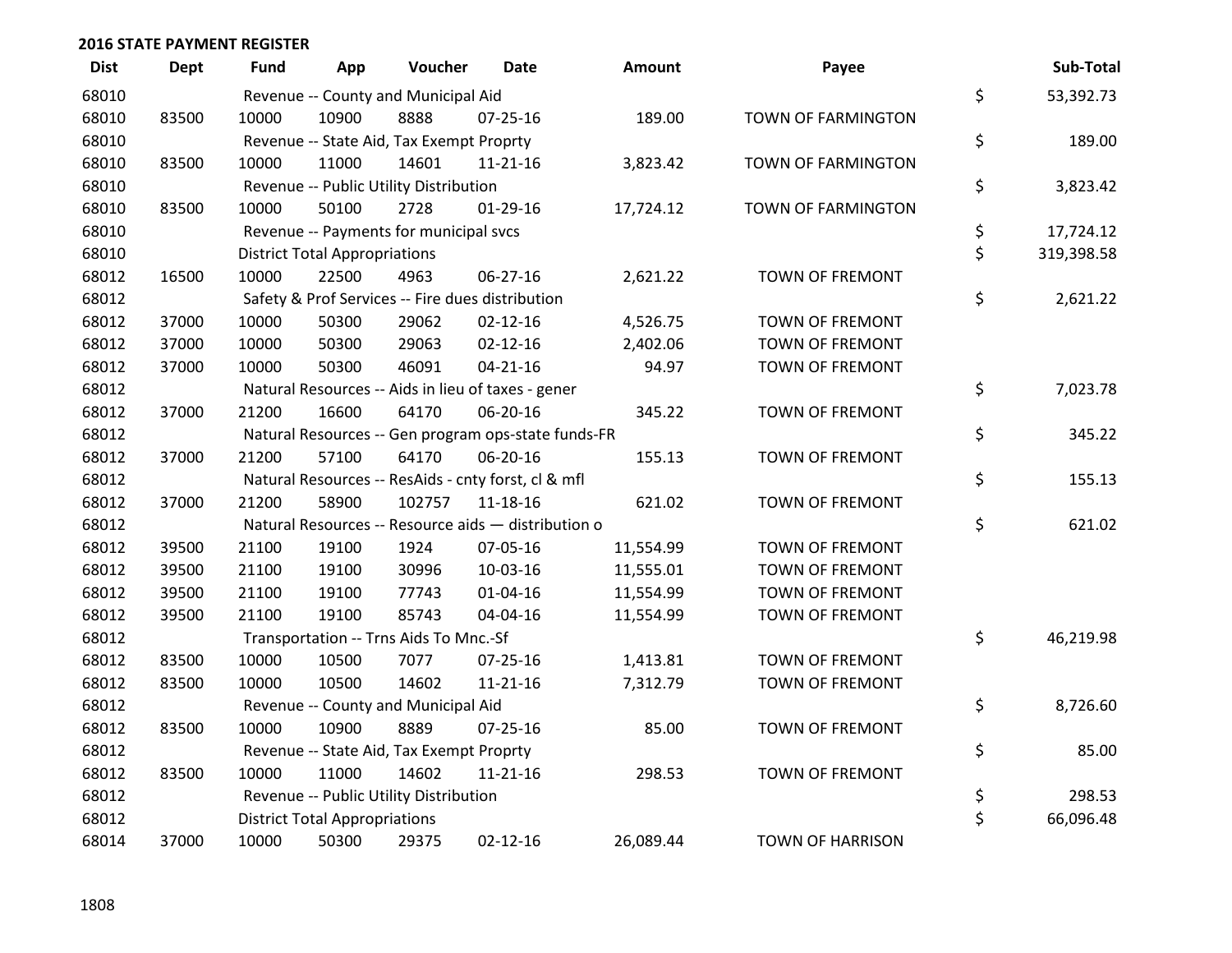| <b>Dist</b> | <b>Dept</b> | <b>Fund</b> | App                                  | Voucher                                  | <b>Date</b>                                         | <b>Amount</b> | Payee                   | Sub-Total        |
|-------------|-------------|-------------|--------------------------------------|------------------------------------------|-----------------------------------------------------|---------------|-------------------------|------------------|
| 68010       |             |             |                                      | Revenue -- County and Municipal Aid      |                                                     |               |                         | \$<br>53,392.73  |
| 68010       | 83500       | 10000       | 10900                                | 8888                                     | 07-25-16                                            | 189.00        | TOWN OF FARMINGTON      |                  |
| 68010       |             |             |                                      | Revenue -- State Aid, Tax Exempt Proprty |                                                     |               |                         | \$<br>189.00     |
| 68010       | 83500       | 10000       | 11000                                | 14601                                    | $11 - 21 - 16$                                      | 3,823.42      | TOWN OF FARMINGTON      |                  |
| 68010       |             |             |                                      | Revenue -- Public Utility Distribution   |                                                     |               |                         | \$<br>3,823.42   |
| 68010       | 83500       | 10000       | 50100                                | 2728                                     | $01-29-16$                                          | 17,724.12     | TOWN OF FARMINGTON      |                  |
| 68010       |             |             |                                      | Revenue -- Payments for municipal svcs   |                                                     |               |                         | \$<br>17,724.12  |
| 68010       |             |             | <b>District Total Appropriations</b> |                                          |                                                     |               |                         | \$<br>319,398.58 |
| 68012       | 16500       | 10000       | 22500                                | 4963                                     | 06-27-16                                            | 2,621.22      | TOWN OF FREMONT         |                  |
| 68012       |             |             |                                      |                                          | Safety & Prof Services -- Fire dues distribution    |               |                         | \$<br>2,621.22   |
| 68012       | 37000       | 10000       | 50300                                | 29062                                    | $02 - 12 - 16$                                      | 4,526.75      | <b>TOWN OF FREMONT</b>  |                  |
| 68012       | 37000       | 10000       | 50300                                | 29063                                    | $02 - 12 - 16$                                      | 2,402.06      | <b>TOWN OF FREMONT</b>  |                  |
| 68012       | 37000       | 10000       | 50300                                | 46091                                    | $04 - 21 - 16$                                      | 94.97         | TOWN OF FREMONT         |                  |
| 68012       |             |             |                                      |                                          | Natural Resources -- Aids in lieu of taxes - gener  |               |                         | \$<br>7,023.78   |
| 68012       | 37000       | 21200       | 16600                                | 64170                                    | 06-20-16                                            | 345.22        | <b>TOWN OF FREMONT</b>  |                  |
| 68012       |             |             |                                      |                                          | Natural Resources -- Gen program ops-state funds-FR |               |                         | \$<br>345.22     |
| 68012       | 37000       | 21200       | 57100                                | 64170                                    | 06-20-16                                            | 155.13        | TOWN OF FREMONT         |                  |
| 68012       |             |             |                                      |                                          | Natural Resources -- ResAids - cnty forst, cl & mfl |               |                         | \$<br>155.13     |
| 68012       | 37000       | 21200       | 58900                                | 102757                                   | 11-18-16                                            | 621.02        | TOWN OF FREMONT         |                  |
| 68012       |             |             |                                      |                                          | Natural Resources -- Resource aids - distribution o |               |                         | \$<br>621.02     |
| 68012       | 39500       | 21100       | 19100                                | 1924                                     | 07-05-16                                            | 11,554.99     | TOWN OF FREMONT         |                  |
| 68012       | 39500       | 21100       | 19100                                | 30996                                    | 10-03-16                                            | 11,555.01     | <b>TOWN OF FREMONT</b>  |                  |
| 68012       | 39500       | 21100       | 19100                                | 77743                                    | $01 - 04 - 16$                                      | 11,554.99     | <b>TOWN OF FREMONT</b>  |                  |
| 68012       | 39500       | 21100       | 19100                                | 85743                                    | 04-04-16                                            | 11,554.99     | TOWN OF FREMONT         |                  |
| 68012       |             |             |                                      | Transportation -- Trns Aids To Mnc.-Sf   |                                                     |               |                         | \$<br>46,219.98  |
| 68012       | 83500       | 10000       | 10500                                | 7077                                     | $07 - 25 - 16$                                      | 1,413.81      | TOWN OF FREMONT         |                  |
| 68012       | 83500       | 10000       | 10500                                | 14602                                    | $11 - 21 - 16$                                      | 7,312.79      | TOWN OF FREMONT         |                  |
| 68012       |             |             |                                      | Revenue -- County and Municipal Aid      |                                                     |               |                         | \$<br>8,726.60   |
| 68012       | 83500       | 10000       | 10900                                | 8889                                     | $07 - 25 - 16$                                      | 85.00         | <b>TOWN OF FREMONT</b>  |                  |
| 68012       |             |             |                                      | Revenue -- State Aid, Tax Exempt Proprty |                                                     |               |                         | \$<br>85.00      |
| 68012       | 83500       | 10000       | 11000                                | 14602                                    | $11 - 21 - 16$                                      | 298.53        | TOWN OF FREMONT         |                  |
| 68012       |             |             |                                      | Revenue -- Public Utility Distribution   |                                                     |               |                         | \$<br>298.53     |
| 68012       |             |             | <b>District Total Appropriations</b> |                                          |                                                     |               |                         | \$<br>66,096.48  |
| 68014       | 37000       | 10000       | 50300                                | 29375                                    | $02 - 12 - 16$                                      | 26,089.44     | <b>TOWN OF HARRISON</b> |                  |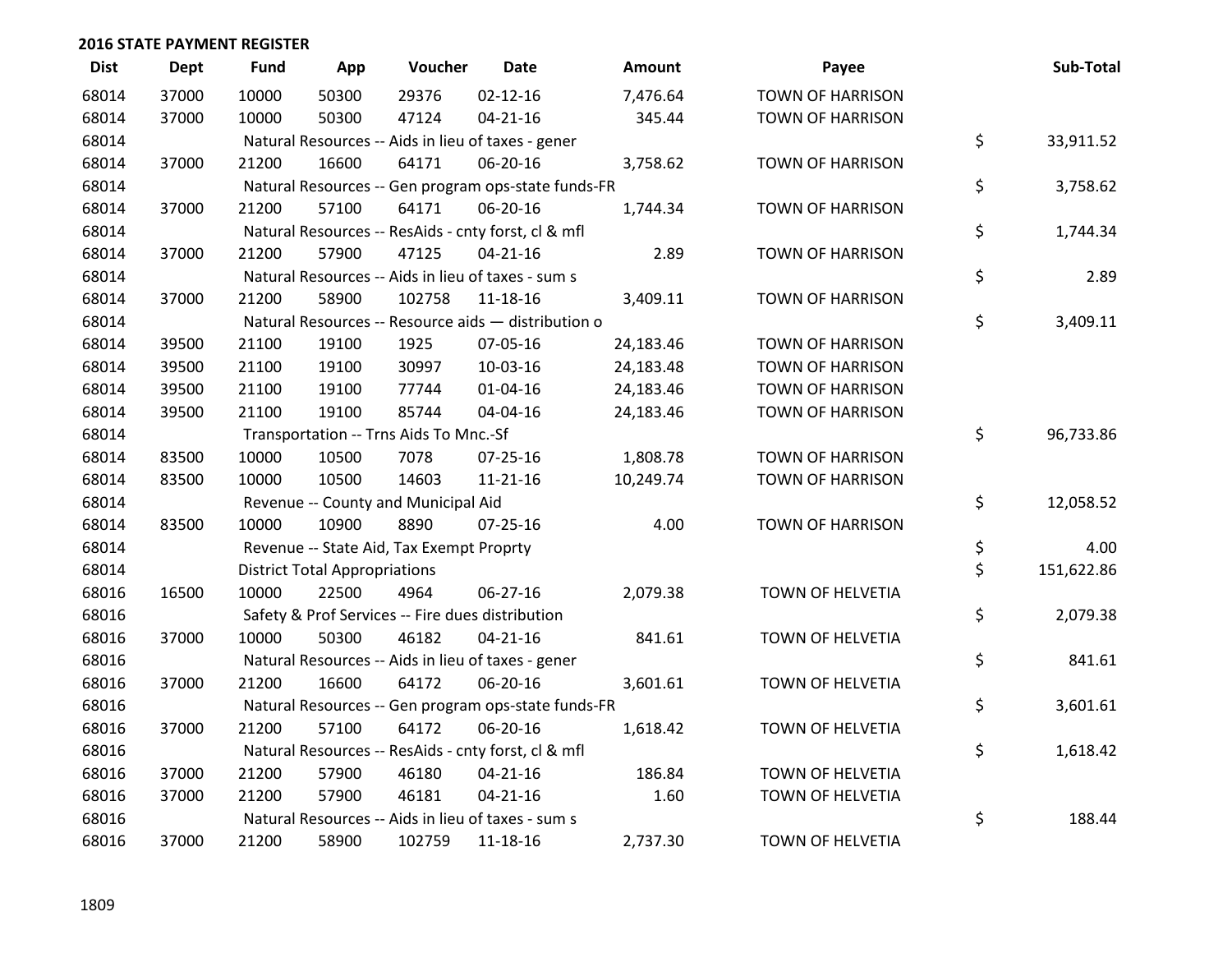| <b>Dist</b> | Dept  | <b>Fund</b> | App                                  | Voucher                                          | <b>Date</b>                                         | <b>Amount</b> | Payee                   | Sub-Total        |
|-------------|-------|-------------|--------------------------------------|--------------------------------------------------|-----------------------------------------------------|---------------|-------------------------|------------------|
| 68014       | 37000 | 10000       | 50300                                | 29376                                            | $02 - 12 - 16$                                      | 7,476.64      | <b>TOWN OF HARRISON</b> |                  |
| 68014       | 37000 | 10000       | 50300                                | 47124                                            | $04 - 21 - 16$                                      | 345.44        | <b>TOWN OF HARRISON</b> |                  |
| 68014       |       |             |                                      |                                                  | Natural Resources -- Aids in lieu of taxes - gener  |               |                         | \$<br>33,911.52  |
| 68014       | 37000 | 21200       | 16600                                | 64171                                            | 06-20-16                                            | 3,758.62      | <b>TOWN OF HARRISON</b> |                  |
| 68014       |       |             |                                      |                                                  | Natural Resources -- Gen program ops-state funds-FR |               |                         | \$<br>3,758.62   |
| 68014       | 37000 | 21200       | 57100                                | 64171                                            | 06-20-16                                            | 1,744.34      | <b>TOWN OF HARRISON</b> |                  |
| 68014       |       |             |                                      |                                                  | Natural Resources -- ResAids - cnty forst, cl & mfl |               |                         | \$<br>1,744.34   |
| 68014       | 37000 | 21200       | 57900                                | 47125                                            | $04 - 21 - 16$                                      | 2.89          | <b>TOWN OF HARRISON</b> |                  |
| 68014       |       |             |                                      |                                                  | Natural Resources -- Aids in lieu of taxes - sum s  |               |                         | \$<br>2.89       |
| 68014       | 37000 | 21200       | 58900                                | 102758                                           | 11-18-16                                            | 3,409.11      | <b>TOWN OF HARRISON</b> |                  |
| 68014       |       |             |                                      |                                                  | Natural Resources -- Resource aids - distribution o |               |                         | \$<br>3,409.11   |
| 68014       | 39500 | 21100       | 19100                                | 1925                                             | 07-05-16                                            | 24,183.46     | <b>TOWN OF HARRISON</b> |                  |
| 68014       | 39500 | 21100       | 19100                                | 30997                                            | 10-03-16                                            | 24,183.48     | <b>TOWN OF HARRISON</b> |                  |
| 68014       | 39500 | 21100       | 19100                                | 77744                                            | $01 - 04 - 16$                                      | 24,183.46     | <b>TOWN OF HARRISON</b> |                  |
| 68014       | 39500 | 21100       | 19100                                | 85744                                            | 04-04-16                                            | 24,183.46     | <b>TOWN OF HARRISON</b> |                  |
| 68014       |       |             |                                      | Transportation -- Trns Aids To Mnc.-Sf           |                                                     |               |                         | \$<br>96,733.86  |
| 68014       | 83500 | 10000       | 10500                                | 7078                                             | 07-25-16                                            | 1,808.78      | <b>TOWN OF HARRISON</b> |                  |
| 68014       | 83500 | 10000       | 10500                                | 14603                                            | 11-21-16                                            | 10,249.74     | <b>TOWN OF HARRISON</b> |                  |
| 68014       |       |             |                                      | Revenue -- County and Municipal Aid              |                                                     |               |                         | \$<br>12,058.52  |
| 68014       | 83500 | 10000       | 10900                                | 8890                                             | $07 - 25 - 16$                                      | 4.00          | <b>TOWN OF HARRISON</b> |                  |
| 68014       |       |             |                                      | Revenue -- State Aid, Tax Exempt Proprty         |                                                     |               |                         | \$<br>4.00       |
| 68014       |       |             | <b>District Total Appropriations</b> |                                                  |                                                     |               |                         | \$<br>151,622.86 |
| 68016       | 16500 | 10000       | 22500                                | 4964                                             | 06-27-16                                            | 2,079.38      | TOWN OF HELVETIA        |                  |
| 68016       |       |             |                                      | Safety & Prof Services -- Fire dues distribution |                                                     |               |                         | \$<br>2,079.38   |
| 68016       | 37000 | 10000       | 50300                                | 46182                                            | $04 - 21 - 16$                                      | 841.61        | TOWN OF HELVETIA        |                  |
| 68016       |       |             |                                      |                                                  | Natural Resources -- Aids in lieu of taxes - gener  |               |                         | \$<br>841.61     |
| 68016       | 37000 | 21200       | 16600                                | 64172                                            | 06-20-16                                            | 3,601.61      | TOWN OF HELVETIA        |                  |
| 68016       |       |             |                                      |                                                  | Natural Resources -- Gen program ops-state funds-FR |               |                         | \$<br>3,601.61   |
| 68016       | 37000 | 21200       | 57100                                | 64172                                            | 06-20-16                                            | 1,618.42      | TOWN OF HELVETIA        |                  |
| 68016       |       |             |                                      |                                                  | Natural Resources -- ResAids - cnty forst, cl & mfl |               |                         | \$<br>1,618.42   |
| 68016       | 37000 | 21200       | 57900                                | 46180                                            | $04 - 21 - 16$                                      | 186.84        | TOWN OF HELVETIA        |                  |
| 68016       | 37000 | 21200       | 57900                                | 46181                                            | $04 - 21 - 16$                                      | 1.60          | TOWN OF HELVETIA        |                  |
| 68016       |       |             |                                      |                                                  | Natural Resources -- Aids in lieu of taxes - sum s  |               |                         | \$<br>188.44     |
| 68016       | 37000 | 21200       | 58900                                | 102759                                           | 11-18-16                                            | 2,737.30      | TOWN OF HELVETIA        |                  |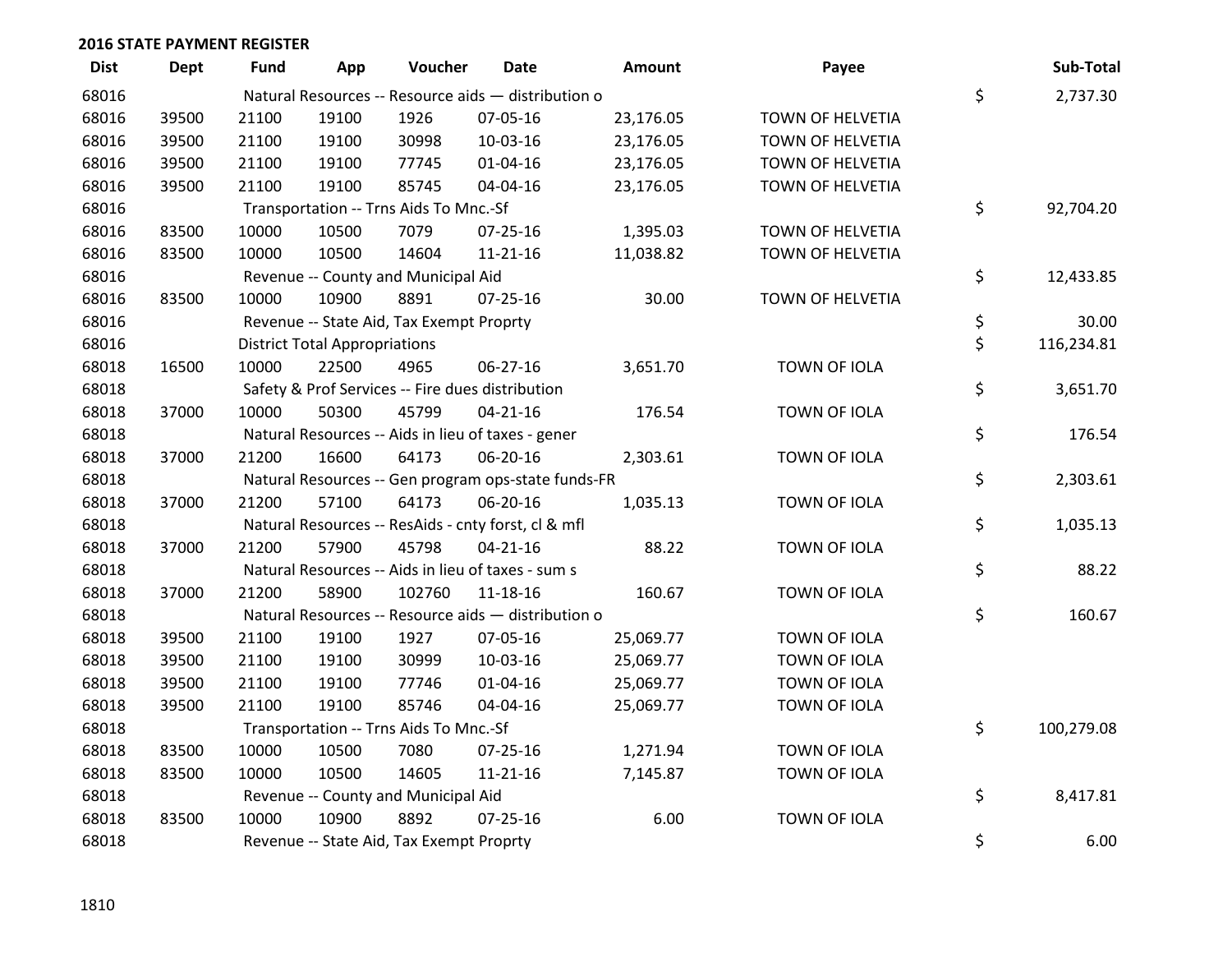| <b>Dist</b> | <b>Dept</b> | <b>Fund</b> | App                                  | Voucher                                  | <b>Date</b>                                         | Amount    | Payee               | Sub-Total        |
|-------------|-------------|-------------|--------------------------------------|------------------------------------------|-----------------------------------------------------|-----------|---------------------|------------------|
| 68016       |             |             |                                      |                                          | Natural Resources -- Resource aids - distribution o |           |                     | \$<br>2,737.30   |
| 68016       | 39500       | 21100       | 19100                                | 1926                                     | 07-05-16                                            | 23,176.05 | TOWN OF HELVETIA    |                  |
| 68016       | 39500       | 21100       | 19100                                | 30998                                    | 10-03-16                                            | 23,176.05 | TOWN OF HELVETIA    |                  |
| 68016       | 39500       | 21100       | 19100                                | 77745                                    | $01 - 04 - 16$                                      | 23,176.05 | TOWN OF HELVETIA    |                  |
| 68016       | 39500       | 21100       | 19100                                | 85745                                    | 04-04-16                                            | 23,176.05 | TOWN OF HELVETIA    |                  |
| 68016       |             |             |                                      | Transportation -- Trns Aids To Mnc.-Sf   |                                                     |           |                     | \$<br>92,704.20  |
| 68016       | 83500       | 10000       | 10500                                | 7079                                     | $07 - 25 - 16$                                      | 1,395.03  | TOWN OF HELVETIA    |                  |
| 68016       | 83500       | 10000       | 10500                                | 14604                                    | $11 - 21 - 16$                                      | 11,038.82 | TOWN OF HELVETIA    |                  |
| 68016       |             |             |                                      | Revenue -- County and Municipal Aid      |                                                     |           |                     | \$<br>12,433.85  |
| 68016       | 83500       | 10000       | 10900                                | 8891                                     | $07 - 25 - 16$                                      | 30.00     | TOWN OF HELVETIA    |                  |
| 68016       |             |             |                                      | Revenue -- State Aid, Tax Exempt Proprty |                                                     |           |                     | \$<br>30.00      |
| 68016       |             |             | <b>District Total Appropriations</b> |                                          |                                                     |           |                     | \$<br>116,234.81 |
| 68018       | 16500       | 10000       | 22500                                | 4965                                     | 06-27-16                                            | 3,651.70  | TOWN OF IOLA        |                  |
| 68018       |             |             |                                      |                                          | Safety & Prof Services -- Fire dues distribution    |           |                     | \$<br>3,651.70   |
| 68018       | 37000       | 10000       | 50300                                | 45799                                    | $04 - 21 - 16$                                      | 176.54    | <b>TOWN OF IOLA</b> |                  |
| 68018       |             |             |                                      |                                          | Natural Resources -- Aids in lieu of taxes - gener  |           |                     | \$<br>176.54     |
| 68018       | 37000       | 21200       | 16600                                | 64173                                    | 06-20-16                                            | 2,303.61  | TOWN OF IOLA        |                  |
| 68018       |             |             |                                      |                                          | Natural Resources -- Gen program ops-state funds-FR |           |                     | \$<br>2,303.61   |
| 68018       | 37000       | 21200       | 57100                                | 64173                                    | 06-20-16                                            | 1,035.13  | TOWN OF IOLA        |                  |
| 68018       |             |             |                                      |                                          | Natural Resources -- ResAids - cnty forst, cl & mfl |           |                     | \$<br>1,035.13   |
| 68018       | 37000       | 21200       | 57900                                | 45798                                    | $04 - 21 - 16$                                      | 88.22     | TOWN OF IOLA        |                  |
| 68018       |             |             |                                      |                                          | Natural Resources -- Aids in lieu of taxes - sum s  |           |                     | \$<br>88.22      |
| 68018       | 37000       | 21200       | 58900                                | 102760                                   | $11 - 18 - 16$                                      | 160.67    | TOWN OF IOLA        |                  |
| 68018       |             |             |                                      |                                          | Natural Resources -- Resource aids - distribution o |           |                     | \$<br>160.67     |
| 68018       | 39500       | 21100       | 19100                                | 1927                                     | 07-05-16                                            | 25,069.77 | TOWN OF IOLA        |                  |
| 68018       | 39500       | 21100       | 19100                                | 30999                                    | 10-03-16                                            | 25,069.77 | TOWN OF IOLA        |                  |
| 68018       | 39500       | 21100       | 19100                                | 77746                                    | 01-04-16                                            | 25,069.77 | TOWN OF IOLA        |                  |
| 68018       | 39500       | 21100       | 19100                                | 85746                                    | 04-04-16                                            | 25,069.77 | TOWN OF IOLA        |                  |
| 68018       |             |             |                                      | Transportation -- Trns Aids To Mnc.-Sf   |                                                     |           |                     | \$<br>100,279.08 |
| 68018       | 83500       | 10000       | 10500                                | 7080                                     | 07-25-16                                            | 1,271.94  | TOWN OF IOLA        |                  |
| 68018       | 83500       | 10000       | 10500                                | 14605                                    | $11 - 21 - 16$                                      | 7,145.87  | TOWN OF IOLA        |                  |
| 68018       |             |             |                                      | Revenue -- County and Municipal Aid      |                                                     |           |                     | \$<br>8,417.81   |
| 68018       | 83500       | 10000       | 10900                                | 8892                                     | $07 - 25 - 16$                                      | 6.00      | TOWN OF IOLA        |                  |
| 68018       |             |             |                                      | Revenue -- State Aid, Tax Exempt Proprty |                                                     |           |                     | \$<br>6.00       |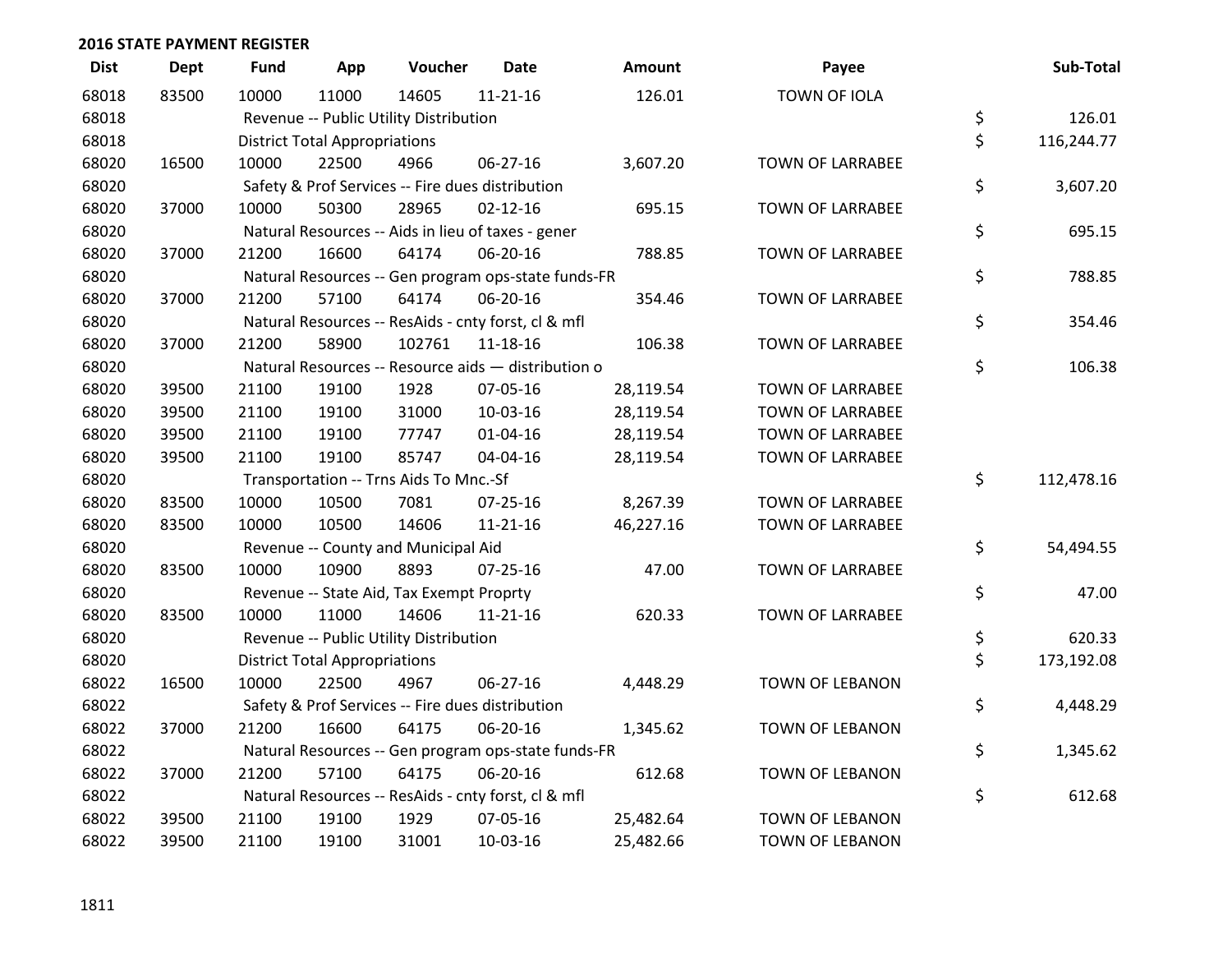| <b>Dist</b> | Dept  | <b>Fund</b> | App                                  | Voucher                                          | <b>Date</b>                                         | <b>Amount</b> | Payee                   | Sub-Total        |
|-------------|-------|-------------|--------------------------------------|--------------------------------------------------|-----------------------------------------------------|---------------|-------------------------|------------------|
| 68018       | 83500 | 10000       | 11000                                | 14605                                            | $11 - 21 - 16$                                      | 126.01        | TOWN OF IOLA            |                  |
| 68018       |       |             |                                      | Revenue -- Public Utility Distribution           |                                                     |               |                         | \$<br>126.01     |
| 68018       |       |             | <b>District Total Appropriations</b> |                                                  |                                                     |               |                         | \$<br>116,244.77 |
| 68020       | 16500 | 10000       | 22500                                | 4966                                             | 06-27-16                                            | 3,607.20      | TOWN OF LARRABEE        |                  |
| 68020       |       |             |                                      | Safety & Prof Services -- Fire dues distribution |                                                     |               |                         | \$<br>3,607.20   |
| 68020       | 37000 | 10000       | 50300                                | 28965                                            | $02 - 12 - 16$                                      | 695.15        | <b>TOWN OF LARRABEE</b> |                  |
| 68020       |       |             |                                      |                                                  | Natural Resources -- Aids in lieu of taxes - gener  |               |                         | \$<br>695.15     |
| 68020       | 37000 | 21200       | 16600                                | 64174                                            | 06-20-16                                            | 788.85        | <b>TOWN OF LARRABEE</b> |                  |
| 68020       |       |             |                                      |                                                  | Natural Resources -- Gen program ops-state funds-FR |               |                         | \$<br>788.85     |
| 68020       | 37000 | 21200       | 57100                                | 64174                                            | 06-20-16                                            | 354.46        | TOWN OF LARRABEE        |                  |
| 68020       |       |             |                                      |                                                  | Natural Resources -- ResAids - cnty forst, cl & mfl |               |                         | \$<br>354.46     |
| 68020       | 37000 | 21200       | 58900                                | 102761                                           | $11 - 18 - 16$                                      | 106.38        | TOWN OF LARRABEE        |                  |
| 68020       |       |             |                                      |                                                  | Natural Resources -- Resource aids - distribution o |               |                         | \$<br>106.38     |
| 68020       | 39500 | 21100       | 19100                                | 1928                                             | 07-05-16                                            | 28,119.54     | <b>TOWN OF LARRABEE</b> |                  |
| 68020       | 39500 | 21100       | 19100                                | 31000                                            | 10-03-16                                            | 28,119.54     | TOWN OF LARRABEE        |                  |
| 68020       | 39500 | 21100       | 19100                                | 77747                                            | $01 - 04 - 16$                                      | 28,119.54     | TOWN OF LARRABEE        |                  |
| 68020       | 39500 | 21100       | 19100                                | 85747                                            | 04-04-16                                            | 28,119.54     | <b>TOWN OF LARRABEE</b> |                  |
| 68020       |       |             |                                      | Transportation -- Trns Aids To Mnc.-Sf           |                                                     |               |                         | \$<br>112,478.16 |
| 68020       | 83500 | 10000       | 10500                                | 7081                                             | 07-25-16                                            | 8,267.39      | <b>TOWN OF LARRABEE</b> |                  |
| 68020       | 83500 | 10000       | 10500                                | 14606                                            | $11 - 21 - 16$                                      | 46,227.16     | TOWN OF LARRABEE        |                  |
| 68020       |       |             |                                      | Revenue -- County and Municipal Aid              |                                                     |               |                         | \$<br>54,494.55  |
| 68020       | 83500 | 10000       | 10900                                | 8893                                             | $07 - 25 - 16$                                      | 47.00         | TOWN OF LARRABEE        |                  |
| 68020       |       |             |                                      | Revenue -- State Aid, Tax Exempt Proprty         |                                                     |               |                         | \$<br>47.00      |
| 68020       | 83500 | 10000       | 11000                                | 14606                                            | $11 - 21 - 16$                                      | 620.33        | <b>TOWN OF LARRABEE</b> |                  |
| 68020       |       |             |                                      | Revenue -- Public Utility Distribution           |                                                     |               |                         | \$<br>620.33     |
| 68020       |       |             | <b>District Total Appropriations</b> |                                                  |                                                     |               |                         | \$<br>173,192.08 |
| 68022       | 16500 | 10000       | 22500                                | 4967                                             | 06-27-16                                            | 4,448.29      | TOWN OF LEBANON         |                  |
| 68022       |       |             |                                      | Safety & Prof Services -- Fire dues distribution |                                                     |               |                         | \$<br>4,448.29   |
| 68022       | 37000 | 21200       | 16600                                | 64175                                            | 06-20-16                                            | 1,345.62      | TOWN OF LEBANON         |                  |
| 68022       |       |             |                                      |                                                  | Natural Resources -- Gen program ops-state funds-FR |               |                         | \$<br>1,345.62   |
| 68022       | 37000 | 21200       | 57100                                | 64175                                            | 06-20-16                                            | 612.68        | TOWN OF LEBANON         |                  |
| 68022       |       |             |                                      |                                                  | Natural Resources -- ResAids - cnty forst, cl & mfl |               |                         | \$<br>612.68     |
| 68022       | 39500 | 21100       | 19100                                | 1929                                             | 07-05-16                                            | 25,482.64     | <b>TOWN OF LEBANON</b>  |                  |
| 68022       | 39500 | 21100       | 19100                                | 31001                                            | 10-03-16                                            | 25,482.66     | TOWN OF LEBANON         |                  |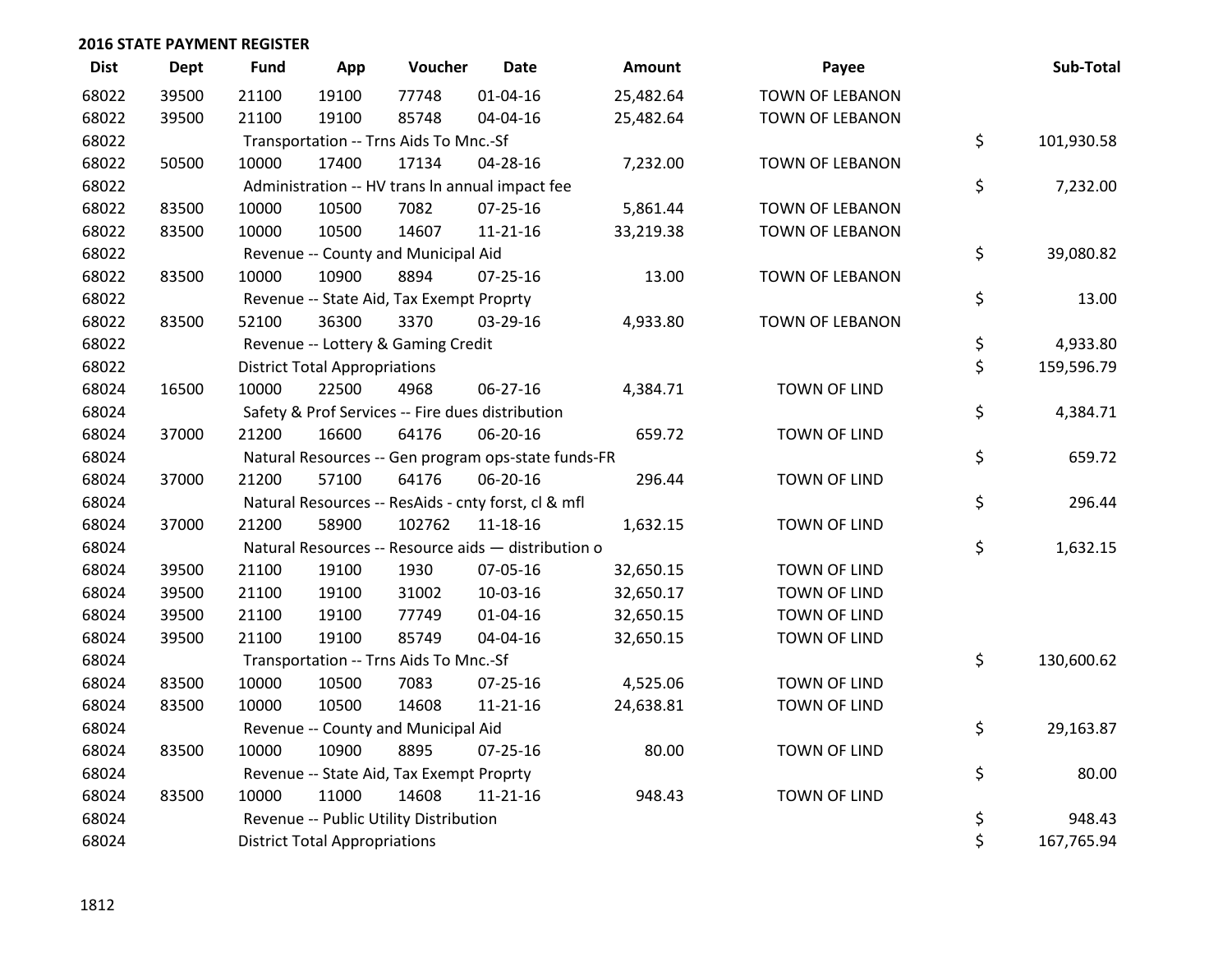| <b>Dist</b> | Dept  | Fund  | App                                  | Voucher                                             | <b>Date</b>    | <b>Amount</b> | Payee                  | Sub-Total        |
|-------------|-------|-------|--------------------------------------|-----------------------------------------------------|----------------|---------------|------------------------|------------------|
| 68022       | 39500 | 21100 | 19100                                | 77748                                               | $01 - 04 - 16$ | 25,482.64     | TOWN OF LEBANON        |                  |
| 68022       | 39500 | 21100 | 19100                                | 85748                                               | 04-04-16       | 25,482.64     | TOWN OF LEBANON        |                  |
| 68022       |       |       |                                      | Transportation -- Trns Aids To Mnc.-Sf              |                |               |                        | \$<br>101,930.58 |
| 68022       | 50500 | 10000 | 17400                                | 17134                                               | 04-28-16       | 7,232.00      | <b>TOWN OF LEBANON</b> |                  |
| 68022       |       |       |                                      | Administration -- HV trans In annual impact fee     |                |               |                        | \$<br>7,232.00   |
| 68022       | 83500 | 10000 | 10500                                | 7082                                                | $07 - 25 - 16$ | 5,861.44      | <b>TOWN OF LEBANON</b> |                  |
| 68022       | 83500 | 10000 | 10500                                | 14607                                               | $11 - 21 - 16$ | 33,219.38     | TOWN OF LEBANON        |                  |
| 68022       |       |       |                                      | Revenue -- County and Municipal Aid                 |                |               |                        | \$<br>39,080.82  |
| 68022       | 83500 | 10000 | 10900                                | 8894                                                | $07 - 25 - 16$ | 13.00         | TOWN OF LEBANON        |                  |
| 68022       |       |       |                                      | Revenue -- State Aid, Tax Exempt Proprty            |                |               |                        | \$<br>13.00      |
| 68022       | 83500 | 52100 | 36300                                | 3370                                                | 03-29-16       | 4,933.80      | TOWN OF LEBANON        |                  |
| 68022       |       |       |                                      | Revenue -- Lottery & Gaming Credit                  |                |               |                        | \$<br>4,933.80   |
| 68022       |       |       | <b>District Total Appropriations</b> |                                                     |                |               |                        | \$<br>159,596.79 |
| 68024       | 16500 | 10000 | 22500                                | 4968                                                | 06-27-16       | 4,384.71      | <b>TOWN OF LIND</b>    |                  |
| 68024       |       |       |                                      | Safety & Prof Services -- Fire dues distribution    |                |               |                        | \$<br>4,384.71   |
| 68024       | 37000 | 21200 | 16600                                | 64176                                               | 06-20-16       | 659.72        | <b>TOWN OF LIND</b>    |                  |
| 68024       |       |       |                                      | Natural Resources -- Gen program ops-state funds-FR |                |               |                        | \$<br>659.72     |
| 68024       | 37000 | 21200 | 57100                                | 64176                                               | 06-20-16       | 296.44        | <b>TOWN OF LIND</b>    |                  |
| 68024       |       |       |                                      | Natural Resources -- ResAids - cnty forst, cl & mfl |                |               |                        | \$<br>296.44     |
| 68024       | 37000 | 21200 | 58900                                | 102762                                              | $11 - 18 - 16$ | 1,632.15      | TOWN OF LIND           |                  |
| 68024       |       |       |                                      | Natural Resources -- Resource aids - distribution o |                |               |                        | \$<br>1,632.15   |
| 68024       | 39500 | 21100 | 19100                                | 1930                                                | 07-05-16       | 32,650.15     | <b>TOWN OF LIND</b>    |                  |
| 68024       | 39500 | 21100 | 19100                                | 31002                                               | 10-03-16       | 32,650.17     | <b>TOWN OF LIND</b>    |                  |
| 68024       | 39500 | 21100 | 19100                                | 77749                                               | $01 - 04 - 16$ | 32,650.15     | <b>TOWN OF LIND</b>    |                  |
| 68024       | 39500 | 21100 | 19100                                | 85749                                               | 04-04-16       | 32,650.15     | TOWN OF LIND           |                  |
| 68024       |       |       |                                      | Transportation -- Trns Aids To Mnc.-Sf              |                |               |                        | \$<br>130,600.62 |
| 68024       | 83500 | 10000 | 10500                                | 7083                                                | $07 - 25 - 16$ | 4,525.06      | <b>TOWN OF LIND</b>    |                  |
| 68024       | 83500 | 10000 | 10500                                | 14608                                               | $11 - 21 - 16$ | 24,638.81     | TOWN OF LIND           |                  |
| 68024       |       |       |                                      | Revenue -- County and Municipal Aid                 |                |               |                        | \$<br>29,163.87  |
| 68024       | 83500 | 10000 | 10900                                | 8895                                                | $07 - 25 - 16$ | 80.00         | <b>TOWN OF LIND</b>    |                  |
| 68024       |       |       |                                      | Revenue -- State Aid, Tax Exempt Proprty            |                |               |                        | \$<br>80.00      |
| 68024       | 83500 | 10000 | 11000                                | 14608                                               | $11 - 21 - 16$ | 948.43        | <b>TOWN OF LIND</b>    |                  |
| 68024       |       |       |                                      | Revenue -- Public Utility Distribution              |                |               |                        | \$<br>948.43     |
| 68024       |       |       | <b>District Total Appropriations</b> |                                                     |                |               |                        | \$<br>167,765.94 |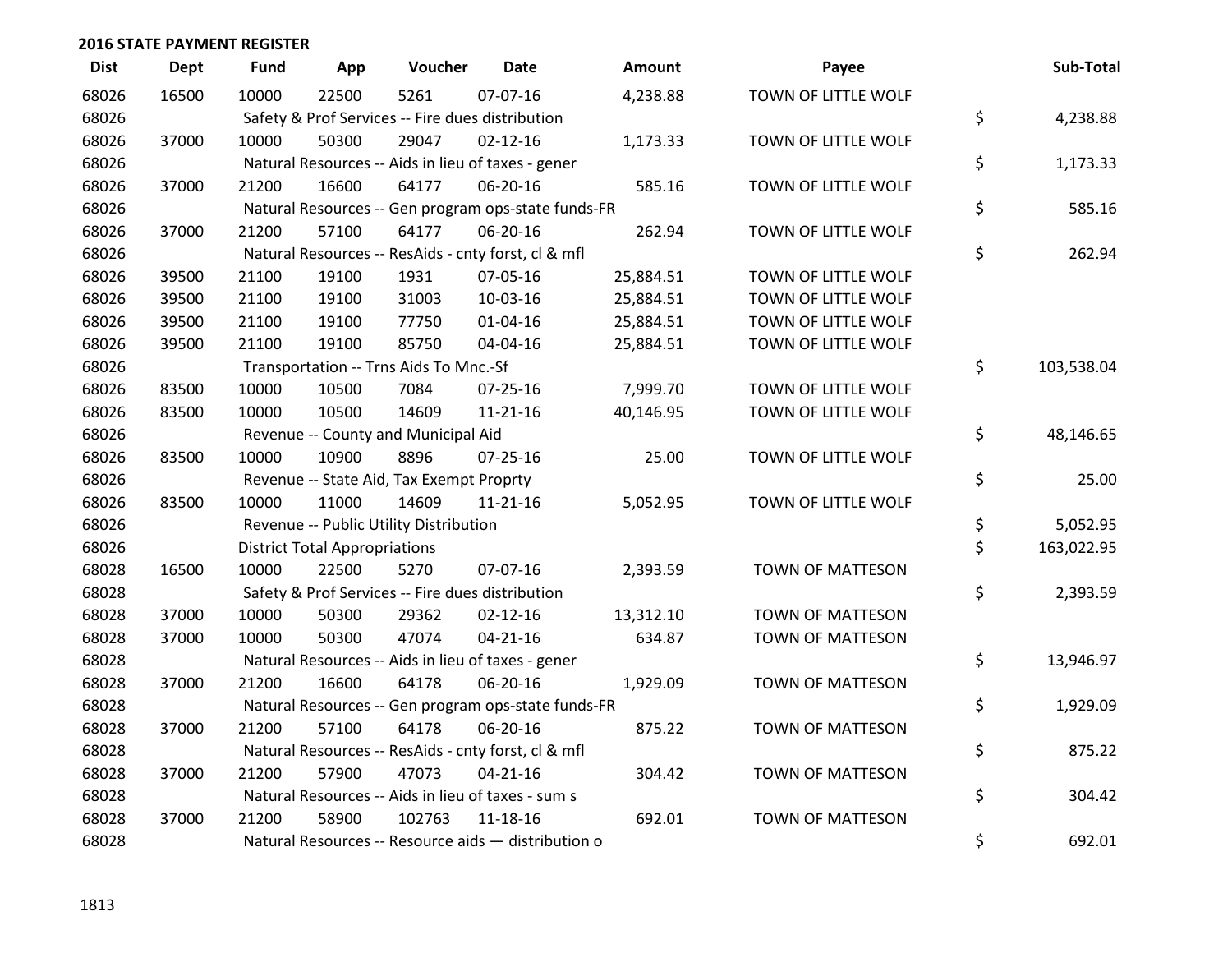| <b>Dist</b> | <b>Dept</b> | <b>Fund</b> | App                                  | Voucher                                             | <b>Date</b>    | <b>Amount</b> | Payee                   | Sub-Total        |
|-------------|-------------|-------------|--------------------------------------|-----------------------------------------------------|----------------|---------------|-------------------------|------------------|
| 68026       | 16500       | 10000       | 22500                                | 5261                                                | 07-07-16       | 4,238.88      | TOWN OF LITTLE WOLF     |                  |
| 68026       |             |             |                                      | Safety & Prof Services -- Fire dues distribution    |                |               |                         | \$<br>4,238.88   |
| 68026       | 37000       | 10000       | 50300                                | 29047                                               | $02 - 12 - 16$ | 1,173.33      | TOWN OF LITTLE WOLF     |                  |
| 68026       |             |             |                                      | Natural Resources -- Aids in lieu of taxes - gener  |                |               |                         | \$<br>1,173.33   |
| 68026       | 37000       | 21200       | 16600                                | 64177                                               | 06-20-16       | 585.16        | TOWN OF LITTLE WOLF     |                  |
| 68026       |             |             |                                      | Natural Resources -- Gen program ops-state funds-FR |                |               |                         | \$<br>585.16     |
| 68026       | 37000       | 21200       | 57100                                | 64177                                               | 06-20-16       | 262.94        | TOWN OF LITTLE WOLF     |                  |
| 68026       |             |             |                                      | Natural Resources -- ResAids - cnty forst, cl & mfl |                |               |                         | \$<br>262.94     |
| 68026       | 39500       | 21100       | 19100                                | 1931                                                | 07-05-16       | 25,884.51     | TOWN OF LITTLE WOLF     |                  |
| 68026       | 39500       | 21100       | 19100                                | 31003                                               | 10-03-16       | 25,884.51     | TOWN OF LITTLE WOLF     |                  |
| 68026       | 39500       | 21100       | 19100                                | 77750                                               | $01 - 04 - 16$ | 25,884.51     | TOWN OF LITTLE WOLF     |                  |
| 68026       | 39500       | 21100       | 19100                                | 85750                                               | 04-04-16       | 25,884.51     | TOWN OF LITTLE WOLF     |                  |
| 68026       |             |             |                                      | Transportation -- Trns Aids To Mnc.-Sf              |                |               |                         | \$<br>103,538.04 |
| 68026       | 83500       | 10000       | 10500                                | 7084                                                | 07-25-16       | 7,999.70      | TOWN OF LITTLE WOLF     |                  |
| 68026       | 83500       | 10000       | 10500                                | 14609                                               | $11 - 21 - 16$ | 40,146.95     | TOWN OF LITTLE WOLF     |                  |
| 68026       |             |             |                                      | Revenue -- County and Municipal Aid                 |                |               |                         | \$<br>48,146.65  |
| 68026       | 83500       | 10000       | 10900                                | 8896                                                | $07 - 25 - 16$ | 25.00         | TOWN OF LITTLE WOLF     |                  |
| 68026       |             |             |                                      | Revenue -- State Aid, Tax Exempt Proprty            |                |               |                         | \$<br>25.00      |
| 68026       | 83500       | 10000       | 11000                                | 14609                                               | $11 - 21 - 16$ | 5,052.95      | TOWN OF LITTLE WOLF     |                  |
| 68026       |             |             |                                      | Revenue -- Public Utility Distribution              |                |               |                         | \$<br>5,052.95   |
| 68026       |             |             | <b>District Total Appropriations</b> |                                                     |                |               |                         | \$<br>163,022.95 |
| 68028       | 16500       | 10000       | 22500                                | 5270                                                | 07-07-16       | 2,393.59      | TOWN OF MATTESON        |                  |
| 68028       |             |             |                                      | Safety & Prof Services -- Fire dues distribution    |                |               |                         | \$<br>2,393.59   |
| 68028       | 37000       | 10000       | 50300                                | 29362                                               | $02 - 12 - 16$ | 13,312.10     | <b>TOWN OF MATTESON</b> |                  |
| 68028       | 37000       | 10000       | 50300                                | 47074                                               | $04 - 21 - 16$ | 634.87        | TOWN OF MATTESON        |                  |
| 68028       |             |             |                                      | Natural Resources -- Aids in lieu of taxes - gener  |                |               |                         | \$<br>13,946.97  |
| 68028       | 37000       | 21200       | 16600                                | 64178                                               | 06-20-16       | 1,929.09      | TOWN OF MATTESON        |                  |
| 68028       |             |             |                                      | Natural Resources -- Gen program ops-state funds-FR |                |               |                         | \$<br>1,929.09   |
| 68028       | 37000       | 21200       | 57100                                | 64178                                               | 06-20-16       | 875.22        | TOWN OF MATTESON        |                  |
| 68028       |             |             |                                      | Natural Resources -- ResAids - cnty forst, cl & mfl |                |               |                         | \$<br>875.22     |
| 68028       | 37000       | 21200       | 57900                                | 47073                                               | $04 - 21 - 16$ | 304.42        | TOWN OF MATTESON        |                  |
| 68028       |             |             |                                      | Natural Resources -- Aids in lieu of taxes - sum s  |                |               |                         | \$<br>304.42     |
| 68028       | 37000       | 21200       | 58900                                | 102763                                              | $11 - 18 - 16$ | 692.01        | <b>TOWN OF MATTESON</b> |                  |
| 68028       |             |             |                                      | Natural Resources -- Resource aids - distribution o |                |               |                         | \$<br>692.01     |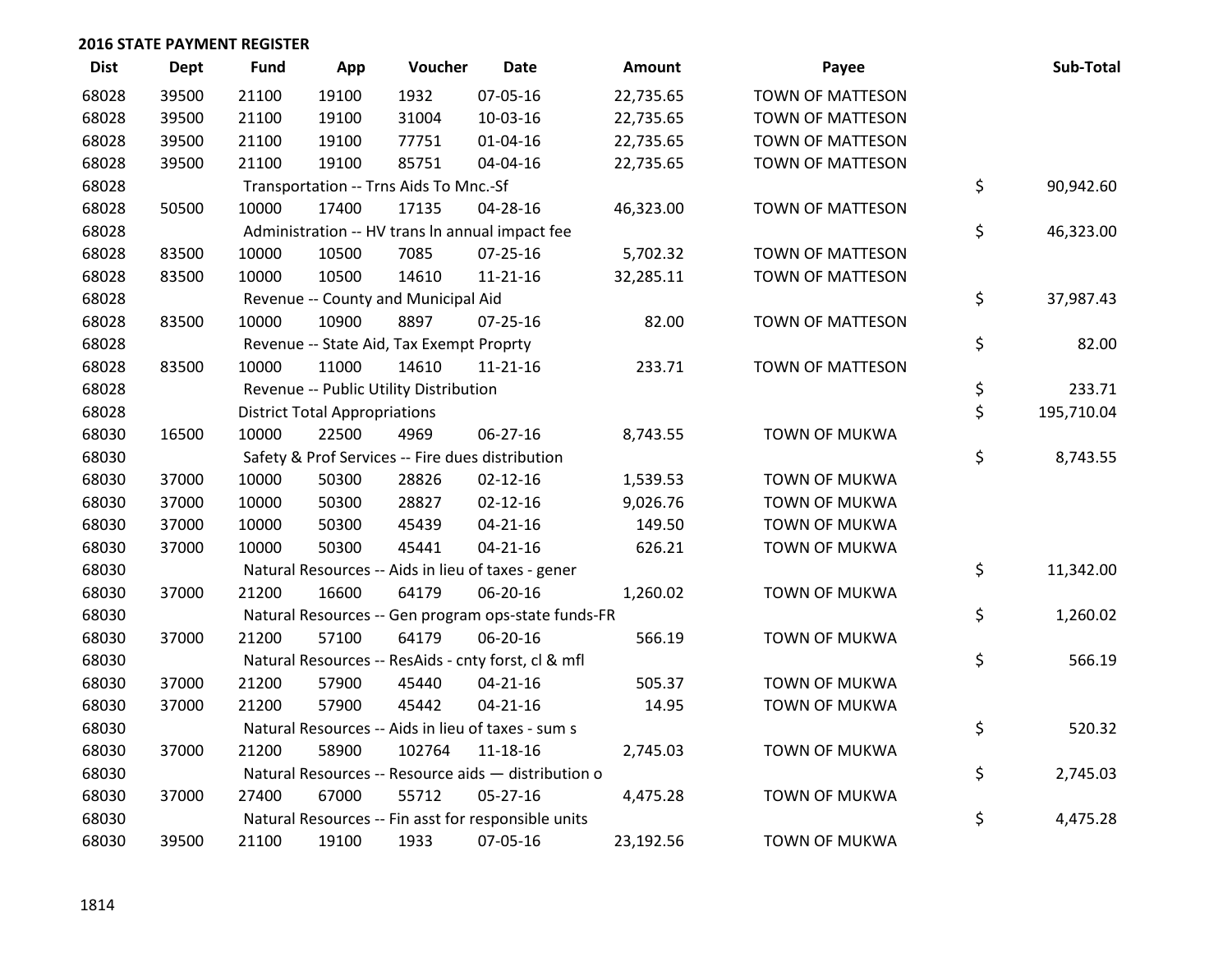| <b>Dist</b> | <b>Dept</b> | <b>Fund</b> | App                                  | Voucher                                  | <b>Date</b>                                         | Amount    | Payee                   | Sub-Total        |
|-------------|-------------|-------------|--------------------------------------|------------------------------------------|-----------------------------------------------------|-----------|-------------------------|------------------|
| 68028       | 39500       | 21100       | 19100                                | 1932                                     | 07-05-16                                            | 22,735.65 | <b>TOWN OF MATTESON</b> |                  |
| 68028       | 39500       | 21100       | 19100                                | 31004                                    | 10-03-16                                            | 22,735.65 | <b>TOWN OF MATTESON</b> |                  |
| 68028       | 39500       | 21100       | 19100                                | 77751                                    | 01-04-16                                            | 22,735.65 | <b>TOWN OF MATTESON</b> |                  |
| 68028       | 39500       | 21100       | 19100                                | 85751                                    | 04-04-16                                            | 22,735.65 | <b>TOWN OF MATTESON</b> |                  |
| 68028       |             |             |                                      | Transportation -- Trns Aids To Mnc.-Sf   |                                                     |           |                         | \$<br>90,942.60  |
| 68028       | 50500       | 10000       | 17400                                | 17135                                    | 04-28-16                                            | 46,323.00 | TOWN OF MATTESON        |                  |
| 68028       |             |             |                                      |                                          | Administration -- HV trans In annual impact fee     |           |                         | \$<br>46,323.00  |
| 68028       | 83500       | 10000       | 10500                                | 7085                                     | $07 - 25 - 16$                                      | 5,702.32  | <b>TOWN OF MATTESON</b> |                  |
| 68028       | 83500       | 10000       | 10500                                | 14610                                    | $11 - 21 - 16$                                      | 32,285.11 | TOWN OF MATTESON        |                  |
| 68028       |             |             |                                      | Revenue -- County and Municipal Aid      |                                                     |           |                         | \$<br>37,987.43  |
| 68028       | 83500       | 10000       | 10900                                | 8897                                     | 07-25-16                                            | 82.00     | TOWN OF MATTESON        |                  |
| 68028       |             |             |                                      | Revenue -- State Aid, Tax Exempt Proprty |                                                     |           |                         | \$<br>82.00      |
| 68028       | 83500       | 10000       | 11000                                | 14610                                    | $11 - 21 - 16$                                      | 233.71    | TOWN OF MATTESON        |                  |
| 68028       |             |             |                                      | Revenue -- Public Utility Distribution   |                                                     |           |                         | \$<br>233.71     |
| 68028       |             |             | <b>District Total Appropriations</b> |                                          |                                                     |           |                         | \$<br>195,710.04 |
| 68030       | 16500       | 10000       | 22500                                | 4969                                     | $06 - 27 - 16$                                      | 8,743.55  | <b>TOWN OF MUKWA</b>    |                  |
| 68030       |             |             |                                      |                                          | Safety & Prof Services -- Fire dues distribution    |           |                         | \$<br>8,743.55   |
| 68030       | 37000       | 10000       | 50300                                | 28826                                    | $02 - 12 - 16$                                      | 1,539.53  | <b>TOWN OF MUKWA</b>    |                  |
| 68030       | 37000       | 10000       | 50300                                | 28827                                    | $02 - 12 - 16$                                      | 9,026.76  | <b>TOWN OF MUKWA</b>    |                  |
| 68030       | 37000       | 10000       | 50300                                | 45439                                    | $04 - 21 - 16$                                      | 149.50    | <b>TOWN OF MUKWA</b>    |                  |
| 68030       | 37000       | 10000       | 50300                                | 45441                                    | $04 - 21 - 16$                                      | 626.21    | <b>TOWN OF MUKWA</b>    |                  |
| 68030       |             |             |                                      |                                          | Natural Resources -- Aids in lieu of taxes - gener  |           |                         | \$<br>11,342.00  |
| 68030       | 37000       | 21200       | 16600                                | 64179                                    | 06-20-16                                            | 1,260.02  | <b>TOWN OF MUKWA</b>    |                  |
| 68030       |             |             |                                      |                                          | Natural Resources -- Gen program ops-state funds-FR |           |                         | \$<br>1,260.02   |
| 68030       | 37000       | 21200       | 57100                                | 64179                                    | 06-20-16                                            | 566.19    | <b>TOWN OF MUKWA</b>    |                  |
| 68030       |             |             |                                      |                                          | Natural Resources -- ResAids - cnty forst, cl & mfl |           |                         | \$<br>566.19     |
| 68030       | 37000       | 21200       | 57900                                | 45440                                    | $04 - 21 - 16$                                      | 505.37    | <b>TOWN OF MUKWA</b>    |                  |
| 68030       | 37000       | 21200       | 57900                                | 45442                                    | $04 - 21 - 16$                                      | 14.95     | <b>TOWN OF MUKWA</b>    |                  |
| 68030       |             |             |                                      |                                          | Natural Resources -- Aids in lieu of taxes - sum s  |           |                         | \$<br>520.32     |
| 68030       | 37000       | 21200       | 58900                                | 102764                                   | $11 - 18 - 16$                                      | 2,745.03  | <b>TOWN OF MUKWA</b>    |                  |
| 68030       |             |             |                                      |                                          | Natural Resources -- Resource aids - distribution o |           |                         | \$<br>2,745.03   |
| 68030       | 37000       | 27400       | 67000                                | 55712                                    | 05-27-16                                            | 4,475.28  | <b>TOWN OF MUKWA</b>    |                  |
| 68030       |             |             |                                      |                                          | Natural Resources -- Fin asst for responsible units |           |                         | \$<br>4,475.28   |
| 68030       | 39500       | 21100       | 19100                                | 1933                                     | 07-05-16                                            | 23,192.56 | <b>TOWN OF MUKWA</b>    |                  |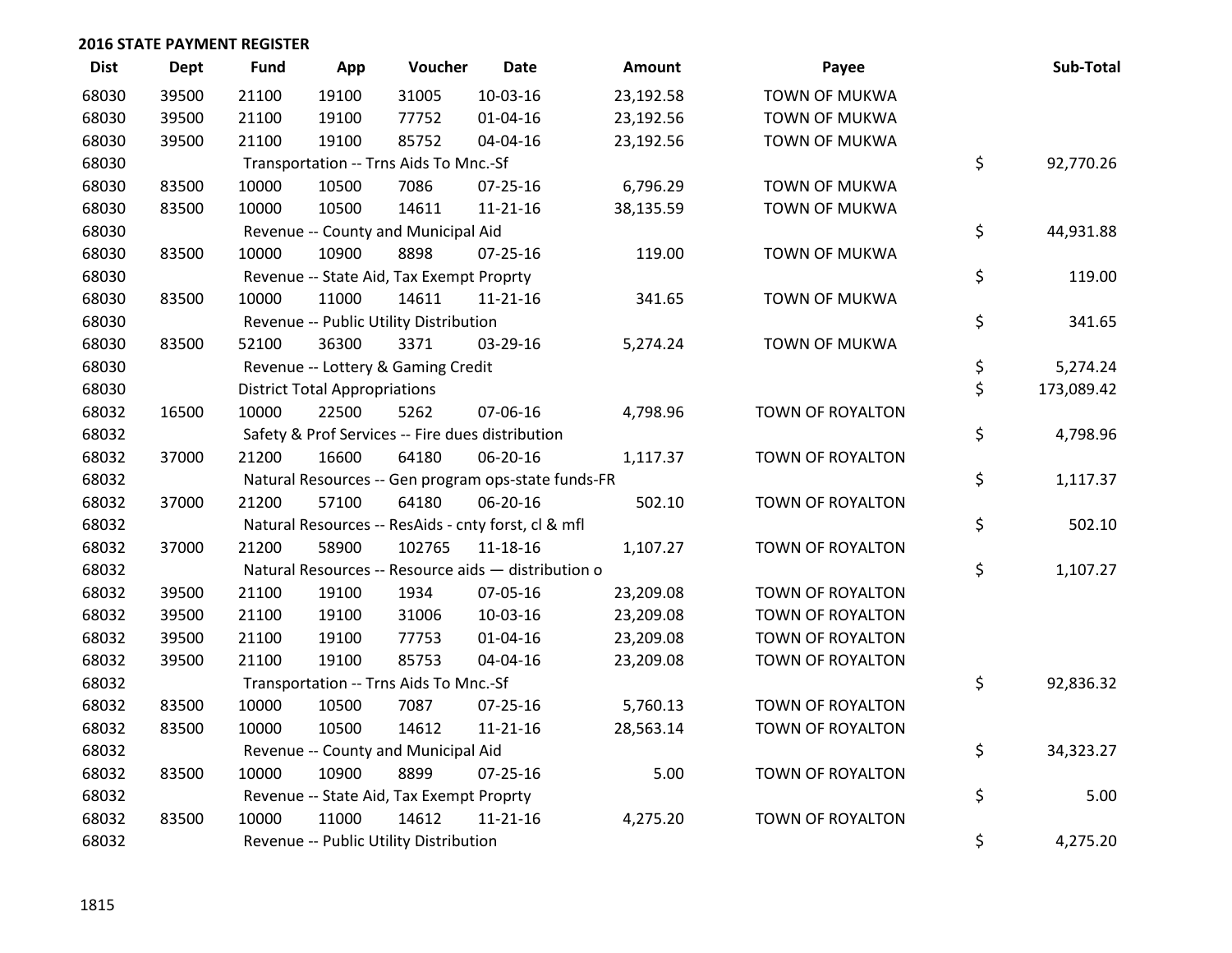| <b>Dist</b> | Dept  | <b>Fund</b> | App                                  | Voucher                                  | <b>Date</b>                                         | Amount    | Payee                | Sub-Total        |
|-------------|-------|-------------|--------------------------------------|------------------------------------------|-----------------------------------------------------|-----------|----------------------|------------------|
| 68030       | 39500 | 21100       | 19100                                | 31005                                    | 10-03-16                                            | 23,192.58 | <b>TOWN OF MUKWA</b> |                  |
| 68030       | 39500 | 21100       | 19100                                | 77752                                    | $01 - 04 - 16$                                      | 23,192.56 | <b>TOWN OF MUKWA</b> |                  |
| 68030       | 39500 | 21100       | 19100                                | 85752                                    | 04-04-16                                            | 23,192.56 | <b>TOWN OF MUKWA</b> |                  |
| 68030       |       |             |                                      | Transportation -- Trns Aids To Mnc.-Sf   |                                                     |           |                      | \$<br>92,770.26  |
| 68030       | 83500 | 10000       | 10500                                | 7086                                     | $07 - 25 - 16$                                      | 6,796.29  | <b>TOWN OF MUKWA</b> |                  |
| 68030       | 83500 | 10000       | 10500                                | 14611                                    | $11 - 21 - 16$                                      | 38,135.59 | <b>TOWN OF MUKWA</b> |                  |
| 68030       |       |             |                                      | Revenue -- County and Municipal Aid      |                                                     |           |                      | \$<br>44,931.88  |
| 68030       | 83500 | 10000       | 10900                                | 8898                                     | 07-25-16                                            | 119.00    | <b>TOWN OF MUKWA</b> |                  |
| 68030       |       |             |                                      | Revenue -- State Aid, Tax Exempt Proprty |                                                     |           |                      | \$<br>119.00     |
| 68030       | 83500 | 10000       | 11000                                | 14611                                    | $11 - 21 - 16$                                      | 341.65    | <b>TOWN OF MUKWA</b> |                  |
| 68030       |       |             |                                      | Revenue -- Public Utility Distribution   |                                                     |           |                      | \$<br>341.65     |
| 68030       | 83500 | 52100       | 36300                                | 3371                                     | 03-29-16                                            | 5,274.24  | <b>TOWN OF MUKWA</b> |                  |
| 68030       |       |             |                                      | Revenue -- Lottery & Gaming Credit       |                                                     |           |                      | \$<br>5,274.24   |
| 68030       |       |             | <b>District Total Appropriations</b> |                                          |                                                     |           |                      | \$<br>173,089.42 |
| 68032       | 16500 | 10000       | 22500                                | 5262                                     | 07-06-16                                            | 4,798.96  | TOWN OF ROYALTON     |                  |
| 68032       |       |             |                                      |                                          | Safety & Prof Services -- Fire dues distribution    |           |                      | \$<br>4,798.96   |
| 68032       | 37000 | 21200       | 16600                                | 64180                                    | 06-20-16                                            | 1,117.37  | TOWN OF ROYALTON     |                  |
| 68032       |       |             |                                      |                                          | Natural Resources -- Gen program ops-state funds-FR |           |                      | \$<br>1,117.37   |
| 68032       | 37000 | 21200       | 57100                                | 64180                                    | 06-20-16                                            | 502.10    | TOWN OF ROYALTON     |                  |
| 68032       |       |             |                                      |                                          | Natural Resources -- ResAids - cnty forst, cl & mfl |           |                      | \$<br>502.10     |
| 68032       | 37000 | 21200       | 58900                                | 102765                                   | $11 - 18 - 16$                                      | 1,107.27  | TOWN OF ROYALTON     |                  |
| 68032       |       |             |                                      |                                          | Natural Resources -- Resource aids - distribution o |           |                      | \$<br>1,107.27   |
| 68032       | 39500 | 21100       | 19100                                | 1934                                     | 07-05-16                                            | 23,209.08 | TOWN OF ROYALTON     |                  |
| 68032       | 39500 | 21100       | 19100                                | 31006                                    | 10-03-16                                            | 23,209.08 | TOWN OF ROYALTON     |                  |
| 68032       | 39500 | 21100       | 19100                                | 77753                                    | $01 - 04 - 16$                                      | 23,209.08 | TOWN OF ROYALTON     |                  |
| 68032       | 39500 | 21100       | 19100                                | 85753                                    | 04-04-16                                            | 23,209.08 | TOWN OF ROYALTON     |                  |
| 68032       |       |             |                                      | Transportation -- Trns Aids To Mnc.-Sf   |                                                     |           |                      | \$<br>92,836.32  |
| 68032       | 83500 | 10000       | 10500                                | 7087                                     | $07 - 25 - 16$                                      | 5,760.13  | TOWN OF ROYALTON     |                  |
| 68032       | 83500 | 10000       | 10500                                | 14612                                    | $11 - 21 - 16$                                      | 28,563.14 | TOWN OF ROYALTON     |                  |
| 68032       |       |             |                                      | Revenue -- County and Municipal Aid      |                                                     |           |                      | \$<br>34,323.27  |
| 68032       | 83500 | 10000       | 10900                                | 8899                                     | 07-25-16                                            | 5.00      | TOWN OF ROYALTON     |                  |
| 68032       |       |             |                                      | Revenue -- State Aid, Tax Exempt Proprty |                                                     |           |                      | \$<br>5.00       |
| 68032       | 83500 | 10000       | 11000                                | 14612                                    | $11 - 21 - 16$                                      | 4,275.20  | TOWN OF ROYALTON     |                  |
| 68032       |       |             |                                      | Revenue -- Public Utility Distribution   |                                                     |           |                      | \$<br>4,275.20   |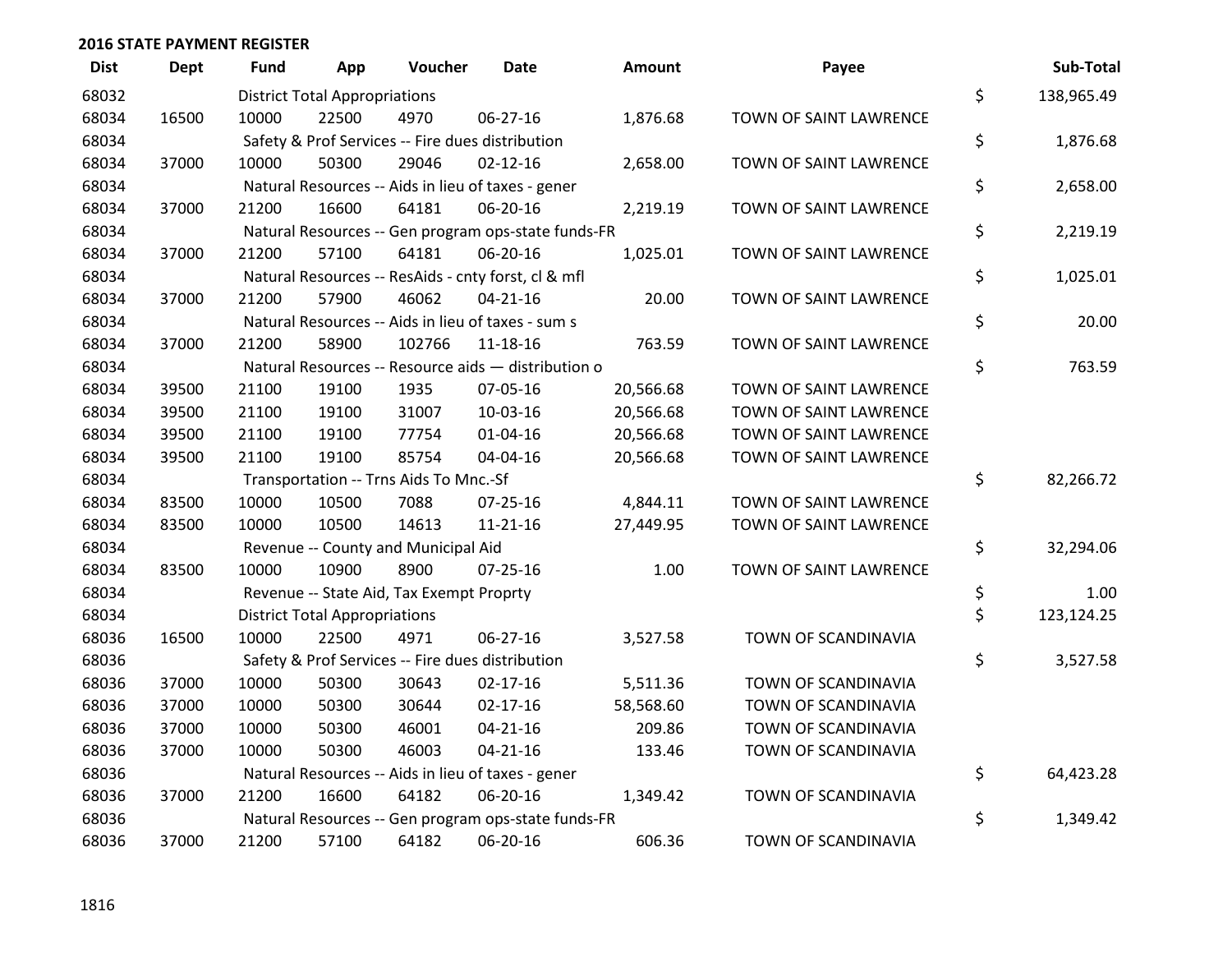| <b>Dist</b> | <b>Dept</b> | <b>Fund</b> | App                                  | Voucher                                             | <b>Date</b>    | <b>Amount</b> | Payee                         | Sub-Total        |
|-------------|-------------|-------------|--------------------------------------|-----------------------------------------------------|----------------|---------------|-------------------------------|------------------|
| 68032       |             |             | <b>District Total Appropriations</b> |                                                     |                |               |                               | \$<br>138,965.49 |
| 68034       | 16500       | 10000       | 22500                                | 4970                                                | 06-27-16       | 1,876.68      | TOWN OF SAINT LAWRENCE        |                  |
| 68034       |             |             |                                      | Safety & Prof Services -- Fire dues distribution    |                |               |                               | \$<br>1,876.68   |
| 68034       | 37000       | 10000       | 50300                                | 29046                                               | $02 - 12 - 16$ | 2,658.00      | TOWN OF SAINT LAWRENCE        |                  |
| 68034       |             |             |                                      | Natural Resources -- Aids in lieu of taxes - gener  |                |               |                               | \$<br>2,658.00   |
| 68034       | 37000       | 21200       | 16600                                | 64181                                               | 06-20-16       | 2,219.19      | TOWN OF SAINT LAWRENCE        |                  |
| 68034       |             |             |                                      | Natural Resources -- Gen program ops-state funds-FR |                |               |                               | \$<br>2,219.19   |
| 68034       | 37000       | 21200       | 57100                                | 64181                                               | 06-20-16       | 1,025.01      | TOWN OF SAINT LAWRENCE        |                  |
| 68034       |             |             |                                      | Natural Resources -- ResAids - cnty forst, cl & mfl |                |               |                               | \$<br>1,025.01   |
| 68034       | 37000       | 21200       | 57900                                | 46062                                               | $04 - 21 - 16$ | 20.00         | TOWN OF SAINT LAWRENCE        |                  |
| 68034       |             |             |                                      | Natural Resources -- Aids in lieu of taxes - sum s  |                |               |                               | \$<br>20.00      |
| 68034       | 37000       | 21200       | 58900                                | 102766                                              | 11-18-16       | 763.59        | TOWN OF SAINT LAWRENCE        |                  |
| 68034       |             |             |                                      | Natural Resources -- Resource aids - distribution o |                |               |                               | \$<br>763.59     |
| 68034       | 39500       | 21100       | 19100                                | 1935                                                | 07-05-16       | 20,566.68     | <b>TOWN OF SAINT LAWRENCE</b> |                  |
| 68034       | 39500       | 21100       | 19100                                | 31007                                               | 10-03-16       | 20,566.68     | TOWN OF SAINT LAWRENCE        |                  |
| 68034       | 39500       | 21100       | 19100                                | 77754                                               | $01 - 04 - 16$ | 20,566.68     | TOWN OF SAINT LAWRENCE        |                  |
| 68034       | 39500       | 21100       | 19100                                | 85754                                               | 04-04-16       | 20,566.68     | TOWN OF SAINT LAWRENCE        |                  |
| 68034       |             |             |                                      | Transportation -- Trns Aids To Mnc.-Sf              |                |               |                               | \$<br>82,266.72  |
| 68034       | 83500       | 10000       | 10500                                | 7088                                                | $07 - 25 - 16$ | 4,844.11      | TOWN OF SAINT LAWRENCE        |                  |
| 68034       | 83500       | 10000       | 10500                                | 14613                                               | $11 - 21 - 16$ | 27,449.95     | TOWN OF SAINT LAWRENCE        |                  |
| 68034       |             |             |                                      | Revenue -- County and Municipal Aid                 |                |               |                               | \$<br>32,294.06  |
| 68034       | 83500       | 10000       | 10900                                | 8900                                                | $07 - 25 - 16$ | 1.00          | TOWN OF SAINT LAWRENCE        |                  |
| 68034       |             |             |                                      | Revenue -- State Aid, Tax Exempt Proprty            |                |               |                               | \$<br>1.00       |
| 68034       |             |             | <b>District Total Appropriations</b> |                                                     |                |               |                               | \$<br>123,124.25 |
| 68036       | 16500       | 10000       | 22500                                | 4971                                                | 06-27-16       | 3,527.58      | TOWN OF SCANDINAVIA           |                  |
| 68036       |             |             |                                      | Safety & Prof Services -- Fire dues distribution    |                |               |                               | \$<br>3,527.58   |
| 68036       | 37000       | 10000       | 50300                                | 30643                                               | $02 - 17 - 16$ | 5,511.36      | TOWN OF SCANDINAVIA           |                  |
| 68036       | 37000       | 10000       | 50300                                | 30644                                               | $02 - 17 - 16$ | 58,568.60     | TOWN OF SCANDINAVIA           |                  |
| 68036       | 37000       | 10000       | 50300                                | 46001                                               | $04 - 21 - 16$ | 209.86        | TOWN OF SCANDINAVIA           |                  |
| 68036       | 37000       | 10000       | 50300                                | 46003                                               | $04 - 21 - 16$ | 133.46        | TOWN OF SCANDINAVIA           |                  |
| 68036       |             |             |                                      | Natural Resources -- Aids in lieu of taxes - gener  |                |               |                               | \$<br>64,423.28  |
| 68036       | 37000       | 21200       | 16600                                | 64182                                               | 06-20-16       | 1,349.42      | TOWN OF SCANDINAVIA           |                  |
| 68036       |             |             |                                      | Natural Resources -- Gen program ops-state funds-FR |                |               |                               | \$<br>1,349.42   |
| 68036       | 37000       | 21200       | 57100                                | 64182                                               | 06-20-16       | 606.36        | TOWN OF SCANDINAVIA           |                  |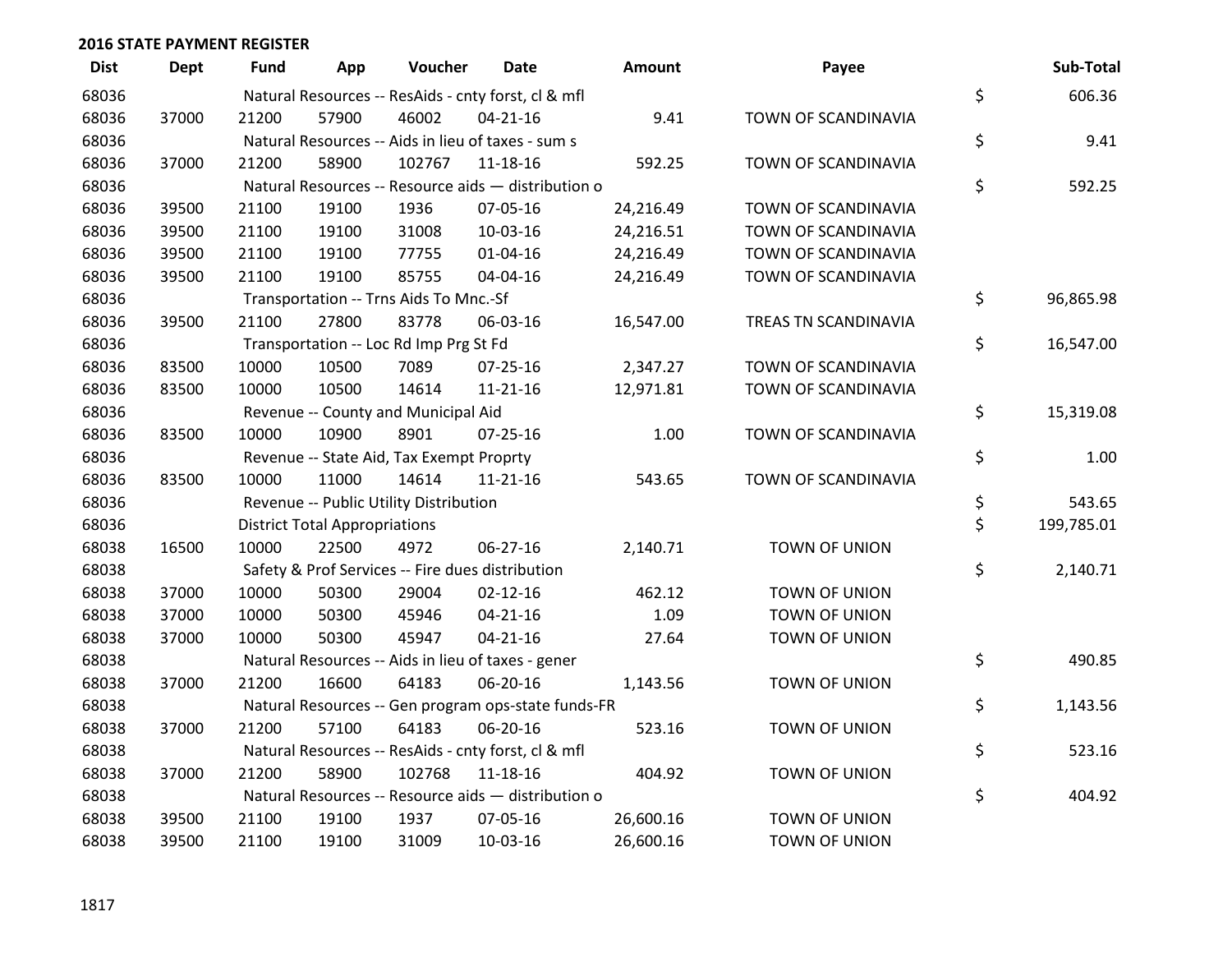| <b>Dist</b> | <b>Dept</b> | <b>Fund</b> | App                                  | Voucher                                          | <b>Date</b>                                         | <b>Amount</b> | Payee                | Sub-Total        |
|-------------|-------------|-------------|--------------------------------------|--------------------------------------------------|-----------------------------------------------------|---------------|----------------------|------------------|
| 68036       |             |             |                                      |                                                  | Natural Resources -- ResAids - cnty forst, cl & mfl |               |                      | \$<br>606.36     |
| 68036       | 37000       | 21200       | 57900                                | 46002                                            | $04 - 21 - 16$                                      | 9.41          | TOWN OF SCANDINAVIA  |                  |
| 68036       |             |             |                                      |                                                  | Natural Resources -- Aids in lieu of taxes - sum s  |               |                      | \$<br>9.41       |
| 68036       | 37000       | 21200       | 58900                                | 102767                                           | $11 - 18 - 16$                                      | 592.25        | TOWN OF SCANDINAVIA  |                  |
| 68036       |             |             |                                      |                                                  | Natural Resources -- Resource aids - distribution o |               |                      | \$<br>592.25     |
| 68036       | 39500       | 21100       | 19100                                | 1936                                             | 07-05-16                                            | 24,216.49     | TOWN OF SCANDINAVIA  |                  |
| 68036       | 39500       | 21100       | 19100                                | 31008                                            | 10-03-16                                            | 24,216.51     | TOWN OF SCANDINAVIA  |                  |
| 68036       | 39500       | 21100       | 19100                                | 77755                                            | $01 - 04 - 16$                                      | 24,216.49     | TOWN OF SCANDINAVIA  |                  |
| 68036       | 39500       | 21100       | 19100                                | 85755                                            | 04-04-16                                            | 24,216.49     | TOWN OF SCANDINAVIA  |                  |
| 68036       |             |             |                                      | Transportation -- Trns Aids To Mnc.-Sf           |                                                     |               |                      | \$<br>96,865.98  |
| 68036       | 39500       | 21100       | 27800                                | 83778                                            | 06-03-16                                            | 16,547.00     | TREAS TN SCANDINAVIA |                  |
| 68036       |             |             |                                      | Transportation -- Loc Rd Imp Prg St Fd           |                                                     |               |                      | \$<br>16,547.00  |
| 68036       | 83500       | 10000       | 10500                                | 7089                                             | $07 - 25 - 16$                                      | 2,347.27      | TOWN OF SCANDINAVIA  |                  |
| 68036       | 83500       | 10000       | 10500                                | 14614                                            | $11 - 21 - 16$                                      | 12,971.81     | TOWN OF SCANDINAVIA  |                  |
| 68036       |             |             |                                      | Revenue -- County and Municipal Aid              |                                                     |               |                      | \$<br>15,319.08  |
| 68036       | 83500       | 10000       | 10900                                | 8901                                             | 07-25-16                                            | 1.00          | TOWN OF SCANDINAVIA  |                  |
| 68036       |             |             |                                      | Revenue -- State Aid, Tax Exempt Proprty         |                                                     |               |                      | \$<br>1.00       |
| 68036       | 83500       | 10000       | 11000                                | 14614                                            | $11 - 21 - 16$                                      | 543.65        | TOWN OF SCANDINAVIA  |                  |
| 68036       |             |             |                                      | Revenue -- Public Utility Distribution           |                                                     |               |                      | \$<br>543.65     |
| 68036       |             |             | <b>District Total Appropriations</b> |                                                  |                                                     |               |                      | \$<br>199,785.01 |
| 68038       | 16500       | 10000       | 22500                                | 4972                                             | 06-27-16                                            | 2,140.71      | TOWN OF UNION        |                  |
| 68038       |             |             |                                      | Safety & Prof Services -- Fire dues distribution |                                                     |               |                      | \$<br>2,140.71   |
| 68038       | 37000       | 10000       | 50300                                | 29004                                            | $02 - 12 - 16$                                      | 462.12        | TOWN OF UNION        |                  |
| 68038       | 37000       | 10000       | 50300                                | 45946                                            | $04 - 21 - 16$                                      | 1.09          | TOWN OF UNION        |                  |
| 68038       | 37000       | 10000       | 50300                                | 45947                                            | $04 - 21 - 16$                                      | 27.64         | TOWN OF UNION        |                  |
| 68038       |             |             |                                      |                                                  | Natural Resources -- Aids in lieu of taxes - gener  |               |                      | \$<br>490.85     |
| 68038       | 37000       | 21200       | 16600                                | 64183                                            | 06-20-16                                            | 1,143.56      | TOWN OF UNION        |                  |
| 68038       |             |             |                                      |                                                  | Natural Resources -- Gen program ops-state funds-FR |               |                      | \$<br>1,143.56   |
| 68038       | 37000       | 21200       | 57100                                | 64183                                            | 06-20-16                                            | 523.16        | TOWN OF UNION        |                  |
| 68038       |             |             |                                      |                                                  | Natural Resources -- ResAids - cnty forst, cl & mfl |               |                      | \$<br>523.16     |
| 68038       | 37000       | 21200       | 58900                                | 102768                                           | 11-18-16                                            | 404.92        | TOWN OF UNION        |                  |
| 68038       |             |             |                                      |                                                  | Natural Resources -- Resource aids - distribution o |               |                      | \$<br>404.92     |
| 68038       | 39500       | 21100       | 19100                                | 1937                                             | 07-05-16                                            | 26,600.16     | TOWN OF UNION        |                  |
| 68038       | 39500       | 21100       | 19100                                | 31009                                            | 10-03-16                                            | 26,600.16     | TOWN OF UNION        |                  |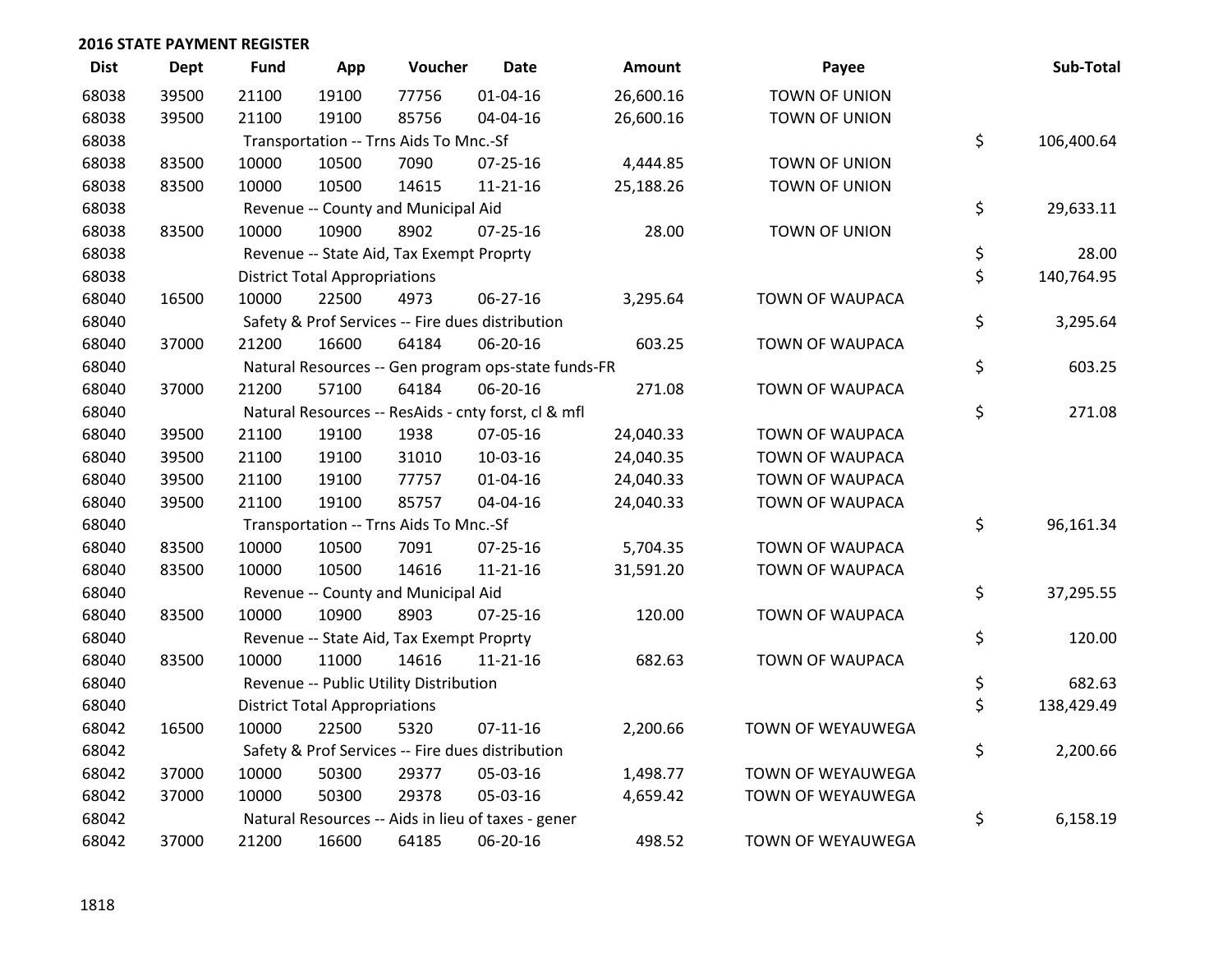| <b>Dist</b> | Dept  | <b>Fund</b> | App                                  | Voucher                                  | <b>Date</b>                                         | Amount    | Payee                  | Sub-Total        |
|-------------|-------|-------------|--------------------------------------|------------------------------------------|-----------------------------------------------------|-----------|------------------------|------------------|
| 68038       | 39500 | 21100       | 19100                                | 77756                                    | 01-04-16                                            | 26,600.16 | TOWN OF UNION          |                  |
| 68038       | 39500 | 21100       | 19100                                | 85756                                    | 04-04-16                                            | 26,600.16 | TOWN OF UNION          |                  |
| 68038       |       |             |                                      | Transportation -- Trns Aids To Mnc.-Sf   |                                                     |           |                        | \$<br>106,400.64 |
| 68038       | 83500 | 10000       | 10500                                | 7090                                     | $07 - 25 - 16$                                      | 4,444.85  | TOWN OF UNION          |                  |
| 68038       | 83500 | 10000       | 10500                                | 14615                                    | $11 - 21 - 16$                                      | 25,188.26 | TOWN OF UNION          |                  |
| 68038       |       |             |                                      | Revenue -- County and Municipal Aid      |                                                     |           |                        | \$<br>29,633.11  |
| 68038       | 83500 | 10000       | 10900                                | 8902                                     | $07 - 25 - 16$                                      | 28.00     | TOWN OF UNION          |                  |
| 68038       |       |             |                                      | Revenue -- State Aid, Tax Exempt Proprty |                                                     |           |                        | \$<br>28.00      |
| 68038       |       |             | <b>District Total Appropriations</b> |                                          |                                                     |           |                        | \$<br>140,764.95 |
| 68040       | 16500 | 10000       | 22500                                | 4973                                     | 06-27-16                                            | 3,295.64  | <b>TOWN OF WAUPACA</b> |                  |
| 68040       |       |             |                                      |                                          | Safety & Prof Services -- Fire dues distribution    |           |                        | \$<br>3,295.64   |
| 68040       | 37000 | 21200       | 16600                                | 64184                                    | 06-20-16                                            | 603.25    | TOWN OF WAUPACA        |                  |
| 68040       |       |             |                                      |                                          | Natural Resources -- Gen program ops-state funds-FR |           |                        | \$<br>603.25     |
| 68040       | 37000 | 21200       | 57100                                | 64184                                    | 06-20-16                                            | 271.08    | TOWN OF WAUPACA        |                  |
| 68040       |       |             |                                      |                                          | Natural Resources -- ResAids - cnty forst, cl & mfl |           |                        | \$<br>271.08     |
| 68040       | 39500 | 21100       | 19100                                | 1938                                     | 07-05-16                                            | 24,040.33 | TOWN OF WAUPACA        |                  |
| 68040       | 39500 | 21100       | 19100                                | 31010                                    | 10-03-16                                            | 24,040.35 | TOWN OF WAUPACA        |                  |
| 68040       | 39500 | 21100       | 19100                                | 77757                                    | 01-04-16                                            | 24,040.33 | <b>TOWN OF WAUPACA</b> |                  |
| 68040       | 39500 | 21100       | 19100                                | 85757                                    | 04-04-16                                            | 24,040.33 | <b>TOWN OF WAUPACA</b> |                  |
| 68040       |       |             |                                      | Transportation -- Trns Aids To Mnc.-Sf   |                                                     |           |                        | \$<br>96,161.34  |
| 68040       | 83500 | 10000       | 10500                                | 7091                                     | 07-25-16                                            | 5,704.35  | <b>TOWN OF WAUPACA</b> |                  |
| 68040       | 83500 | 10000       | 10500                                | 14616                                    | $11 - 21 - 16$                                      | 31,591.20 | TOWN OF WAUPACA        |                  |
| 68040       |       |             |                                      | Revenue -- County and Municipal Aid      |                                                     |           |                        | \$<br>37,295.55  |
| 68040       | 83500 | 10000       | 10900                                | 8903                                     | $07 - 25 - 16$                                      | 120.00    | TOWN OF WAUPACA        |                  |
| 68040       |       |             |                                      | Revenue -- State Aid, Tax Exempt Proprty |                                                     |           |                        | \$<br>120.00     |
| 68040       | 83500 | 10000       | 11000                                | 14616                                    | $11 - 21 - 16$                                      | 682.63    | TOWN OF WAUPACA        |                  |
| 68040       |       |             |                                      | Revenue -- Public Utility Distribution   |                                                     |           |                        | \$<br>682.63     |
| 68040       |       |             | <b>District Total Appropriations</b> |                                          |                                                     |           |                        | \$<br>138,429.49 |
| 68042       | 16500 | 10000       | 22500                                | 5320                                     | $07 - 11 - 16$                                      | 2,200.66  | TOWN OF WEYAUWEGA      |                  |
| 68042       |       |             |                                      |                                          | Safety & Prof Services -- Fire dues distribution    |           |                        | \$<br>2,200.66   |
| 68042       | 37000 | 10000       | 50300                                | 29377                                    | 05-03-16                                            | 1,498.77  | TOWN OF WEYAUWEGA      |                  |
| 68042       | 37000 | 10000       | 50300                                | 29378                                    | 05-03-16                                            | 4,659.42  | TOWN OF WEYAUWEGA      |                  |
| 68042       |       |             |                                      |                                          | Natural Resources -- Aids in lieu of taxes - gener  |           |                        | \$<br>6,158.19   |
| 68042       | 37000 | 21200       | 16600                                | 64185                                    | 06-20-16                                            | 498.52    | TOWN OF WEYAUWEGA      |                  |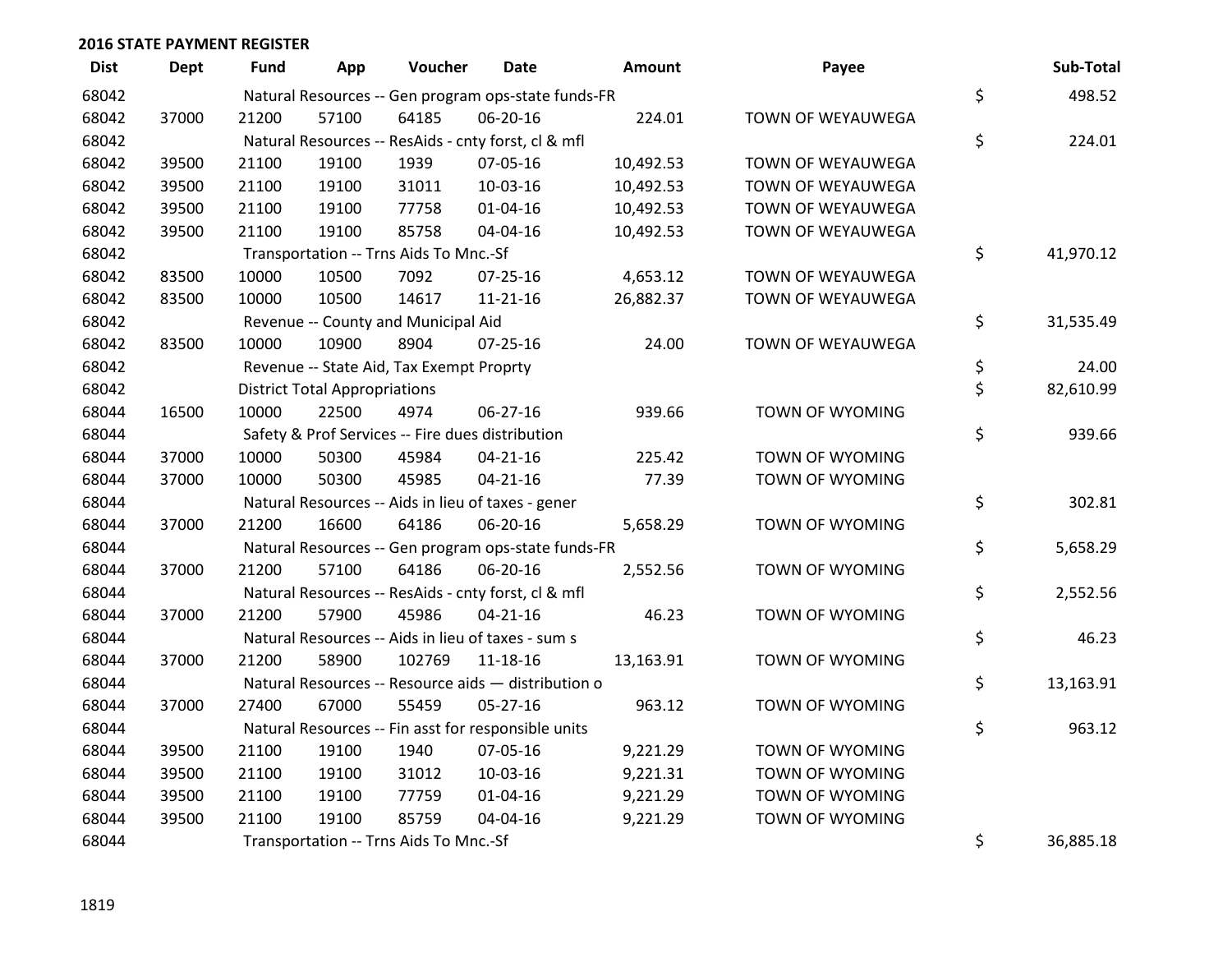| <b>Dist</b> | <b>Dept</b> | <b>Fund</b> | App                                  | Voucher                                  | Date                                                | <b>Amount</b> | Payee             | Sub-Total       |
|-------------|-------------|-------------|--------------------------------------|------------------------------------------|-----------------------------------------------------|---------------|-------------------|-----------------|
| 68042       |             |             |                                      |                                          | Natural Resources -- Gen program ops-state funds-FR |               |                   | \$<br>498.52    |
| 68042       | 37000       | 21200       | 57100                                | 64185                                    | 06-20-16                                            | 224.01        | TOWN OF WEYAUWEGA |                 |
| 68042       |             |             |                                      |                                          | Natural Resources -- ResAids - cnty forst, cl & mfl |               |                   | \$<br>224.01    |
| 68042       | 39500       | 21100       | 19100                                | 1939                                     | 07-05-16                                            | 10,492.53     | TOWN OF WEYAUWEGA |                 |
| 68042       | 39500       | 21100       | 19100                                | 31011                                    | 10-03-16                                            | 10,492.53     | TOWN OF WEYAUWEGA |                 |
| 68042       | 39500       | 21100       | 19100                                | 77758                                    | $01 - 04 - 16$                                      | 10,492.53     | TOWN OF WEYAUWEGA |                 |
| 68042       | 39500       | 21100       | 19100                                | 85758                                    | 04-04-16                                            | 10,492.53     | TOWN OF WEYAUWEGA |                 |
| 68042       |             |             |                                      | Transportation -- Trns Aids To Mnc.-Sf   |                                                     |               |                   | \$<br>41,970.12 |
| 68042       | 83500       | 10000       | 10500                                | 7092                                     | $07 - 25 - 16$                                      | 4,653.12      | TOWN OF WEYAUWEGA |                 |
| 68042       | 83500       | 10000       | 10500                                | 14617                                    | $11 - 21 - 16$                                      | 26,882.37     | TOWN OF WEYAUWEGA |                 |
| 68042       |             |             |                                      | Revenue -- County and Municipal Aid      |                                                     |               |                   | \$<br>31,535.49 |
| 68042       | 83500       | 10000       | 10900                                | 8904                                     | $07 - 25 - 16$                                      | 24.00         | TOWN OF WEYAUWEGA |                 |
| 68042       |             |             |                                      | Revenue -- State Aid, Tax Exempt Proprty |                                                     |               |                   | \$<br>24.00     |
| 68042       |             |             | <b>District Total Appropriations</b> |                                          |                                                     |               |                   | \$<br>82,610.99 |
| 68044       | 16500       | 10000       | 22500                                | 4974                                     | 06-27-16                                            | 939.66        | TOWN OF WYOMING   |                 |
| 68044       |             |             |                                      |                                          | Safety & Prof Services -- Fire dues distribution    |               |                   | \$<br>939.66    |
| 68044       | 37000       | 10000       | 50300                                | 45984                                    | $04 - 21 - 16$                                      | 225.42        | TOWN OF WYOMING   |                 |
| 68044       | 37000       | 10000       | 50300                                | 45985                                    | $04 - 21 - 16$                                      | 77.39         | TOWN OF WYOMING   |                 |
| 68044       |             |             |                                      |                                          | Natural Resources -- Aids in lieu of taxes - gener  |               |                   | \$<br>302.81    |
| 68044       | 37000       | 21200       | 16600                                | 64186                                    | 06-20-16                                            | 5,658.29      | TOWN OF WYOMING   |                 |
| 68044       |             |             |                                      |                                          | Natural Resources -- Gen program ops-state funds-FR |               |                   | \$<br>5,658.29  |
| 68044       | 37000       | 21200       | 57100                                | 64186                                    | 06-20-16                                            | 2,552.56      | TOWN OF WYOMING   |                 |
| 68044       |             |             |                                      |                                          | Natural Resources -- ResAids - cnty forst, cl & mfl |               |                   | \$<br>2,552.56  |
| 68044       | 37000       | 21200       | 57900                                | 45986                                    | $04 - 21 - 16$                                      | 46.23         | TOWN OF WYOMING   |                 |
| 68044       |             |             |                                      |                                          | Natural Resources -- Aids in lieu of taxes - sum s  |               |                   | \$<br>46.23     |
| 68044       | 37000       | 21200       | 58900                                | 102769                                   | $11 - 18 - 16$                                      | 13,163.91     | TOWN OF WYOMING   |                 |
| 68044       |             |             |                                      |                                          | Natural Resources -- Resource aids - distribution o |               |                   | \$<br>13,163.91 |
| 68044       | 37000       | 27400       | 67000                                | 55459                                    | 05-27-16                                            | 963.12        | TOWN OF WYOMING   |                 |
| 68044       |             |             |                                      |                                          | Natural Resources -- Fin asst for responsible units |               |                   | \$<br>963.12    |
| 68044       | 39500       | 21100       | 19100                                | 1940                                     | 07-05-16                                            | 9,221.29      | TOWN OF WYOMING   |                 |
| 68044       | 39500       | 21100       | 19100                                | 31012                                    | 10-03-16                                            | 9,221.31      | TOWN OF WYOMING   |                 |
| 68044       | 39500       | 21100       | 19100                                | 77759                                    | $01 - 04 - 16$                                      | 9,221.29      | TOWN OF WYOMING   |                 |
| 68044       | 39500       | 21100       | 19100                                | 85759                                    | 04-04-16                                            | 9,221.29      | TOWN OF WYOMING   |                 |
| 68044       |             |             |                                      | Transportation -- Trns Aids To Mnc.-Sf   |                                                     |               |                   | \$<br>36,885.18 |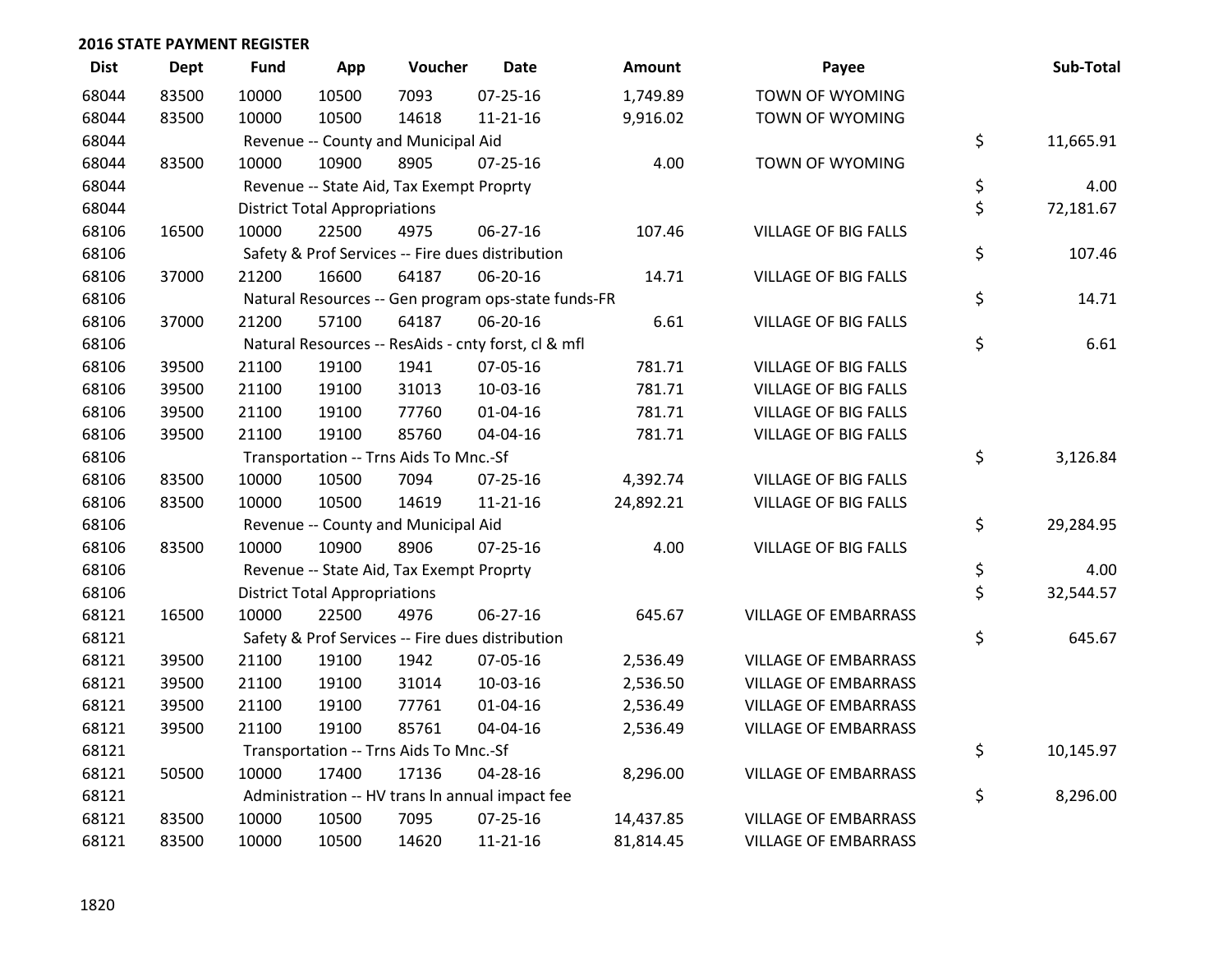| <b>Dist</b> | <b>Dept</b> | <b>Fund</b> | App                                  | Voucher                                  | <b>Date</b>                                         | <b>Amount</b> | Payee                       | Sub-Total       |
|-------------|-------------|-------------|--------------------------------------|------------------------------------------|-----------------------------------------------------|---------------|-----------------------------|-----------------|
| 68044       | 83500       | 10000       | 10500                                | 7093                                     | $07 - 25 - 16$                                      | 1,749.89      | <b>TOWN OF WYOMING</b>      |                 |
| 68044       | 83500       | 10000       | 10500                                | 14618                                    | $11 - 21 - 16$                                      | 9,916.02      | TOWN OF WYOMING             |                 |
| 68044       |             |             |                                      | Revenue -- County and Municipal Aid      |                                                     |               |                             | \$<br>11,665.91 |
| 68044       | 83500       | 10000       | 10900                                | 8905                                     | $07 - 25 - 16$                                      | 4.00          | TOWN OF WYOMING             |                 |
| 68044       |             |             |                                      | Revenue -- State Aid, Tax Exempt Proprty |                                                     |               |                             | \$<br>4.00      |
| 68044       |             |             | <b>District Total Appropriations</b> |                                          |                                                     |               |                             | \$<br>72,181.67 |
| 68106       | 16500       | 10000       | 22500                                | 4975                                     | 06-27-16                                            | 107.46        | <b>VILLAGE OF BIG FALLS</b> |                 |
| 68106       |             |             |                                      |                                          | Safety & Prof Services -- Fire dues distribution    |               |                             | \$<br>107.46    |
| 68106       | 37000       | 21200       | 16600                                | 64187                                    | 06-20-16                                            | 14.71         | <b>VILLAGE OF BIG FALLS</b> |                 |
| 68106       |             |             |                                      |                                          | Natural Resources -- Gen program ops-state funds-FR |               |                             | \$<br>14.71     |
| 68106       | 37000       | 21200       | 57100                                | 64187                                    | 06-20-16                                            | 6.61          | <b>VILLAGE OF BIG FALLS</b> |                 |
| 68106       |             |             |                                      |                                          | Natural Resources -- ResAids - cnty forst, cl & mfl |               |                             | \$<br>6.61      |
| 68106       | 39500       | 21100       | 19100                                | 1941                                     | 07-05-16                                            | 781.71        | <b>VILLAGE OF BIG FALLS</b> |                 |
| 68106       | 39500       | 21100       | 19100                                | 31013                                    | 10-03-16                                            | 781.71        | <b>VILLAGE OF BIG FALLS</b> |                 |
| 68106       | 39500       | 21100       | 19100                                | 77760                                    | $01 - 04 - 16$                                      | 781.71        | <b>VILLAGE OF BIG FALLS</b> |                 |
| 68106       | 39500       | 21100       | 19100                                | 85760                                    | 04-04-16                                            | 781.71        | <b>VILLAGE OF BIG FALLS</b> |                 |
| 68106       |             |             |                                      | Transportation -- Trns Aids To Mnc.-Sf   |                                                     |               |                             | \$<br>3,126.84  |
| 68106       | 83500       | 10000       | 10500                                | 7094                                     | $07 - 25 - 16$                                      | 4,392.74      | <b>VILLAGE OF BIG FALLS</b> |                 |
| 68106       | 83500       | 10000       | 10500                                | 14619                                    | $11 - 21 - 16$                                      | 24,892.21     | <b>VILLAGE OF BIG FALLS</b> |                 |
| 68106       |             |             |                                      | Revenue -- County and Municipal Aid      |                                                     |               |                             | \$<br>29,284.95 |
| 68106       | 83500       | 10000       | 10900                                | 8906                                     | 07-25-16                                            | 4.00          | <b>VILLAGE OF BIG FALLS</b> |                 |
| 68106       |             |             |                                      | Revenue -- State Aid, Tax Exempt Proprty |                                                     |               |                             | \$<br>4.00      |
| 68106       |             |             | <b>District Total Appropriations</b> |                                          |                                                     |               |                             | \$<br>32,544.57 |
| 68121       | 16500       | 10000       | 22500                                | 4976                                     | 06-27-16                                            | 645.67        | <b>VILLAGE OF EMBARRASS</b> |                 |
| 68121       |             |             |                                      |                                          | Safety & Prof Services -- Fire dues distribution    |               |                             | \$<br>645.67    |
| 68121       | 39500       | 21100       | 19100                                | 1942                                     | 07-05-16                                            | 2,536.49      | <b>VILLAGE OF EMBARRASS</b> |                 |
| 68121       | 39500       | 21100       | 19100                                | 31014                                    | 10-03-16                                            | 2,536.50      | <b>VILLAGE OF EMBARRASS</b> |                 |
| 68121       | 39500       | 21100       | 19100                                | 77761                                    | $01 - 04 - 16$                                      | 2,536.49      | <b>VILLAGE OF EMBARRASS</b> |                 |
| 68121       | 39500       | 21100       | 19100                                | 85761                                    | 04-04-16                                            | 2,536.49      | <b>VILLAGE OF EMBARRASS</b> |                 |
| 68121       |             |             |                                      | Transportation -- Trns Aids To Mnc.-Sf   |                                                     |               |                             | \$<br>10,145.97 |
| 68121       | 50500       | 10000       | 17400                                | 17136                                    | 04-28-16                                            | 8,296.00      | <b>VILLAGE OF EMBARRASS</b> |                 |
| 68121       |             |             |                                      |                                          | Administration -- HV trans In annual impact fee     |               |                             | \$<br>8,296.00  |
| 68121       | 83500       | 10000       | 10500                                | 7095                                     | $07 - 25 - 16$                                      | 14,437.85     | <b>VILLAGE OF EMBARRASS</b> |                 |
| 68121       | 83500       | 10000       | 10500                                | 14620                                    | $11 - 21 - 16$                                      | 81,814.45     | <b>VILLAGE OF EMBARRASS</b> |                 |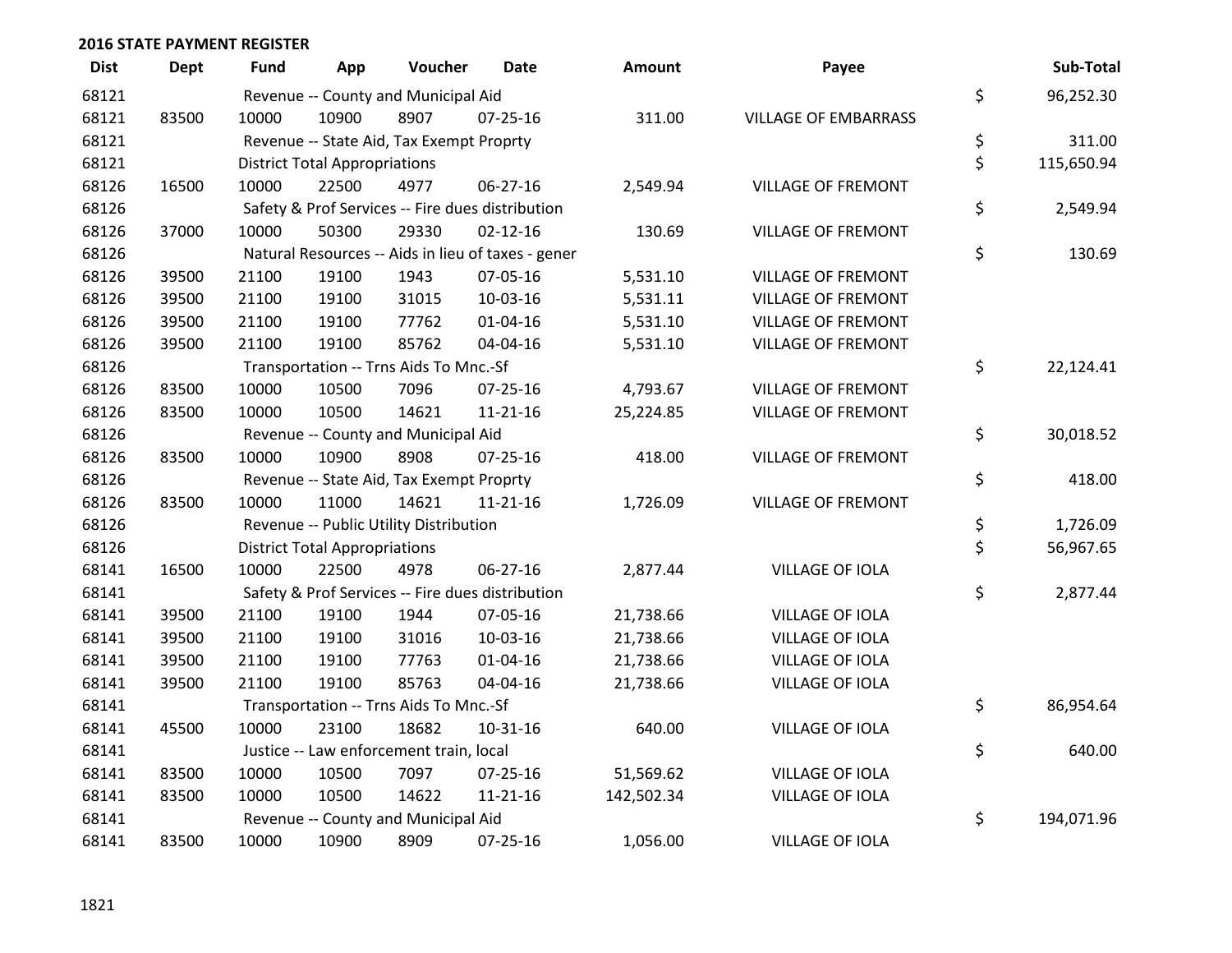| <b>Dist</b> | <b>Dept</b> | <b>Fund</b> | App                                  | Voucher                                  | <b>Date</b>                                        | Amount     | Payee                       | Sub-Total        |
|-------------|-------------|-------------|--------------------------------------|------------------------------------------|----------------------------------------------------|------------|-----------------------------|------------------|
| 68121       |             |             |                                      | Revenue -- County and Municipal Aid      |                                                    |            |                             | \$<br>96,252.30  |
| 68121       | 83500       | 10000       | 10900                                | 8907                                     | 07-25-16                                           | 311.00     | <b>VILLAGE OF EMBARRASS</b> |                  |
| 68121       |             |             |                                      | Revenue -- State Aid, Tax Exempt Proprty |                                                    |            |                             | \$<br>311.00     |
| 68121       |             |             | <b>District Total Appropriations</b> |                                          |                                                    |            |                             | \$<br>115,650.94 |
| 68126       | 16500       | 10000       | 22500                                | 4977                                     | 06-27-16                                           | 2,549.94   | <b>VILLAGE OF FREMONT</b>   |                  |
| 68126       |             |             |                                      |                                          | Safety & Prof Services -- Fire dues distribution   |            |                             | \$<br>2,549.94   |
| 68126       | 37000       | 10000       | 50300                                | 29330                                    | $02 - 12 - 16$                                     | 130.69     | <b>VILLAGE OF FREMONT</b>   |                  |
| 68126       |             |             |                                      |                                          | Natural Resources -- Aids in lieu of taxes - gener |            |                             | \$<br>130.69     |
| 68126       | 39500       | 21100       | 19100                                | 1943                                     | 07-05-16                                           | 5,531.10   | <b>VILLAGE OF FREMONT</b>   |                  |
| 68126       | 39500       | 21100       | 19100                                | 31015                                    | 10-03-16                                           | 5,531.11   | <b>VILLAGE OF FREMONT</b>   |                  |
| 68126       | 39500       | 21100       | 19100                                | 77762                                    | 01-04-16                                           | 5,531.10   | <b>VILLAGE OF FREMONT</b>   |                  |
| 68126       | 39500       | 21100       | 19100                                | 85762                                    | 04-04-16                                           | 5,531.10   | VILLAGE OF FREMONT          |                  |
| 68126       |             |             |                                      | Transportation -- Trns Aids To Mnc.-Sf   |                                                    |            |                             | \$<br>22,124.41  |
| 68126       | 83500       | 10000       | 10500                                | 7096                                     | 07-25-16                                           | 4,793.67   | <b>VILLAGE OF FREMONT</b>   |                  |
| 68126       | 83500       | 10000       | 10500                                | 14621                                    | $11 - 21 - 16$                                     | 25,224.85  | <b>VILLAGE OF FREMONT</b>   |                  |
| 68126       |             |             |                                      | Revenue -- County and Municipal Aid      |                                                    |            |                             | \$<br>30,018.52  |
| 68126       | 83500       | 10000       | 10900                                | 8908                                     | $07 - 25 - 16$                                     | 418.00     | VILLAGE OF FREMONT          |                  |
| 68126       |             |             |                                      | Revenue -- State Aid, Tax Exempt Proprty |                                                    |            |                             | \$<br>418.00     |
| 68126       | 83500       | 10000       | 11000                                | 14621                                    | $11 - 21 - 16$                                     | 1,726.09   | <b>VILLAGE OF FREMONT</b>   |                  |
| 68126       |             |             |                                      | Revenue -- Public Utility Distribution   |                                                    |            |                             | \$<br>1,726.09   |
| 68126       |             |             | <b>District Total Appropriations</b> |                                          |                                                    |            |                             | \$<br>56,967.65  |
| 68141       | 16500       | 10000       | 22500                                | 4978                                     | $06 - 27 - 16$                                     | 2,877.44   | <b>VILLAGE OF IOLA</b>      |                  |
| 68141       |             |             |                                      |                                          | Safety & Prof Services -- Fire dues distribution   |            |                             | \$<br>2,877.44   |
| 68141       | 39500       | 21100       | 19100                                | 1944                                     | 07-05-16                                           | 21,738.66  | VILLAGE OF IOLA             |                  |
| 68141       | 39500       | 21100       | 19100                                | 31016                                    | 10-03-16                                           | 21,738.66  | <b>VILLAGE OF IOLA</b>      |                  |
| 68141       | 39500       | 21100       | 19100                                | 77763                                    | $01 - 04 - 16$                                     | 21,738.66  | VILLAGE OF IOLA             |                  |
| 68141       | 39500       | 21100       | 19100                                | 85763                                    | 04-04-16                                           | 21,738.66  | <b>VILLAGE OF IOLA</b>      |                  |
| 68141       |             |             |                                      | Transportation -- Trns Aids To Mnc.-Sf   |                                                    |            |                             | \$<br>86,954.64  |
| 68141       | 45500       | 10000       | 23100                                | 18682                                    | $10 - 31 - 16$                                     | 640.00     | VILLAGE OF IOLA             |                  |
| 68141       |             |             |                                      | Justice -- Law enforcement train, local  |                                                    |            |                             | \$<br>640.00     |
| 68141       | 83500       | 10000       | 10500                                | 7097                                     | 07-25-16                                           | 51,569.62  | <b>VILLAGE OF IOLA</b>      |                  |
| 68141       | 83500       | 10000       | 10500                                | 14622                                    | $11 - 21 - 16$                                     | 142,502.34 | <b>VILLAGE OF IOLA</b>      |                  |
| 68141       |             |             |                                      | Revenue -- County and Municipal Aid      |                                                    |            |                             | \$<br>194,071.96 |
| 68141       | 83500       | 10000       | 10900                                | 8909                                     | 07-25-16                                           | 1,056.00   | VILLAGE OF IOLA             |                  |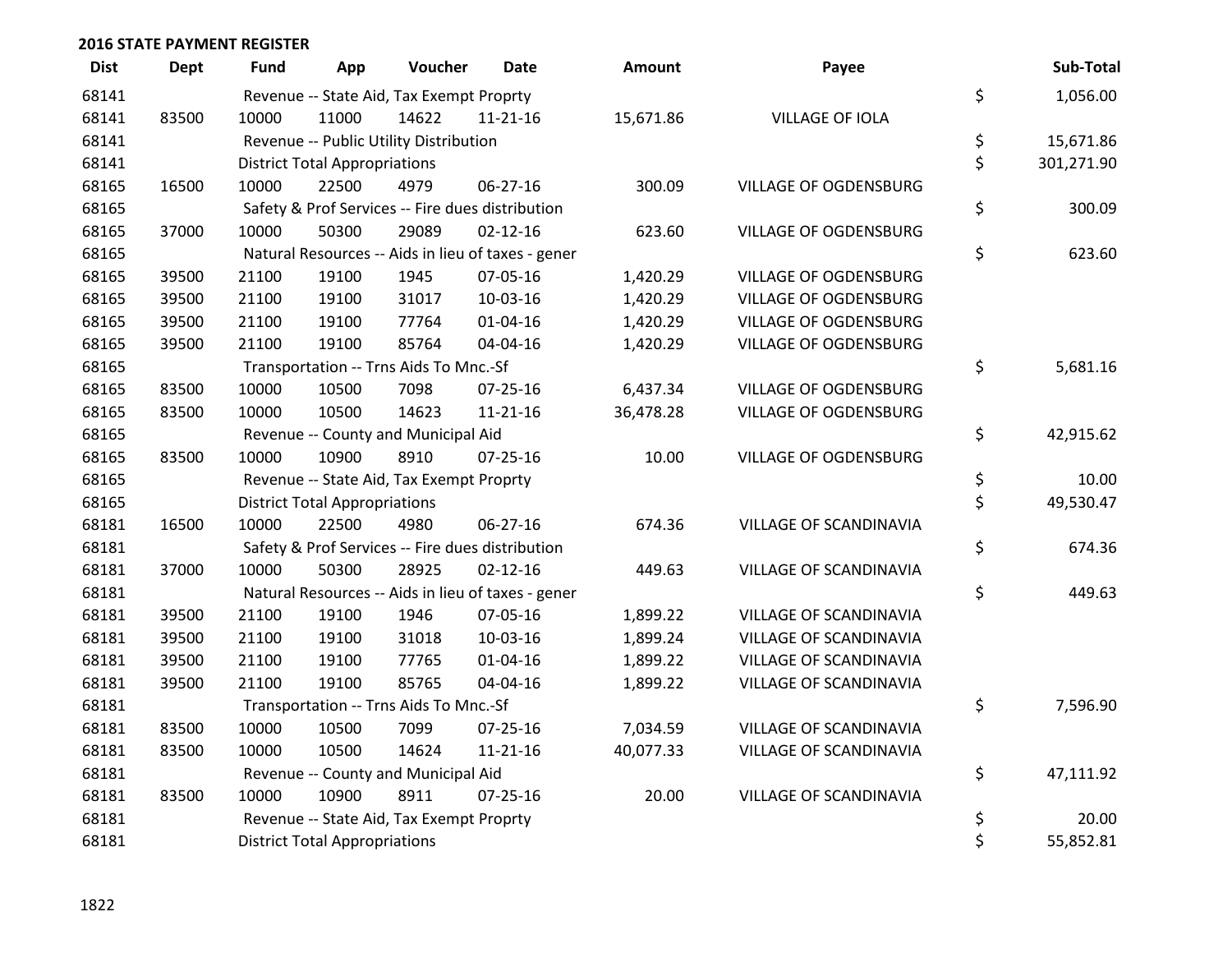| <b>Dept</b> | <b>Fund</b> | App   | Voucher | Date                                                                                                                 | Amount                                                                                                                                                                                                                                                                                                                                                                                                                                               | Payee                                                                                                    | Sub-Total        |
|-------------|-------------|-------|---------|----------------------------------------------------------------------------------------------------------------------|------------------------------------------------------------------------------------------------------------------------------------------------------------------------------------------------------------------------------------------------------------------------------------------------------------------------------------------------------------------------------------------------------------------------------------------------------|----------------------------------------------------------------------------------------------------------|------------------|
|             |             |       |         |                                                                                                                      |                                                                                                                                                                                                                                                                                                                                                                                                                                                      |                                                                                                          | 1,056.00         |
| 83500       | 10000       | 11000 | 14622   | $11 - 21 - 16$                                                                                                       | 15,671.86                                                                                                                                                                                                                                                                                                                                                                                                                                            | <b>VILLAGE OF IOLA</b>                                                                                   |                  |
|             |             |       |         |                                                                                                                      |                                                                                                                                                                                                                                                                                                                                                                                                                                                      |                                                                                                          | \$<br>15,671.86  |
|             |             |       |         |                                                                                                                      |                                                                                                                                                                                                                                                                                                                                                                                                                                                      |                                                                                                          | \$<br>301,271.90 |
| 16500       | 10000       | 22500 | 4979    | 06-27-16                                                                                                             | 300.09                                                                                                                                                                                                                                                                                                                                                                                                                                               | <b>VILLAGE OF OGDENSBURG</b>                                                                             |                  |
|             |             |       |         |                                                                                                                      |                                                                                                                                                                                                                                                                                                                                                                                                                                                      |                                                                                                          | \$<br>300.09     |
| 37000       | 10000       | 50300 | 29089   | $02 - 12 - 16$                                                                                                       | 623.60                                                                                                                                                                                                                                                                                                                                                                                                                                               | VILLAGE OF OGDENSBURG                                                                                    |                  |
|             |             |       |         |                                                                                                                      |                                                                                                                                                                                                                                                                                                                                                                                                                                                      |                                                                                                          | \$<br>623.60     |
| 39500       | 21100       | 19100 | 1945    | 07-05-16                                                                                                             | 1,420.29                                                                                                                                                                                                                                                                                                                                                                                                                                             | VILLAGE OF OGDENSBURG                                                                                    |                  |
| 39500       | 21100       | 19100 | 31017   | 10-03-16                                                                                                             | 1,420.29                                                                                                                                                                                                                                                                                                                                                                                                                                             | VILLAGE OF OGDENSBURG                                                                                    |                  |
| 39500       | 21100       | 19100 | 77764   | $01 - 04 - 16$                                                                                                       | 1,420.29                                                                                                                                                                                                                                                                                                                                                                                                                                             | VILLAGE OF OGDENSBURG                                                                                    |                  |
| 39500       | 21100       | 19100 | 85764   | 04-04-16                                                                                                             | 1,420.29                                                                                                                                                                                                                                                                                                                                                                                                                                             | <b>VILLAGE OF OGDENSBURG</b>                                                                             |                  |
|             |             |       |         |                                                                                                                      |                                                                                                                                                                                                                                                                                                                                                                                                                                                      |                                                                                                          | \$<br>5,681.16   |
| 83500       | 10000       | 10500 | 7098    | $07 - 25 - 16$                                                                                                       | 6,437.34                                                                                                                                                                                                                                                                                                                                                                                                                                             | <b>VILLAGE OF OGDENSBURG</b>                                                                             |                  |
| 83500       | 10000       | 10500 | 14623   | $11 - 21 - 16$                                                                                                       | 36,478.28                                                                                                                                                                                                                                                                                                                                                                                                                                            | VILLAGE OF OGDENSBURG                                                                                    |                  |
|             |             |       |         |                                                                                                                      |                                                                                                                                                                                                                                                                                                                                                                                                                                                      |                                                                                                          | \$<br>42,915.62  |
| 83500       | 10000       | 10900 | 8910    | $07 - 25 - 16$                                                                                                       | 10.00                                                                                                                                                                                                                                                                                                                                                                                                                                                | <b>VILLAGE OF OGDENSBURG</b>                                                                             |                  |
|             |             |       |         |                                                                                                                      |                                                                                                                                                                                                                                                                                                                                                                                                                                                      |                                                                                                          | \$<br>10.00      |
|             |             |       |         |                                                                                                                      |                                                                                                                                                                                                                                                                                                                                                                                                                                                      |                                                                                                          | \$<br>49,530.47  |
| 16500       | 10000       | 22500 | 4980    | 06-27-16                                                                                                             | 674.36                                                                                                                                                                                                                                                                                                                                                                                                                                               | VILLAGE OF SCANDINAVIA                                                                                   |                  |
|             |             |       |         |                                                                                                                      |                                                                                                                                                                                                                                                                                                                                                                                                                                                      |                                                                                                          | \$<br>674.36     |
| 37000       | 10000       | 50300 | 28925   | $02 - 12 - 16$                                                                                                       | 449.63                                                                                                                                                                                                                                                                                                                                                                                                                                               | VILLAGE OF SCANDINAVIA                                                                                   |                  |
|             |             |       |         |                                                                                                                      |                                                                                                                                                                                                                                                                                                                                                                                                                                                      |                                                                                                          | \$<br>449.63     |
| 39500       | 21100       | 19100 | 1946    | 07-05-16                                                                                                             | 1,899.22                                                                                                                                                                                                                                                                                                                                                                                                                                             | VILLAGE OF SCANDINAVIA                                                                                   |                  |
| 39500       | 21100       | 19100 | 31018   | 10-03-16                                                                                                             | 1,899.24                                                                                                                                                                                                                                                                                                                                                                                                                                             | VILLAGE OF SCANDINAVIA                                                                                   |                  |
| 39500       | 21100       | 19100 | 77765   | $01 - 04 - 16$                                                                                                       | 1,899.22                                                                                                                                                                                                                                                                                                                                                                                                                                             | VILLAGE OF SCANDINAVIA                                                                                   |                  |
| 39500       | 21100       | 19100 | 85765   | 04-04-16                                                                                                             | 1,899.22                                                                                                                                                                                                                                                                                                                                                                                                                                             | VILLAGE OF SCANDINAVIA                                                                                   |                  |
|             |             |       |         |                                                                                                                      |                                                                                                                                                                                                                                                                                                                                                                                                                                                      |                                                                                                          | \$<br>7,596.90   |
| 83500       | 10000       | 10500 | 7099    | $07 - 25 - 16$                                                                                                       | 7,034.59                                                                                                                                                                                                                                                                                                                                                                                                                                             | VILLAGE OF SCANDINAVIA                                                                                   |                  |
| 83500       | 10000       | 10500 | 14624   | $11 - 21 - 16$                                                                                                       | 40,077.33                                                                                                                                                                                                                                                                                                                                                                                                                                            | VILLAGE OF SCANDINAVIA                                                                                   |                  |
|             |             |       |         |                                                                                                                      |                                                                                                                                                                                                                                                                                                                                                                                                                                                      |                                                                                                          | \$<br>47,111.92  |
| 83500       | 10000       | 10900 | 8911    | $07 - 25 - 16$                                                                                                       | 20.00                                                                                                                                                                                                                                                                                                                                                                                                                                                | VILLAGE OF SCANDINAVIA                                                                                   |                  |
|             |             |       |         |                                                                                                                      |                                                                                                                                                                                                                                                                                                                                                                                                                                                      |                                                                                                          | \$<br>20.00      |
|             |             |       |         |                                                                                                                      |                                                                                                                                                                                                                                                                                                                                                                                                                                                      |                                                                                                          | 55,852.81        |
|             |             |       |         | <b>District Total Appropriations</b><br><b>District Total Appropriations</b><br><b>District Total Appropriations</b> | Revenue -- State Aid, Tax Exempt Proprty<br>Revenue -- Public Utility Distribution<br>Safety & Prof Services -- Fire dues distribution<br>Transportation -- Trns Aids To Mnc.-Sf<br>Revenue -- County and Municipal Aid<br>Revenue -- State Aid, Tax Exempt Proprty<br>Safety & Prof Services -- Fire dues distribution<br>Transportation -- Trns Aids To Mnc.-Sf<br>Revenue -- County and Municipal Aid<br>Revenue -- State Aid, Tax Exempt Proprty | Natural Resources -- Aids in lieu of taxes - gener<br>Natural Resources -- Aids in lieu of taxes - gener | \$<br>\$         |

| <b>Imount</b> | Payee                         | Sub-Total        |
|---------------|-------------------------------|------------------|
|               |                               | \$<br>1,056.00   |
| ,671.86       | <b>VILLAGE OF IOLA</b>        |                  |
|               |                               | \$<br>15,671.86  |
|               |                               | \$<br>301,271.90 |
| 300.09        | <b>VILLAGE OF OGDENSBURG</b>  |                  |
|               |                               | \$<br>300.09     |
| 623.60        | <b>VILLAGE OF OGDENSBURG</b>  |                  |
|               |                               | \$<br>623.60     |
| ,420.29       | <b>VILLAGE OF OGDENSBURG</b>  |                  |
| ,420.29       | <b>VILLAGE OF OGDENSBURG</b>  |                  |
| ,420.29       | <b>VILLAGE OF OGDENSBURG</b>  |                  |
| ,420.29       | VILLAGE OF OGDENSBURG         |                  |
|               |                               | \$<br>5,681.16   |
| ,437.34       | <b>VILLAGE OF OGDENSBURG</b>  |                  |
| ,478.28       | <b>VILLAGE OF OGDENSBURG</b>  |                  |
|               |                               | \$<br>42,915.62  |
| 10.00         | <b>VILLAGE OF OGDENSBURG</b>  |                  |
|               |                               | \$<br>10.00      |
|               |                               | \$<br>49,530.47  |
| 674.36        | <b>VILLAGE OF SCANDINAVIA</b> |                  |
|               |                               | \$<br>674.36     |
| 449.63        | <b>VILLAGE OF SCANDINAVIA</b> |                  |
|               |                               | \$<br>449.63     |
| ,899.22       | <b>VILLAGE OF SCANDINAVIA</b> |                  |
| ,899.24       | <b>VILLAGE OF SCANDINAVIA</b> |                  |
| ,899.22       | <b>VILLAGE OF SCANDINAVIA</b> |                  |
| ,899.22       | VILLAGE OF SCANDINAVIA        |                  |
|               |                               | \$<br>7,596.90   |
| ,034.59       | VILLAGE OF SCANDINAVIA        |                  |
| ,077.33       | <b>VILLAGE OF SCANDINAVIA</b> |                  |
|               |                               | \$<br>47,111.92  |
| 20.00         | VILLAGE OF SCANDINAVIA        |                  |
|               |                               | \$<br>20.00      |
|               |                               | \$<br>55,852.81  |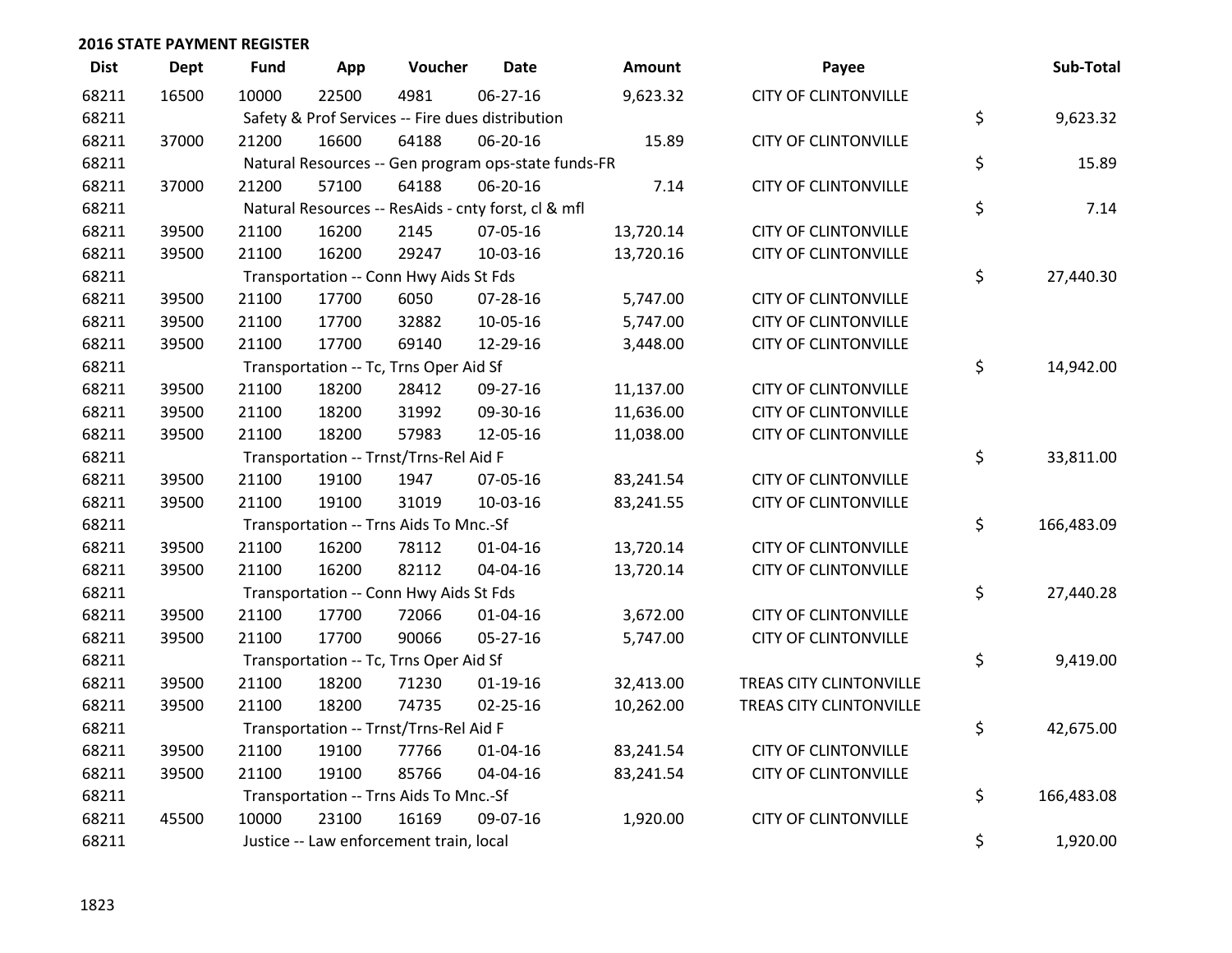| <b>Dist</b> | <b>Dept</b> | <b>Fund</b> | App   | Voucher                                 | <b>Date</b>                                         | Amount    | Payee                       | Sub-Total        |
|-------------|-------------|-------------|-------|-----------------------------------------|-----------------------------------------------------|-----------|-----------------------------|------------------|
| 68211       | 16500       | 10000       | 22500 | 4981                                    | 06-27-16                                            | 9,623.32  | <b>CITY OF CLINTONVILLE</b> |                  |
| 68211       |             |             |       |                                         | Safety & Prof Services -- Fire dues distribution    |           |                             | \$<br>9,623.32   |
| 68211       | 37000       | 21200       | 16600 | 64188                                   | 06-20-16                                            | 15.89     | <b>CITY OF CLINTONVILLE</b> |                  |
| 68211       |             |             |       |                                         | Natural Resources -- Gen program ops-state funds-FR |           |                             | \$<br>15.89      |
| 68211       | 37000       | 21200       | 57100 | 64188                                   | 06-20-16                                            | 7.14      | <b>CITY OF CLINTONVILLE</b> |                  |
| 68211       |             |             |       |                                         | Natural Resources -- ResAids - cnty forst, cl & mfl |           |                             | \$<br>7.14       |
| 68211       | 39500       | 21100       | 16200 | 2145                                    | 07-05-16                                            | 13,720.14 | <b>CITY OF CLINTONVILLE</b> |                  |
| 68211       | 39500       | 21100       | 16200 | 29247                                   | 10-03-16                                            | 13,720.16 | <b>CITY OF CLINTONVILLE</b> |                  |
| 68211       |             |             |       | Transportation -- Conn Hwy Aids St Fds  |                                                     |           |                             | \$<br>27,440.30  |
| 68211       | 39500       | 21100       | 17700 | 6050                                    | $07 - 28 - 16$                                      | 5,747.00  | <b>CITY OF CLINTONVILLE</b> |                  |
| 68211       | 39500       | 21100       | 17700 | 32882                                   | 10-05-16                                            | 5,747.00  | <b>CITY OF CLINTONVILLE</b> |                  |
| 68211       | 39500       | 21100       | 17700 | 69140                                   | 12-29-16                                            | 3,448.00  | <b>CITY OF CLINTONVILLE</b> |                  |
| 68211       |             |             |       | Transportation -- Tc, Trns Oper Aid Sf  |                                                     |           |                             | \$<br>14,942.00  |
| 68211       | 39500       | 21100       | 18200 | 28412                                   | 09-27-16                                            | 11,137.00 | <b>CITY OF CLINTONVILLE</b> |                  |
| 68211       | 39500       | 21100       | 18200 | 31992                                   | 09-30-16                                            | 11,636.00 | <b>CITY OF CLINTONVILLE</b> |                  |
| 68211       | 39500       | 21100       | 18200 | 57983                                   | 12-05-16                                            | 11,038.00 | <b>CITY OF CLINTONVILLE</b> |                  |
| 68211       |             |             |       | Transportation -- Trnst/Trns-Rel Aid F  |                                                     |           |                             | \$<br>33,811.00  |
| 68211       | 39500       | 21100       | 19100 | 1947                                    | 07-05-16                                            | 83,241.54 | <b>CITY OF CLINTONVILLE</b> |                  |
| 68211       | 39500       | 21100       | 19100 | 31019                                   | 10-03-16                                            | 83,241.55 | <b>CITY OF CLINTONVILLE</b> |                  |
| 68211       |             |             |       | Transportation -- Trns Aids To Mnc.-Sf  |                                                     |           |                             | \$<br>166,483.09 |
| 68211       | 39500       | 21100       | 16200 | 78112                                   | $01 - 04 - 16$                                      | 13,720.14 | <b>CITY OF CLINTONVILLE</b> |                  |
| 68211       | 39500       | 21100       | 16200 | 82112                                   | 04-04-16                                            | 13,720.14 | <b>CITY OF CLINTONVILLE</b> |                  |
| 68211       |             |             |       | Transportation -- Conn Hwy Aids St Fds  |                                                     |           |                             | \$<br>27,440.28  |
| 68211       | 39500       | 21100       | 17700 | 72066                                   | $01 - 04 - 16$                                      | 3,672.00  | <b>CITY OF CLINTONVILLE</b> |                  |
| 68211       | 39500       | 21100       | 17700 | 90066                                   | 05-27-16                                            | 5,747.00  | <b>CITY OF CLINTONVILLE</b> |                  |
| 68211       |             |             |       | Transportation -- Tc, Trns Oper Aid Sf  |                                                     |           |                             | \$<br>9,419.00   |
| 68211       | 39500       | 21100       | 18200 | 71230                                   | $01-19-16$                                          | 32,413.00 | TREAS CITY CLINTONVILLE     |                  |
| 68211       | 39500       | 21100       | 18200 | 74735                                   | $02 - 25 - 16$                                      | 10,262.00 | TREAS CITY CLINTONVILLE     |                  |
| 68211       |             |             |       | Transportation -- Trnst/Trns-Rel Aid F  |                                                     |           |                             | \$<br>42,675.00  |
| 68211       | 39500       | 21100       | 19100 | 77766                                   | $01 - 04 - 16$                                      | 83,241.54 | <b>CITY OF CLINTONVILLE</b> |                  |
| 68211       | 39500       | 21100       | 19100 | 85766                                   | 04-04-16                                            | 83,241.54 | <b>CITY OF CLINTONVILLE</b> |                  |
| 68211       |             |             |       | Transportation -- Trns Aids To Mnc.-Sf  |                                                     |           |                             | \$<br>166,483.08 |
| 68211       | 45500       | 10000       | 23100 | 16169                                   | 09-07-16                                            | 1,920.00  | <b>CITY OF CLINTONVILLE</b> |                  |
| 68211       |             |             |       | Justice -- Law enforcement train, local |                                                     |           |                             | \$<br>1,920.00   |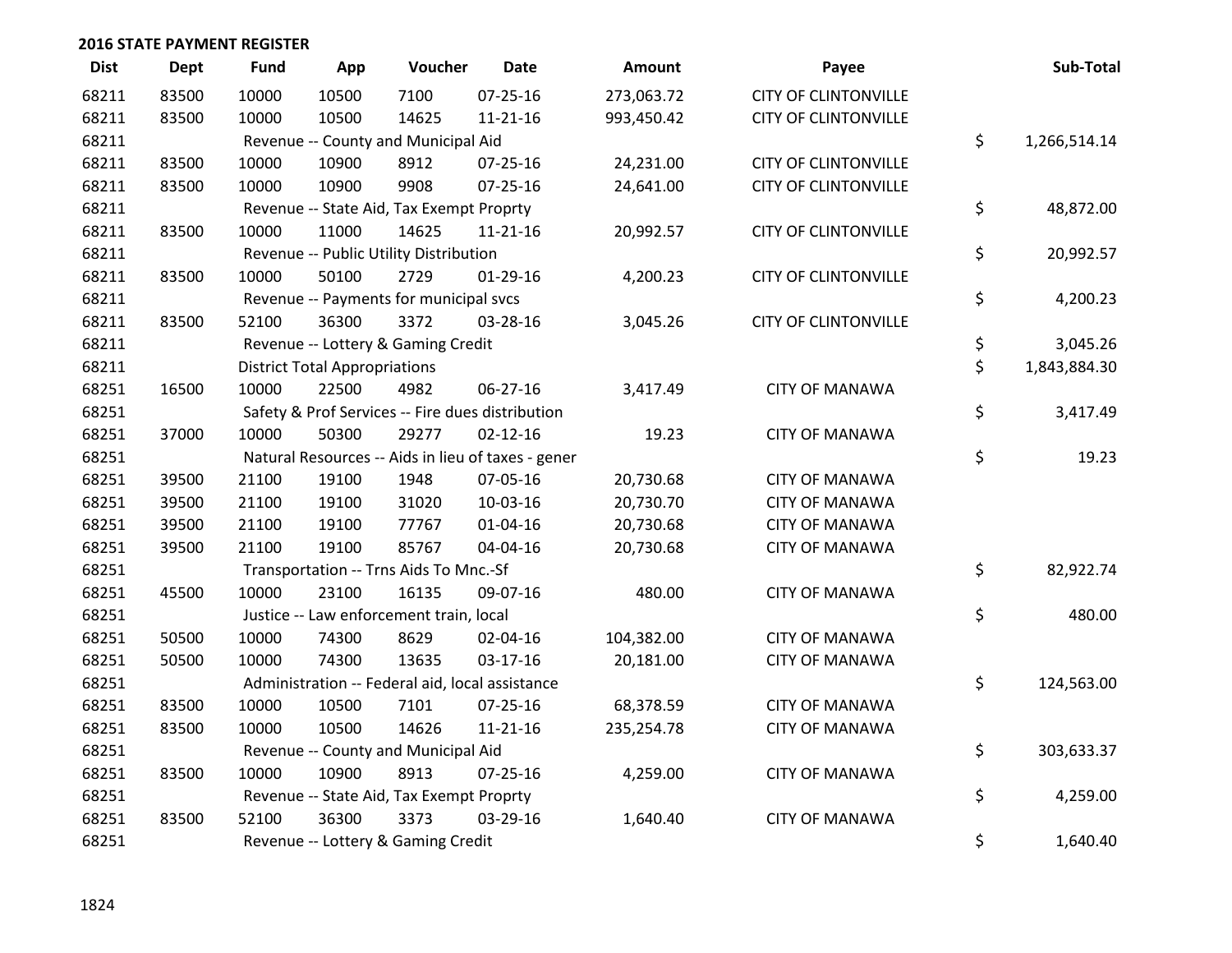| <b>Dist</b> | <b>Dept</b> | <b>Fund</b> | App                                  | Voucher                                            | <b>Date</b>    | Amount     | Payee                       | Sub-Total          |
|-------------|-------------|-------------|--------------------------------------|----------------------------------------------------|----------------|------------|-----------------------------|--------------------|
| 68211       | 83500       | 10000       | 10500                                | 7100                                               | 07-25-16       | 273,063.72 | <b>CITY OF CLINTONVILLE</b> |                    |
| 68211       | 83500       | 10000       | 10500                                | 14625                                              | $11 - 21 - 16$ | 993,450.42 | <b>CITY OF CLINTONVILLE</b> |                    |
| 68211       |             |             |                                      | Revenue -- County and Municipal Aid                |                |            |                             | \$<br>1,266,514.14 |
| 68211       | 83500       | 10000       | 10900                                | 8912                                               | 07-25-16       | 24,231.00  | <b>CITY OF CLINTONVILLE</b> |                    |
| 68211       | 83500       | 10000       | 10900                                | 9908                                               | 07-25-16       | 24,641.00  | <b>CITY OF CLINTONVILLE</b> |                    |
| 68211       |             |             |                                      | Revenue -- State Aid, Tax Exempt Proprty           |                |            |                             | \$<br>48,872.00    |
| 68211       | 83500       | 10000       | 11000                                | 14625                                              | $11 - 21 - 16$ | 20,992.57  | <b>CITY OF CLINTONVILLE</b> |                    |
| 68211       |             |             |                                      | Revenue -- Public Utility Distribution             |                |            |                             | \$<br>20,992.57    |
| 68211       | 83500       | 10000       | 50100                                | 2729                                               | 01-29-16       | 4,200.23   | <b>CITY OF CLINTONVILLE</b> |                    |
| 68211       |             |             |                                      | Revenue -- Payments for municipal svcs             |                |            |                             | \$<br>4,200.23     |
| 68211       | 83500       | 52100       | 36300                                | 3372                                               | 03-28-16       | 3,045.26   | <b>CITY OF CLINTONVILLE</b> |                    |
| 68211       |             |             |                                      | Revenue -- Lottery & Gaming Credit                 |                |            |                             | \$<br>3,045.26     |
| 68211       |             |             | <b>District Total Appropriations</b> |                                                    |                |            |                             | \$<br>1,843,884.30 |
| 68251       | 16500       | 10000       | 22500                                | 4982                                               | 06-27-16       | 3,417.49   | <b>CITY OF MANAWA</b>       |                    |
| 68251       |             |             |                                      | Safety & Prof Services -- Fire dues distribution   |                |            |                             | \$<br>3,417.49     |
| 68251       | 37000       | 10000       | 50300                                | 29277                                              | $02 - 12 - 16$ | 19.23      | <b>CITY OF MANAWA</b>       |                    |
| 68251       |             |             |                                      | Natural Resources -- Aids in lieu of taxes - gener |                |            |                             | \$<br>19.23        |
| 68251       | 39500       | 21100       | 19100                                | 1948                                               | 07-05-16       | 20,730.68  | <b>CITY OF MANAWA</b>       |                    |
| 68251       | 39500       | 21100       | 19100                                | 31020                                              | 10-03-16       | 20,730.70  | <b>CITY OF MANAWA</b>       |                    |
| 68251       | 39500       | 21100       | 19100                                | 77767                                              | $01 - 04 - 16$ | 20,730.68  | <b>CITY OF MANAWA</b>       |                    |
| 68251       | 39500       | 21100       | 19100                                | 85767                                              | 04-04-16       | 20,730.68  | <b>CITY OF MANAWA</b>       |                    |
| 68251       |             |             |                                      | Transportation -- Trns Aids To Mnc.-Sf             |                |            |                             | \$<br>82,922.74    |
| 68251       | 45500       | 10000       | 23100                                | 16135                                              | 09-07-16       | 480.00     | <b>CITY OF MANAWA</b>       |                    |
| 68251       |             |             |                                      | Justice -- Law enforcement train, local            |                |            |                             | \$<br>480.00       |
| 68251       | 50500       | 10000       | 74300                                | 8629                                               | 02-04-16       | 104,382.00 | <b>CITY OF MANAWA</b>       |                    |
| 68251       | 50500       | 10000       | 74300                                | 13635                                              | 03-17-16       | 20,181.00  | <b>CITY OF MANAWA</b>       |                    |
| 68251       |             |             |                                      | Administration -- Federal aid, local assistance    |                |            |                             | \$<br>124,563.00   |
| 68251       | 83500       | 10000       | 10500                                | 7101                                               | $07 - 25 - 16$ | 68,378.59  | <b>CITY OF MANAWA</b>       |                    |
| 68251       | 83500       | 10000       | 10500                                | 14626                                              | $11 - 21 - 16$ | 235,254.78 | <b>CITY OF MANAWA</b>       |                    |
| 68251       |             |             |                                      | Revenue -- County and Municipal Aid                |                |            |                             | \$<br>303,633.37   |
| 68251       | 83500       | 10000       | 10900                                | 8913                                               | 07-25-16       | 4,259.00   | <b>CITY OF MANAWA</b>       |                    |
| 68251       |             |             |                                      | Revenue -- State Aid, Tax Exempt Proprty           |                |            |                             | \$<br>4,259.00     |
| 68251       | 83500       | 52100       | 36300                                | 3373                                               | 03-29-16       | 1,640.40   | <b>CITY OF MANAWA</b>       |                    |
| 68251       |             |             |                                      | Revenue -- Lottery & Gaming Credit                 |                |            |                             | \$<br>1,640.40     |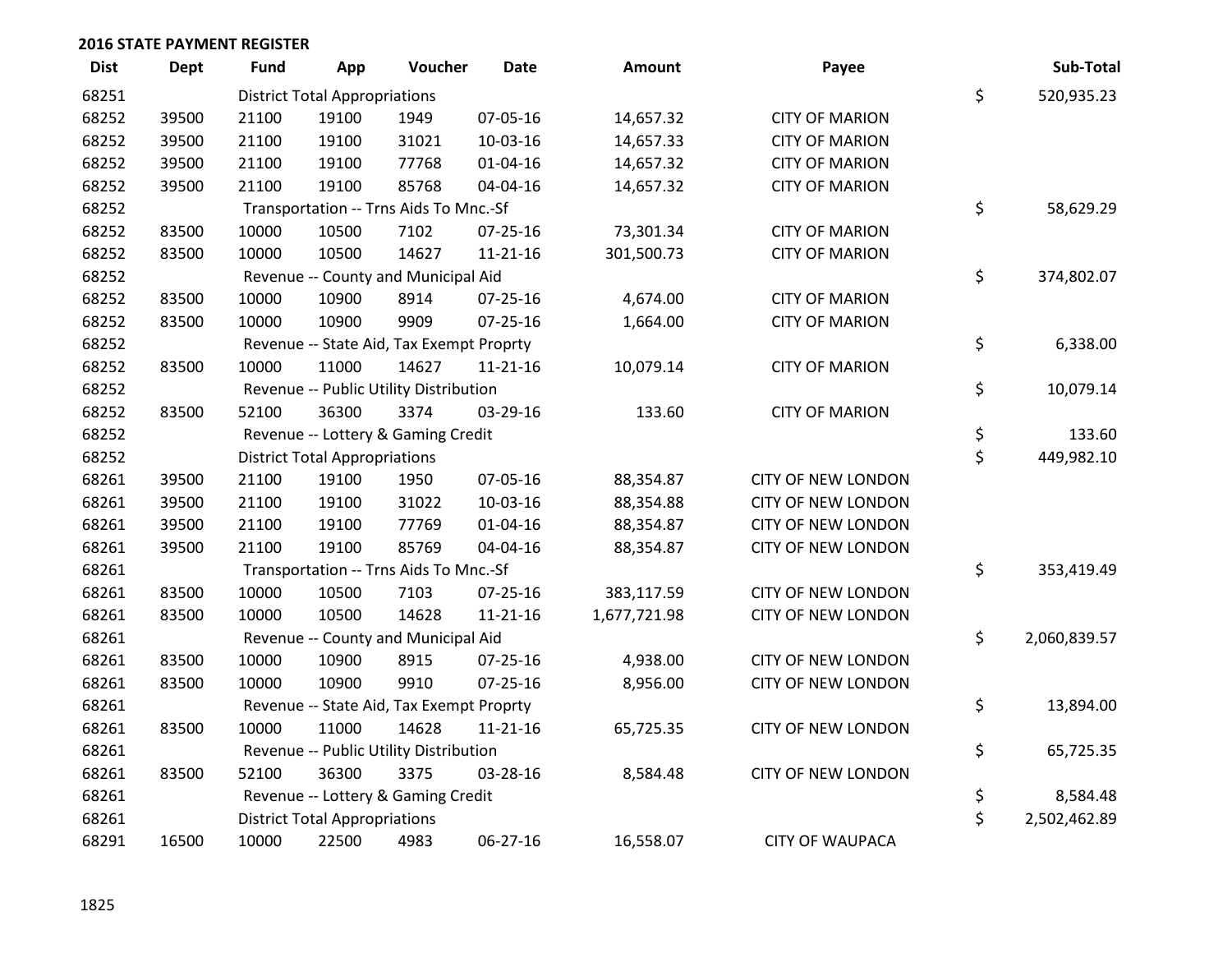| <b>Dist</b> | <b>Dept</b> | <b>Fund</b> | App                                  | Voucher                                  | Date           | <b>Amount</b> | Payee                     | Sub-Total          |
|-------------|-------------|-------------|--------------------------------------|------------------------------------------|----------------|---------------|---------------------------|--------------------|
| 68251       |             |             | <b>District Total Appropriations</b> |                                          |                |               |                           | \$<br>520,935.23   |
| 68252       | 39500       | 21100       | 19100                                | 1949                                     | 07-05-16       | 14,657.32     | <b>CITY OF MARION</b>     |                    |
| 68252       | 39500       | 21100       | 19100                                | 31021                                    | 10-03-16       | 14,657.33     | <b>CITY OF MARION</b>     |                    |
| 68252       | 39500       | 21100       | 19100                                | 77768                                    | $01 - 04 - 16$ | 14,657.32     | <b>CITY OF MARION</b>     |                    |
| 68252       | 39500       | 21100       | 19100                                | 85768                                    | 04-04-16       | 14,657.32     | <b>CITY OF MARION</b>     |                    |
| 68252       |             |             |                                      | Transportation -- Trns Aids To Mnc.-Sf   |                |               |                           | \$<br>58,629.29    |
| 68252       | 83500       | 10000       | 10500                                | 7102                                     | $07 - 25 - 16$ | 73,301.34     | <b>CITY OF MARION</b>     |                    |
| 68252       | 83500       | 10000       | 10500                                | 14627                                    | 11-21-16       | 301,500.73    | <b>CITY OF MARION</b>     |                    |
| 68252       |             |             |                                      | Revenue -- County and Municipal Aid      |                |               |                           | \$<br>374,802.07   |
| 68252       | 83500       | 10000       | 10900                                | 8914                                     | $07 - 25 - 16$ | 4,674.00      | <b>CITY OF MARION</b>     |                    |
| 68252       | 83500       | 10000       | 10900                                | 9909                                     | $07 - 25 - 16$ | 1,664.00      | <b>CITY OF MARION</b>     |                    |
| 68252       |             |             |                                      | Revenue -- State Aid, Tax Exempt Proprty |                |               |                           | \$<br>6,338.00     |
| 68252       | 83500       | 10000       | 11000                                | 14627                                    | $11 - 21 - 16$ | 10,079.14     | <b>CITY OF MARION</b>     |                    |
| 68252       |             |             |                                      | Revenue -- Public Utility Distribution   |                |               |                           | \$<br>10,079.14    |
| 68252       | 83500       | 52100       | 36300                                | 3374                                     | 03-29-16       | 133.60        | <b>CITY OF MARION</b>     |                    |
| 68252       |             |             |                                      | Revenue -- Lottery & Gaming Credit       |                | \$<br>133.60  |                           |                    |
| 68252       |             |             | <b>District Total Appropriations</b> |                                          |                |               |                           | \$<br>449,982.10   |
| 68261       | 39500       | 21100       | 19100                                | 1950                                     | 07-05-16       | 88,354.87     | <b>CITY OF NEW LONDON</b> |                    |
| 68261       | 39500       | 21100       | 19100                                | 31022                                    | 10-03-16       | 88,354.88     | <b>CITY OF NEW LONDON</b> |                    |
| 68261       | 39500       | 21100       | 19100                                | 77769                                    | $01 - 04 - 16$ | 88,354.87     | <b>CITY OF NEW LONDON</b> |                    |
| 68261       | 39500       | 21100       | 19100                                | 85769                                    | 04-04-16       | 88,354.87     | <b>CITY OF NEW LONDON</b> |                    |
| 68261       |             |             |                                      | Transportation -- Trns Aids To Mnc.-Sf   |                |               |                           | \$<br>353,419.49   |
| 68261       | 83500       | 10000       | 10500                                | 7103                                     | 07-25-16       | 383,117.59    | <b>CITY OF NEW LONDON</b> |                    |
| 68261       | 83500       | 10000       | 10500                                | 14628                                    | 11-21-16       | 1,677,721.98  | <b>CITY OF NEW LONDON</b> |                    |
| 68261       |             |             |                                      | Revenue -- County and Municipal Aid      |                |               |                           | \$<br>2,060,839.57 |
| 68261       | 83500       | 10000       | 10900                                | 8915                                     | $07 - 25 - 16$ | 4,938.00      | <b>CITY OF NEW LONDON</b> |                    |
| 68261       | 83500       | 10000       | 10900                                | 9910                                     | 07-25-16       | 8,956.00      | <b>CITY OF NEW LONDON</b> |                    |
| 68261       |             |             |                                      | Revenue -- State Aid, Tax Exempt Proprty |                |               |                           | \$<br>13,894.00    |
| 68261       | 83500       | 10000       | 11000                                | 14628                                    | $11 - 21 - 16$ | 65,725.35     | <b>CITY OF NEW LONDON</b> |                    |
| 68261       |             |             |                                      | Revenue -- Public Utility Distribution   |                |               |                           | \$<br>65,725.35    |
| 68261       | 83500       | 52100       | 36300                                | 3375                                     | 03-28-16       | 8,584.48      | <b>CITY OF NEW LONDON</b> |                    |
| 68261       |             |             |                                      | Revenue -- Lottery & Gaming Credit       |                |               |                           | \$<br>8,584.48     |
| 68261       |             |             | <b>District Total Appropriations</b> |                                          |                |               |                           | \$<br>2,502,462.89 |
| 68291       | 16500       | 10000       | 22500                                | 4983                                     | 06-27-16       | 16,558.07     | <b>CITY OF WAUPACA</b>    |                    |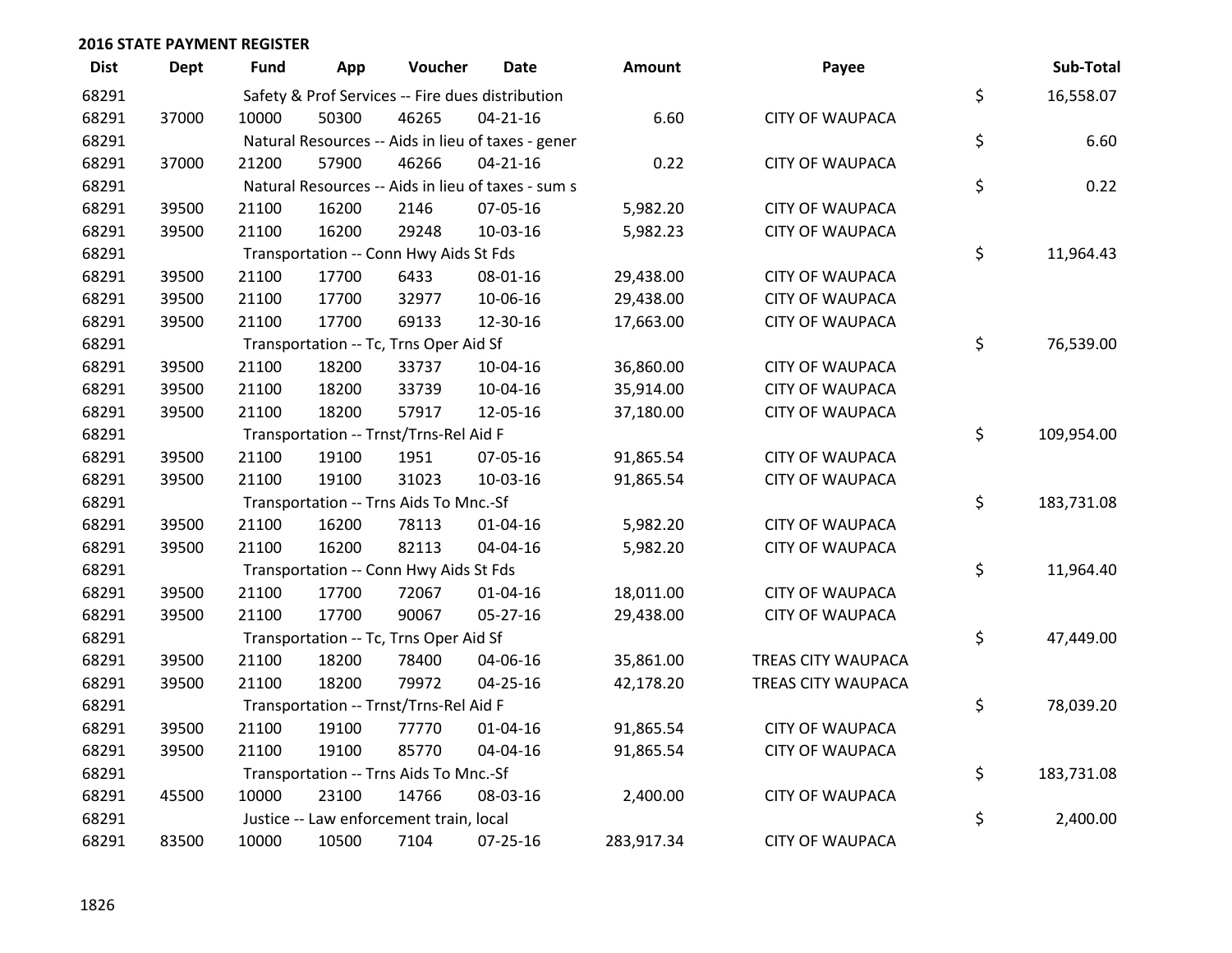| <b>Dist</b> | <b>Dept</b> | Fund  | App   | Voucher                                 | Date                                               | Amount     | Payee                  | Sub-Total        |
|-------------|-------------|-------|-------|-----------------------------------------|----------------------------------------------------|------------|------------------------|------------------|
| 68291       |             |       |       |                                         | Safety & Prof Services -- Fire dues distribution   |            |                        | \$<br>16,558.07  |
| 68291       | 37000       | 10000 | 50300 | 46265                                   | $04 - 21 - 16$                                     | 6.60       | <b>CITY OF WAUPACA</b> |                  |
| 68291       |             |       |       |                                         | Natural Resources -- Aids in lieu of taxes - gener |            |                        | \$<br>6.60       |
| 68291       | 37000       | 21200 | 57900 | 46266                                   | $04 - 21 - 16$                                     | 0.22       | <b>CITY OF WAUPACA</b> |                  |
| 68291       |             |       |       |                                         | Natural Resources -- Aids in lieu of taxes - sum s |            |                        | \$<br>0.22       |
| 68291       | 39500       | 21100 | 16200 | 2146                                    | 07-05-16                                           | 5,982.20   | <b>CITY OF WAUPACA</b> |                  |
| 68291       | 39500       | 21100 | 16200 | 29248                                   | 10-03-16                                           | 5,982.23   | <b>CITY OF WAUPACA</b> |                  |
| 68291       |             |       |       | Transportation -- Conn Hwy Aids St Fds  |                                                    |            |                        | \$<br>11,964.43  |
| 68291       | 39500       | 21100 | 17700 | 6433                                    | 08-01-16                                           | 29,438.00  | <b>CITY OF WAUPACA</b> |                  |
| 68291       | 39500       | 21100 | 17700 | 32977                                   | 10-06-16                                           | 29,438.00  | <b>CITY OF WAUPACA</b> |                  |
| 68291       | 39500       | 21100 | 17700 | 69133                                   | 12-30-16                                           | 17,663.00  | <b>CITY OF WAUPACA</b> |                  |
| 68291       |             |       |       | Transportation -- Tc, Trns Oper Aid Sf  |                                                    |            |                        | \$<br>76,539.00  |
| 68291       | 39500       | 21100 | 18200 | 33737                                   | 10-04-16                                           | 36,860.00  | <b>CITY OF WAUPACA</b> |                  |
| 68291       | 39500       | 21100 | 18200 | 33739                                   | 10-04-16                                           | 35,914.00  | <b>CITY OF WAUPACA</b> |                  |
| 68291       | 39500       | 21100 | 18200 | 57917                                   | 12-05-16                                           | 37,180.00  | <b>CITY OF WAUPACA</b> |                  |
| 68291       |             |       |       | Transportation -- Trnst/Trns-Rel Aid F  |                                                    |            |                        | \$<br>109,954.00 |
| 68291       | 39500       | 21100 | 19100 | 1951                                    | 07-05-16                                           | 91,865.54  | <b>CITY OF WAUPACA</b> |                  |
| 68291       | 39500       | 21100 | 19100 | 31023                                   | 10-03-16                                           | 91,865.54  | <b>CITY OF WAUPACA</b> |                  |
| 68291       |             |       |       | Transportation -- Trns Aids To Mnc.-Sf  |                                                    |            |                        | \$<br>183,731.08 |
| 68291       | 39500       | 21100 | 16200 | 78113                                   | $01 - 04 - 16$                                     | 5,982.20   | <b>CITY OF WAUPACA</b> |                  |
| 68291       | 39500       | 21100 | 16200 | 82113                                   | 04-04-16                                           | 5,982.20   | <b>CITY OF WAUPACA</b> |                  |
| 68291       |             |       |       | Transportation -- Conn Hwy Aids St Fds  |                                                    |            |                        | \$<br>11,964.40  |
| 68291       | 39500       | 21100 | 17700 | 72067                                   | $01 - 04 - 16$                                     | 18,011.00  | <b>CITY OF WAUPACA</b> |                  |
| 68291       | 39500       | 21100 | 17700 | 90067                                   | 05-27-16                                           | 29,438.00  | <b>CITY OF WAUPACA</b> |                  |
| 68291       |             |       |       | Transportation -- Tc, Trns Oper Aid Sf  |                                                    |            |                        | \$<br>47,449.00  |
| 68291       | 39500       | 21100 | 18200 | 78400                                   | 04-06-16                                           | 35,861.00  | TREAS CITY WAUPACA     |                  |
| 68291       | 39500       | 21100 | 18200 | 79972                                   | $04 - 25 - 16$                                     | 42,178.20  | TREAS CITY WAUPACA     |                  |
| 68291       |             |       |       | Transportation -- Trnst/Trns-Rel Aid F  |                                                    |            |                        | \$<br>78,039.20  |
| 68291       | 39500       | 21100 | 19100 | 77770                                   | $01 - 04 - 16$                                     | 91,865.54  | <b>CITY OF WAUPACA</b> |                  |
| 68291       | 39500       | 21100 | 19100 | 85770                                   | 04-04-16                                           | 91,865.54  | <b>CITY OF WAUPACA</b> |                  |
| 68291       |             |       |       | Transportation -- Trns Aids To Mnc.-Sf  |                                                    |            |                        | \$<br>183,731.08 |
| 68291       | 45500       | 10000 | 23100 | 14766                                   | 08-03-16                                           | 2,400.00   | <b>CITY OF WAUPACA</b> |                  |
| 68291       |             |       |       | Justice -- Law enforcement train, local |                                                    |            |                        | \$<br>2,400.00   |
| 68291       | 83500       | 10000 | 10500 | 7104                                    | 07-25-16                                           | 283,917.34 | <b>CITY OF WAUPACA</b> |                  |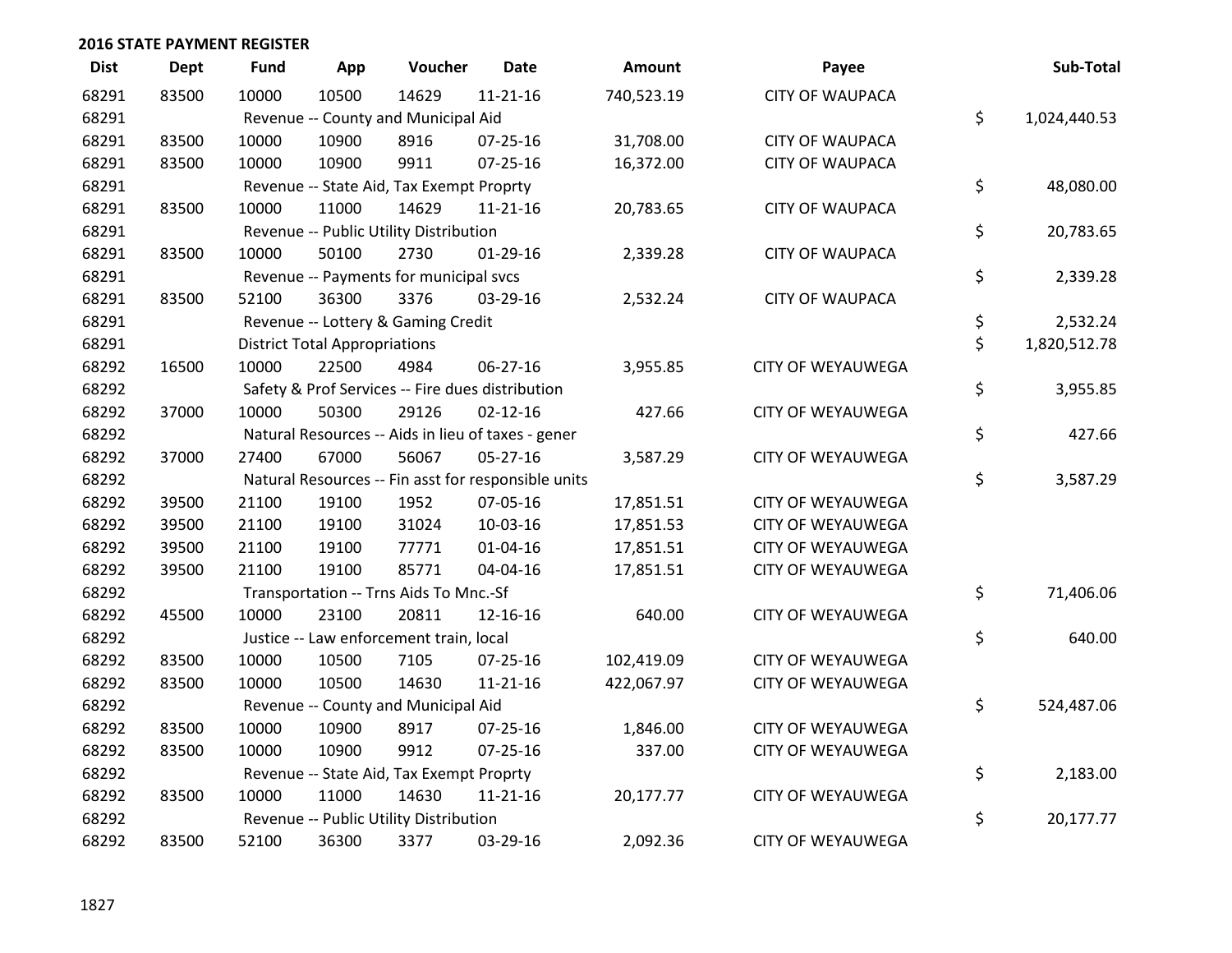| <b>Dist</b> | <b>Dept</b> | <b>Fund</b> | App                                  | Voucher                                             | <b>Date</b>    | Amount     | Payee                    | Sub-Total          |
|-------------|-------------|-------------|--------------------------------------|-----------------------------------------------------|----------------|------------|--------------------------|--------------------|
| 68291       | 83500       | 10000       | 10500                                | 14629                                               | $11 - 21 - 16$ | 740,523.19 | <b>CITY OF WAUPACA</b>   |                    |
| 68291       |             |             |                                      | Revenue -- County and Municipal Aid                 |                |            |                          | \$<br>1,024,440.53 |
| 68291       | 83500       | 10000       | 10900                                | 8916                                                | $07 - 25 - 16$ | 31,708.00  | <b>CITY OF WAUPACA</b>   |                    |
| 68291       | 83500       | 10000       | 10900                                | 9911                                                | 07-25-16       | 16,372.00  | <b>CITY OF WAUPACA</b>   |                    |
| 68291       |             |             |                                      | Revenue -- State Aid, Tax Exempt Proprty            |                |            |                          | \$<br>48,080.00    |
| 68291       | 83500       | 10000       | 11000                                | 14629                                               | $11 - 21 - 16$ | 20,783.65  | <b>CITY OF WAUPACA</b>   |                    |
| 68291       |             |             |                                      | Revenue -- Public Utility Distribution              |                |            |                          | \$<br>20,783.65    |
| 68291       | 83500       | 10000       | 50100                                | 2730                                                | $01-29-16$     | 2,339.28   | <b>CITY OF WAUPACA</b>   |                    |
| 68291       |             |             |                                      | Revenue -- Payments for municipal svcs              |                |            |                          | \$<br>2,339.28     |
| 68291       | 83500       | 52100       | 36300                                | 3376                                                | 03-29-16       | 2,532.24   | <b>CITY OF WAUPACA</b>   |                    |
| 68291       |             |             |                                      | Revenue -- Lottery & Gaming Credit                  |                |            |                          | \$<br>2,532.24     |
| 68291       |             |             | <b>District Total Appropriations</b> |                                                     |                |            |                          | \$<br>1,820,512.78 |
| 68292       | 16500       | 10000       | 22500                                | 4984                                                | 06-27-16       | 3,955.85   | <b>CITY OF WEYAUWEGA</b> |                    |
| 68292       |             |             |                                      | Safety & Prof Services -- Fire dues distribution    |                |            |                          | \$<br>3,955.85     |
| 68292       | 37000       | 10000       | 50300                                | 29126                                               | $02 - 12 - 16$ | 427.66     | <b>CITY OF WEYAUWEGA</b> |                    |
| 68292       |             |             |                                      | Natural Resources -- Aids in lieu of taxes - gener  |                |            |                          | \$<br>427.66       |
| 68292       | 37000       | 27400       | 67000                                | 56067                                               | $05 - 27 - 16$ | 3,587.29   | <b>CITY OF WEYAUWEGA</b> |                    |
| 68292       |             |             |                                      | Natural Resources -- Fin asst for responsible units |                |            |                          | \$<br>3,587.29     |
| 68292       | 39500       | 21100       | 19100                                | 1952                                                | 07-05-16       | 17,851.51  | <b>CITY OF WEYAUWEGA</b> |                    |
| 68292       | 39500       | 21100       | 19100                                | 31024                                               | 10-03-16       | 17,851.53  | <b>CITY OF WEYAUWEGA</b> |                    |
| 68292       | 39500       | 21100       | 19100                                | 77771                                               | $01 - 04 - 16$ | 17,851.51  | <b>CITY OF WEYAUWEGA</b> |                    |
| 68292       | 39500       | 21100       | 19100                                | 85771                                               | 04-04-16       | 17,851.51  | <b>CITY OF WEYAUWEGA</b> |                    |
| 68292       |             |             |                                      | Transportation -- Trns Aids To Mnc.-Sf              |                |            |                          | \$<br>71,406.06    |
| 68292       | 45500       | 10000       | 23100                                | 20811                                               | 12-16-16       | 640.00     | CITY OF WEYAUWEGA        |                    |
| 68292       |             |             |                                      | Justice -- Law enforcement train, local             |                |            |                          | \$<br>640.00       |
| 68292       | 83500       | 10000       | 10500                                | 7105                                                | 07-25-16       | 102,419.09 | <b>CITY OF WEYAUWEGA</b> |                    |
| 68292       | 83500       | 10000       | 10500                                | 14630                                               | $11 - 21 - 16$ | 422,067.97 | <b>CITY OF WEYAUWEGA</b> |                    |
| 68292       |             |             |                                      | Revenue -- County and Municipal Aid                 |                |            |                          | \$<br>524,487.06   |
| 68292       | 83500       | 10000       | 10900                                | 8917                                                | 07-25-16       | 1,846.00   | <b>CITY OF WEYAUWEGA</b> |                    |
| 68292       | 83500       | 10000       | 10900                                | 9912                                                | 07-25-16       | 337.00     | <b>CITY OF WEYAUWEGA</b> |                    |
| 68292       |             |             |                                      | Revenue -- State Aid, Tax Exempt Proprty            |                |            |                          | \$<br>2,183.00     |
| 68292       | 83500       | 10000       | 11000                                | 14630                                               | $11 - 21 - 16$ | 20,177.77  | <b>CITY OF WEYAUWEGA</b> |                    |
| 68292       |             |             |                                      | Revenue -- Public Utility Distribution              |                |            |                          | \$<br>20,177.77    |
| 68292       | 83500       | 52100       | 36300                                | 3377                                                | 03-29-16       | 2,092.36   | <b>CITY OF WEYAUWEGA</b> |                    |